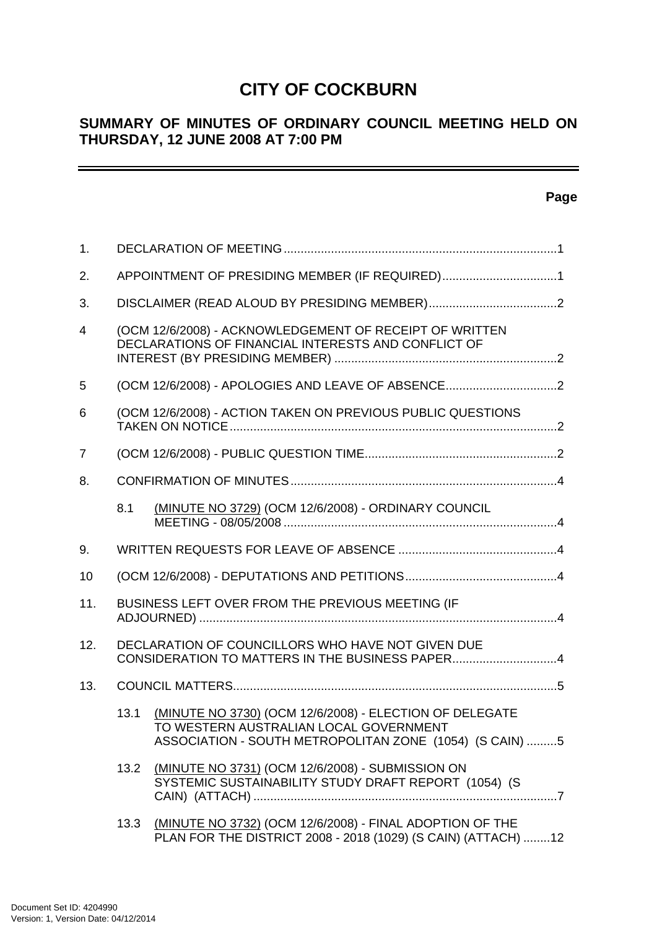# **CITY OF COCKBURN**

# **SUMMARY OF MINUTES OF ORDINARY COUNCIL MEETING HELD ON THURSDAY, 12 JUNE 2008 AT 7:00 PM**

## **Page**

| 1.             |                                                                                                                |                                                                                                                                                              |  |
|----------------|----------------------------------------------------------------------------------------------------------------|--------------------------------------------------------------------------------------------------------------------------------------------------------------|--|
| 2.             | APPOINTMENT OF PRESIDING MEMBER (IF REQUIRED)1                                                                 |                                                                                                                                                              |  |
| 3.             |                                                                                                                |                                                                                                                                                              |  |
| 4              | (OCM 12/6/2008) - ACKNOWLEDGEMENT OF RECEIPT OF WRITTEN<br>DECLARATIONS OF FINANCIAL INTERESTS AND CONFLICT OF |                                                                                                                                                              |  |
| 5              |                                                                                                                | (OCM 12/6/2008) - APOLOGIES AND LEAVE OF ABSENCE2                                                                                                            |  |
| 6              |                                                                                                                | (OCM 12/6/2008) - ACTION TAKEN ON PREVIOUS PUBLIC QUESTIONS                                                                                                  |  |
| $\overline{7}$ |                                                                                                                |                                                                                                                                                              |  |
| 8.             |                                                                                                                |                                                                                                                                                              |  |
|                | 8.1                                                                                                            | (MINUTE NO 3729) (OCM 12/6/2008) - ORDINARY COUNCIL                                                                                                          |  |
| 9.             |                                                                                                                |                                                                                                                                                              |  |
| 10             |                                                                                                                |                                                                                                                                                              |  |
| 11.            |                                                                                                                | BUSINESS LEFT OVER FROM THE PREVIOUS MEETING (IF                                                                                                             |  |
| 12.            |                                                                                                                | DECLARATION OF COUNCILLORS WHO HAVE NOT GIVEN DUE<br>CONSIDERATION TO MATTERS IN THE BUSINESS PAPER4                                                         |  |
| 13.            |                                                                                                                |                                                                                                                                                              |  |
|                | 13.1                                                                                                           | (MINUTE NO 3730) (OCM 12/6/2008) - ELECTION OF DELEGATE<br>TO WESTERN AUSTRALIAN LOCAL GOVERNMENT<br>ASSOCIATION - SOUTH METROPOLITAN ZONE (1054) (S CAIN) 5 |  |
|                | 13.2                                                                                                           | (MINUTE NO 3731) (OCM 12/6/2008) - SUBMISSION ON<br>SYSTEMIC SUSTAINABILITY STUDY DRAFT REPORT (1054) (S                                                     |  |
|                | 13.3                                                                                                           | (MINUTE NO 3732) (OCM 12/6/2008) - FINAL ADOPTION OF THE<br>PLAN FOR THE DISTRICT 2008 - 2018 (1029) (S CAIN) (ATTACH) 12                                    |  |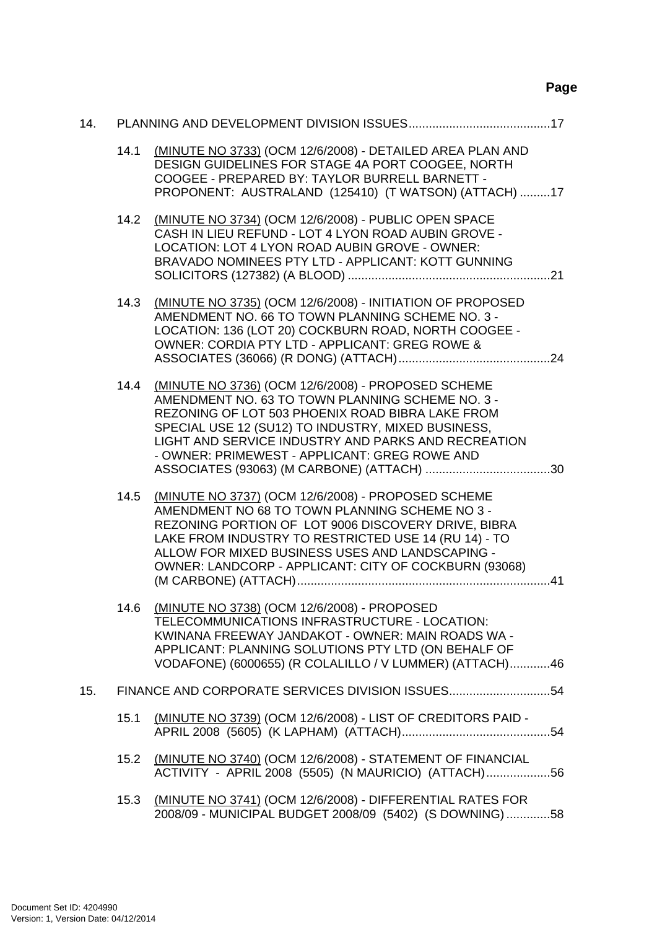# **Page**

| 14. |      |                                                                                                                                                                                                                                                                                                                                 |
|-----|------|---------------------------------------------------------------------------------------------------------------------------------------------------------------------------------------------------------------------------------------------------------------------------------------------------------------------------------|
|     | 14.1 | (MINUTE NO 3733) (OCM 12/6/2008) - DETAILED AREA PLAN AND<br>DESIGN GUIDELINES FOR STAGE 4A PORT COOGEE, NORTH<br>COOGEE - PREPARED BY: TAYLOR BURRELL BARNETT -<br>PROPONENT: AUSTRALAND (125410) (T WATSON) (ATTACH) 17                                                                                                       |
|     | 14.2 | (MINUTE NO 3734) (OCM 12/6/2008) - PUBLIC OPEN SPACE<br>CASH IN LIEU REFUND - LOT 4 LYON ROAD AUBIN GROVE -<br>LOCATION: LOT 4 LYON ROAD AUBIN GROVE - OWNER:<br>BRAVADO NOMINEES PTY LTD - APPLICANT: KOTT GUNNING                                                                                                             |
|     | 14.3 | (MINUTE NO 3735) (OCM 12/6/2008) - INITIATION OF PROPOSED<br>AMENDMENT NO. 66 TO TOWN PLANNING SCHEME NO. 3 -<br>LOCATION: 136 (LOT 20) COCKBURN ROAD, NORTH COOGEE -<br>OWNER: CORDIA PTY LTD - APPLICANT: GREG ROWE &                                                                                                         |
|     | 14.4 | (MINUTE NO 3736) (OCM 12/6/2008) - PROPOSED SCHEME<br>AMENDMENT NO. 63 TO TOWN PLANNING SCHEME NO. 3 -<br>REZONING OF LOT 503 PHOENIX ROAD BIBRA LAKE FROM<br>SPECIAL USE 12 (SU12) TO INDUSTRY, MIXED BUSINESS,<br>LIGHT AND SERVICE INDUSTRY AND PARKS AND RECREATION<br>- OWNER: PRIMEWEST - APPLICANT: GREG ROWE AND        |
|     | 14.5 | (MINUTE NO 3737) (OCM 12/6/2008) - PROPOSED SCHEME<br>AMENDMENT NO 68 TO TOWN PLANNING SCHEME NO 3 -<br>REZONING PORTION OF LOT 9006 DISCOVERY DRIVE, BIBRA<br>LAKE FROM INDUSTRY TO RESTRICTED USE 14 (RU 14) - TO<br>ALLOW FOR MIXED BUSINESS USES AND LANDSCAPING -<br>OWNER: LANDCORP - APPLICANT: CITY OF COCKBURN (93068) |
|     | 14.6 | (MINUTE NO 3738) (OCM 12/6/2008) - PROPOSED<br>TELECOMMUNICATIONS INFRASTRUCTURE - LOCATION:<br>KWINANA FREEWAY JANDAKOT - OWNER: MAIN ROADS WA -<br>APPLICANT: PLANNING SOLUTIONS PTY LTD (ON BEHALF OF<br>VODAFONE) (6000655) (R COLALILLO / V LUMMER) (ATTACH)46                                                             |
| 15. |      |                                                                                                                                                                                                                                                                                                                                 |
|     | 15.1 | (MINUTE NO 3739) (OCM 12/6/2008) - LIST OF CREDITORS PAID -                                                                                                                                                                                                                                                                     |
|     | 15.2 | (MINUTE NO 3740) (OCM 12/6/2008) - STATEMENT OF FINANCIAL<br>ACTIVITY - APRIL 2008 (5505) (N MAURICIO) (ATTACH)56                                                                                                                                                                                                               |
|     | 15.3 | (MINUTE NO 3741) (OCM 12/6/2008) - DIFFERENTIAL RATES FOR<br>2008/09 - MUNICIPAL BUDGET 2008/09 (5402) (S DOWNING)58                                                                                                                                                                                                            |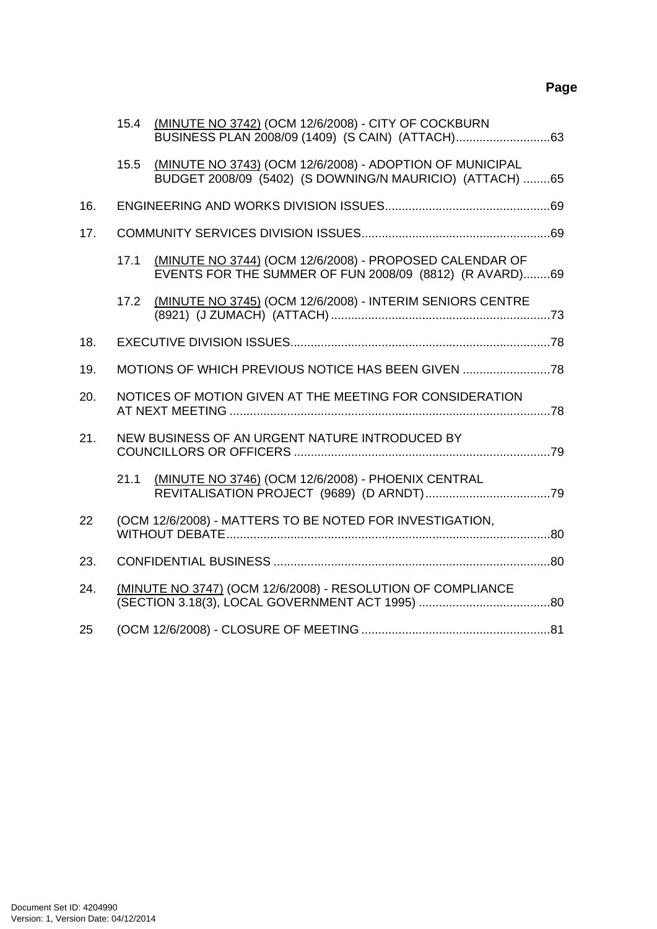# **Page**

|     | 15.4 | (MINUTE NO 3742) (OCM 12/6/2008) - CITY OF COCKBURN                                                                  |  |
|-----|------|----------------------------------------------------------------------------------------------------------------------|--|
|     | 15.5 | (MINUTE NO 3743) (OCM 12/6/2008) - ADOPTION OF MUNICIPAL<br>BUDGET 2008/09 (5402) (S DOWNING/N MAURICIO) (ATTACH) 65 |  |
| 16. |      |                                                                                                                      |  |
| 17. |      |                                                                                                                      |  |
|     | 17.1 | (MINUTE NO 3744) (OCM 12/6/2008) - PROPOSED CALENDAR OF<br>EVENTS FOR THE SUMMER OF FUN 2008/09 (8812) (R AVARD)69   |  |
|     | 17.2 | (MINUTE NO 3745) (OCM 12/6/2008) - INTERIM SENIORS CENTRE                                                            |  |
| 18. |      |                                                                                                                      |  |
| 19. |      | MOTIONS OF WHICH PREVIOUS NOTICE HAS BEEN GIVEN                                                                      |  |
| 20. |      | NOTICES OF MOTION GIVEN AT THE MEETING FOR CONSIDERATION                                                             |  |
| 21. |      | NEW BUSINESS OF AN URGENT NATURE INTRODUCED BY                                                                       |  |
|     | 21.1 | (MINUTE NO 3746) (OCM 12/6/2008) - PHOENIX CENTRAL                                                                   |  |
| 22  |      | (OCM 12/6/2008) - MATTERS TO BE NOTED FOR INVESTIGATION,                                                             |  |
| 23. |      |                                                                                                                      |  |
| 24. |      | (MINUTE NO 3747) (OCM 12/6/2008) - RESOLUTION OF COMPLIANCE                                                          |  |
| 25  |      |                                                                                                                      |  |
|     |      |                                                                                                                      |  |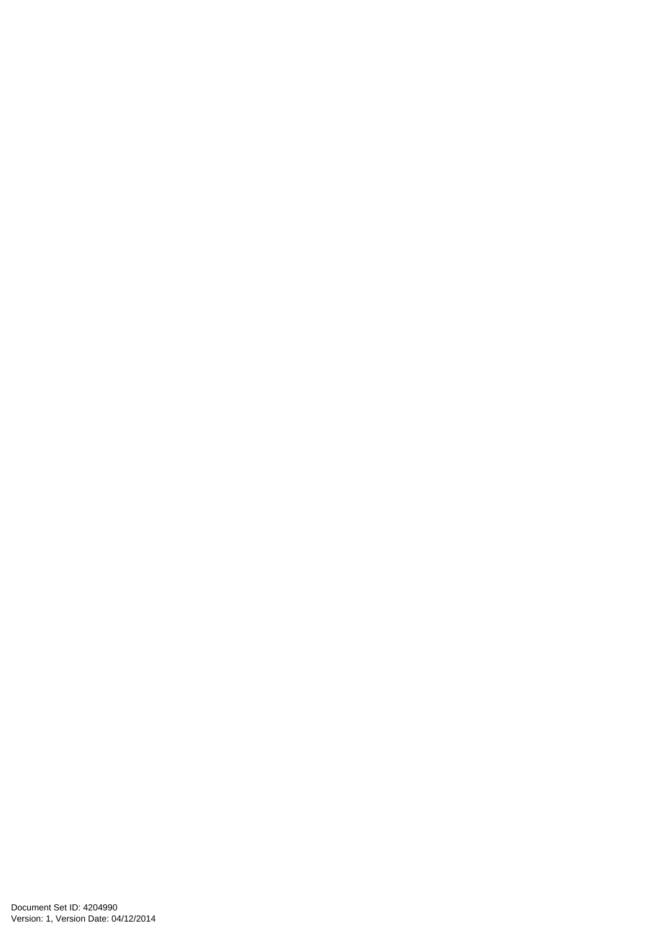Document Set ID: 4204990<br>Version: 1, Version Date: 04/12/2014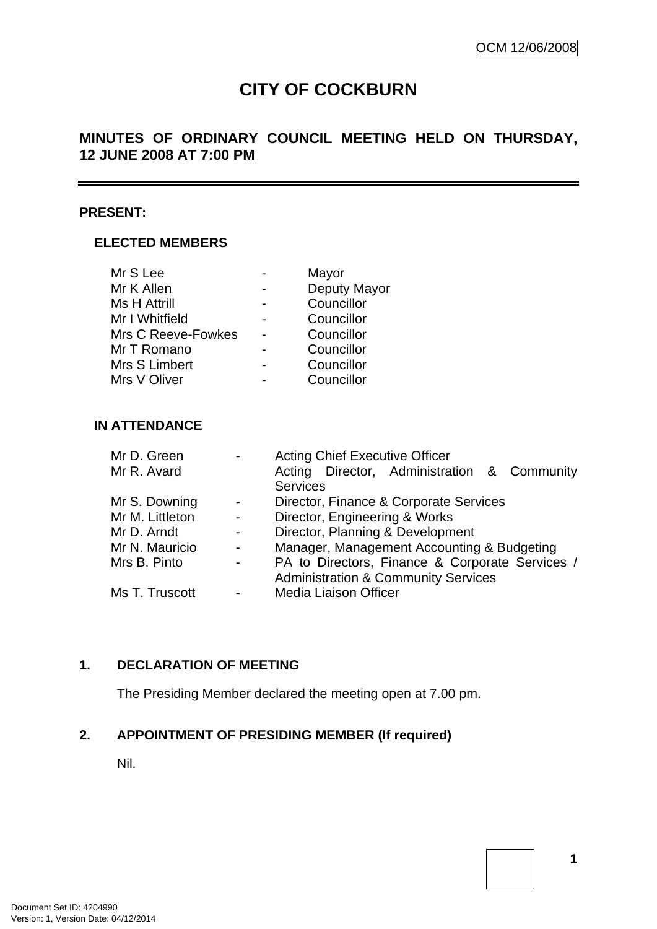# **CITY OF COCKBURN**

## <span id="page-4-0"></span>**MINUTES OF ORDINARY COUNCIL MEETING HELD ON THURSDAY, 12 JUNE 2008 AT 7:00 PM**

#### **PRESENT:**

### **ELECTED MEMBERS**

| Mayor        |
|--------------|
| Deputy Mayor |
| Councillor   |
| Councillor   |
| Councillor   |
| Councillor   |
| Councillor   |
| Councillor   |
|              |

### **IN ATTENDANCE**

| Mr D. Green     | $\overline{\phantom{a}}$     | <b>Acting Chief Executive Officer</b>           |
|-----------------|------------------------------|-------------------------------------------------|
| Mr R. Avard     |                              | Acting Director, Administration & Community     |
|                 |                              | <b>Services</b>                                 |
| Mr S. Downing   | $\sim$ 10 $\pm$              | Director, Finance & Corporate Services          |
| Mr M. Littleton | $\blacksquare$               | Director, Engineering & Works                   |
| Mr D. Arndt     | $\overline{\phantom{a}}$     | Director, Planning & Development                |
| Mr N. Mauricio  | $\blacksquare$               | Manager, Management Accounting & Budgeting      |
| Mrs B. Pinto    | $\sim$                       | PA to Directors, Finance & Corporate Services / |
|                 |                              | <b>Administration &amp; Community Services</b>  |
| Ms T. Truscott  | $\qquad \qquad \blacksquare$ | <b>Media Liaison Officer</b>                    |

## **1. DECLARATION OF MEETING**

The Presiding Member declared the meeting open at 7.00 pm.

## **2. APPOINTMENT OF PRESIDING MEMBER (If required)**

Nil.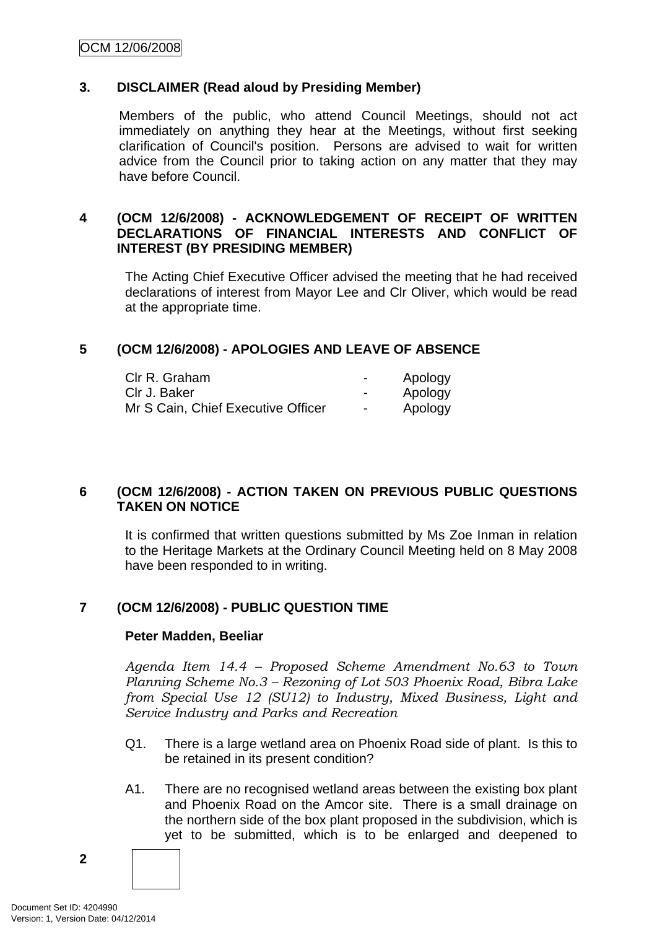## <span id="page-5-0"></span>**3. DISCLAIMER (Read aloud by Presiding Member)**

Members of the public, who attend Council Meetings, should not act immediately on anything they hear at the Meetings, without first seeking clarification of Council's position. Persons are advised to wait for written advice from the Council prior to taking action on any matter that they may have before Council.

## **4 (OCM 12/6/2008) - ACKNOWLEDGEMENT OF RECEIPT OF WRITTEN DECLARATIONS OF FINANCIAL INTERESTS AND CONFLICT OF INTEREST (BY PRESIDING MEMBER)**

The Acting Chief Executive Officer advised the meeting that he had received declarations of interest from Mayor Lee and Clr Oliver, which would be read at the appropriate time.

## **5 (OCM 12/6/2008) - APOLOGIES AND LEAVE OF ABSENCE**

| Clr R. Graham                      | $\overline{\phantom{a}}$ | Apology |
|------------------------------------|--------------------------|---------|
| Clr J. Baker                       | $\overline{\phantom{0}}$ | Apology |
| Mr S Cain, Chief Executive Officer | $\overline{\phantom{0}}$ | Apology |

## **6 (OCM 12/6/2008) - ACTION TAKEN ON PREVIOUS PUBLIC QUESTIONS TAKEN ON NOTICE**

It is confirmed that written questions submitted by Ms Zoe Inman in relation to the Heritage Markets at the Ordinary Council Meeting held on 8 May 2008 have been responded to in writing.

## **7 (OCM 12/6/2008) - PUBLIC QUESTION TIME**

### **Peter Madden, Beeliar**

*Agenda Item 14.4 – Proposed Scheme Amendment No.63 to Town Planning Scheme No.3 – Rezoning of Lot 503 Phoenix Road, Bibra Lake from Special Use 12 (SU12) to Industry, Mixed Business, Light and Service Industry and Parks and Recreation* 

- Q1. There is a large wetland area on Phoenix Road side of plant. Is this to be retained in its present condition?
- A1. There are no recognised wetland areas between the existing box plant and Phoenix Road on the Amcor site. There is a small drainage on the northern side of the box plant proposed in the subdivision, which is yet to be submitted, which is to be enlarged and deepened to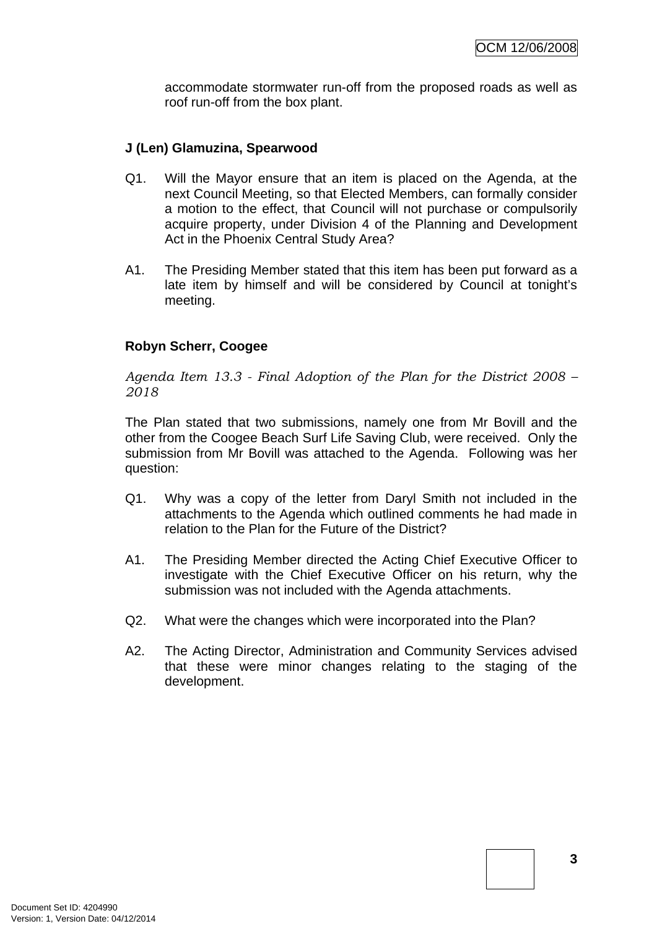accommodate stormwater run-off from the proposed roads as well as roof run-off from the box plant.

## **J (Len) Glamuzina, Spearwood**

- Q1. Will the Mayor ensure that an item is placed on the Agenda, at the next Council Meeting, so that Elected Members, can formally consider a motion to the effect, that Council will not purchase or compulsorily acquire property, under Division 4 of the Planning and Development Act in the Phoenix Central Study Area?
- A1. The Presiding Member stated that this item has been put forward as a late item by himself and will be considered by Council at tonight's meeting.

## **Robyn Scherr, Coogee**

*Agenda Item 13.3 - Final Adoption of the Plan for the District 2008 – 2018* 

The Plan stated that two submissions, namely one from Mr Bovill and the other from the Coogee Beach Surf Life Saving Club, were received. Only the submission from Mr Bovill was attached to the Agenda. Following was her question:

- Q1. Why was a copy of the letter from Daryl Smith not included in the attachments to the Agenda which outlined comments he had made in relation to the Plan for the Future of the District?
- A1. The Presiding Member directed the Acting Chief Executive Officer to investigate with the Chief Executive Officer on his return, why the submission was not included with the Agenda attachments.
- Q2. What were the changes which were incorporated into the Plan?
- A2. The Acting Director, Administration and Community Services advised that these were minor changes relating to the staging of the development.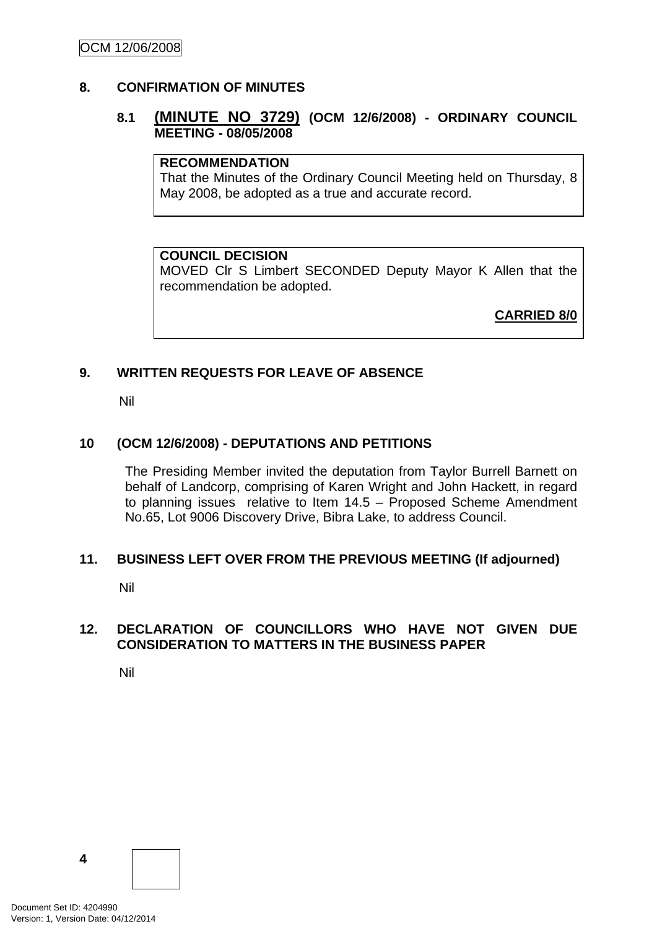## <span id="page-7-0"></span>**8. CONFIRMATION OF MINUTES**

## **8.1 (MINUTE NO 3729) (OCM 12/6/2008) - ORDINARY COUNCIL MEETING - 08/05/2008**

#### **RECOMMENDATION**

That the Minutes of the Ordinary Council Meeting held on Thursday, 8 May 2008, be adopted as a true and accurate record.

#### **COUNCIL DECISION**

MOVED Clr S Limbert SECONDED Deputy Mayor K Allen that the recommendation be adopted.

**CARRIED 8/0**

## **9. WRITTEN REQUESTS FOR LEAVE OF ABSENCE**

Nil

## **10 (OCM 12/6/2008) - DEPUTATIONS AND PETITIONS**

The Presiding Member invited the deputation from Taylor Burrell Barnett on behalf of Landcorp, comprising of Karen Wright and John Hackett, in regard to planning issues relative to Item 14.5 – Proposed Scheme Amendment No.65, Lot 9006 Discovery Drive, Bibra Lake, to address Council.

### **11. BUSINESS LEFT OVER FROM THE PREVIOUS MEETING (If adjourned)**

Nil

## **12. DECLARATION OF COUNCILLORS WHO HAVE NOT GIVEN DUE CONSIDERATION TO MATTERS IN THE BUSINESS PAPER**

Nil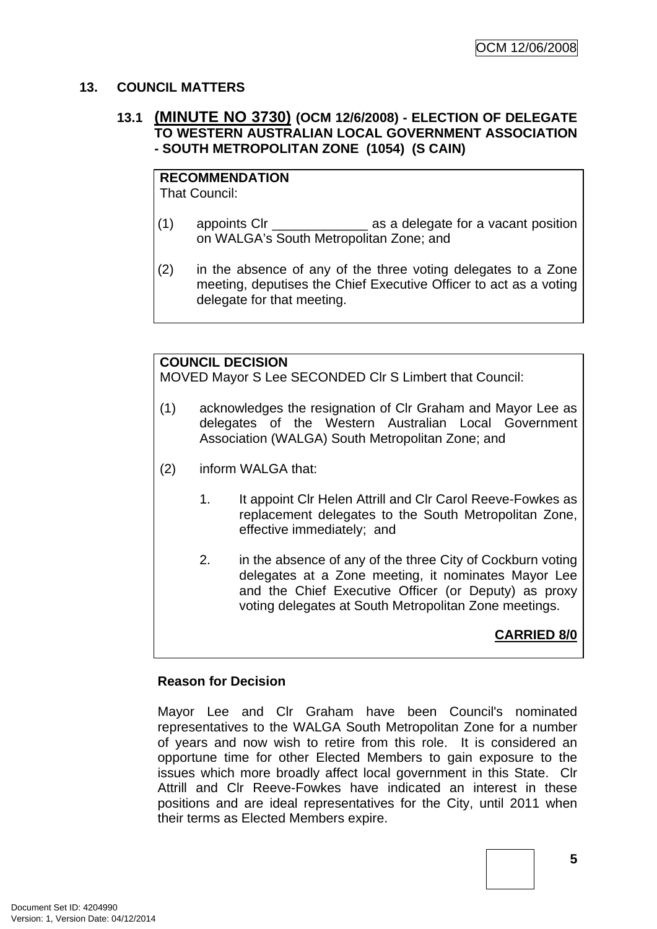## <span id="page-8-0"></span>**13. COUNCIL MATTERS**

#### **13.1 (MINUTE NO 3730) (OCM 12/6/2008) - ELECTION OF DELEGATE TO WESTERN AUSTRALIAN LOCAL GOVERNMENT ASSOCIATION - SOUTH METROPOLITAN ZONE (1054) (S CAIN)**

**RECOMMENDATION** That Council:

- (1) appoints Clr \_\_\_\_\_\_\_\_\_\_\_\_\_ as a delegate for a vacant position on WALGA's South Metropolitan Zone; and
- (2) in the absence of any of the three voting delegates to a Zone meeting, deputises the Chief Executive Officer to act as a voting delegate for that meeting.

## **COUNCIL DECISION**

MOVED Mayor S Lee SECONDED Clr S Limbert that Council:

- (1) acknowledges the resignation of Clr Graham and Mayor Lee as delegates of the Western Australian Local Government Association (WALGA) South Metropolitan Zone; and
- (2) inform WALGA that:
	- 1. It appoint Clr Helen Attrill and Clr Carol Reeve-Fowkes as replacement delegates to the South Metropolitan Zone, effective immediately; and
	- 2. in the absence of any of the three City of Cockburn voting delegates at a Zone meeting, it nominates Mayor Lee and the Chief Executive Officer (or Deputy) as proxy voting delegates at South Metropolitan Zone meetings.

**CARRIED 8/0**

### **Reason for Decision**

Mayor Lee and Clr Graham have been Council's nominated representatives to the WALGA South Metropolitan Zone for a number of years and now wish to retire from this role. It is considered an opportune time for other Elected Members to gain exposure to the issues which more broadly affect local government in this State. Clr Attrill and Clr Reeve-Fowkes have indicated an interest in these positions and are ideal representatives for the City, until 2011 when their terms as Elected Members expire.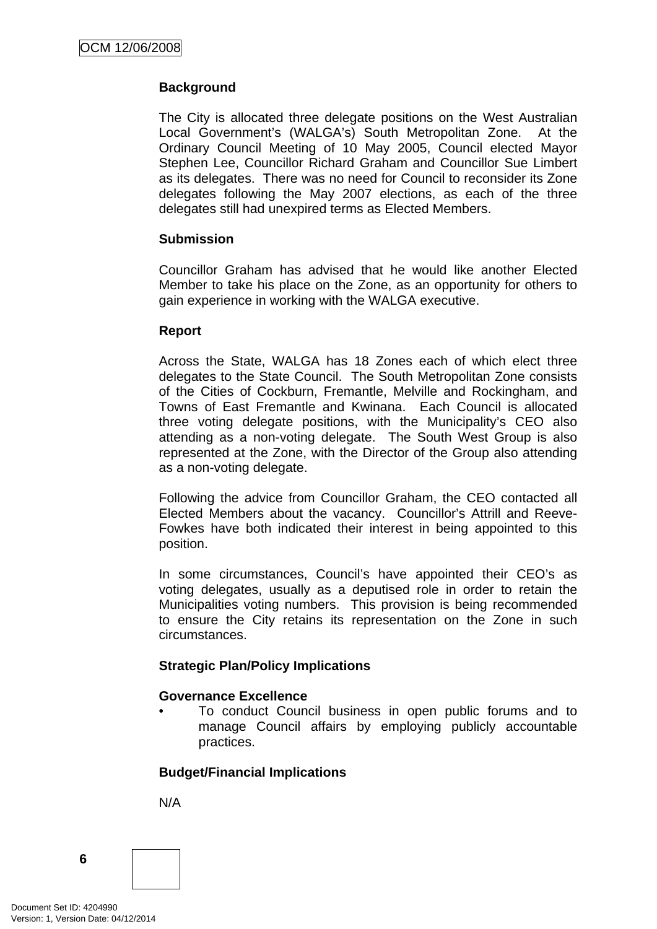## **Background**

The City is allocated three delegate positions on the West Australian Local Government's (WALGA's) South Metropolitan Zone. At the Ordinary Council Meeting of 10 May 2005, Council elected Mayor Stephen Lee, Councillor Richard Graham and Councillor Sue Limbert as its delegates. There was no need for Council to reconsider its Zone delegates following the May 2007 elections, as each of the three delegates still had unexpired terms as Elected Members.

## **Submission**

Councillor Graham has advised that he would like another Elected Member to take his place on the Zone, as an opportunity for others to gain experience in working with the WALGA executive.

### **Report**

Across the State, WALGA has 18 Zones each of which elect three delegates to the State Council. The South Metropolitan Zone consists of the Cities of Cockburn, Fremantle, Melville and Rockingham, and Towns of East Fremantle and Kwinana. Each Council is allocated three voting delegate positions, with the Municipality's CEO also attending as a non-voting delegate. The South West Group is also represented at the Zone, with the Director of the Group also attending as a non-voting delegate.

Following the advice from Councillor Graham, the CEO contacted all Elected Members about the vacancy. Councillor's Attrill and Reeve-Fowkes have both indicated their interest in being appointed to this position.

In some circumstances, Council's have appointed their CEO's as voting delegates, usually as a deputised role in order to retain the Municipalities voting numbers. This provision is being recommended to ensure the City retains its representation on the Zone in such circumstances.

### **Strategic Plan/Policy Implications**

### **Governance Excellence**

• To conduct Council business in open public forums and to manage Council affairs by employing publicly accountable practices.

## **Budget/Financial Implications**

N/A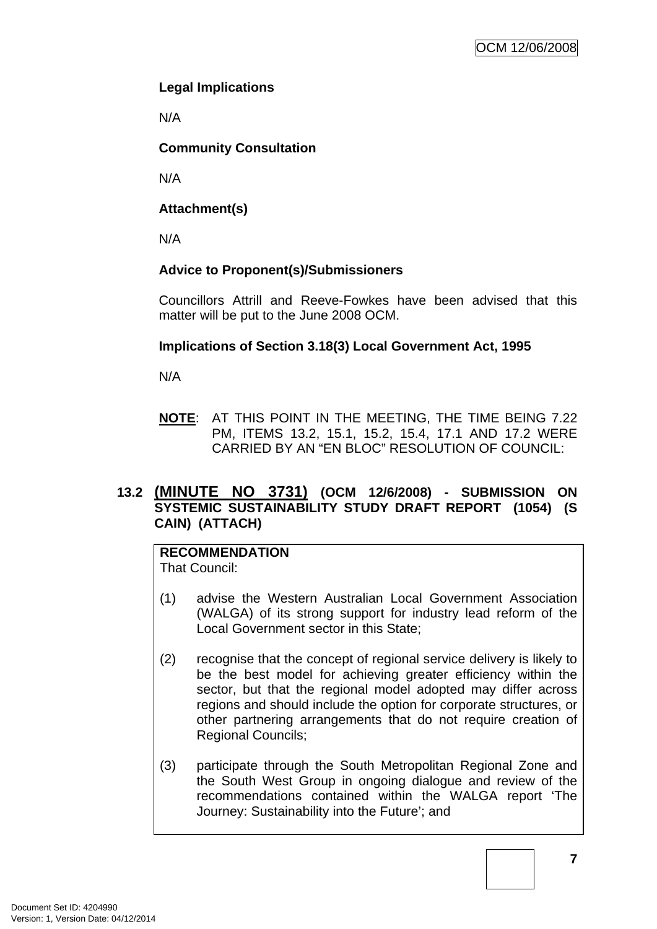## <span id="page-10-0"></span>**Legal Implications**

N/A

## **Community Consultation**

N/A

## **Attachment(s)**

N/A

## **Advice to Proponent(s)/Submissioners**

Councillors Attrill and Reeve-Fowkes have been advised that this matter will be put to the June 2008 OCM.

## **Implications of Section 3.18(3) Local Government Act, 1995**

N/A

**NOTE**: AT THIS POINT IN THE MEETING, THE TIME BEING 7.22 PM, ITEMS 13.2, 15.1, 15.2, 15.4, 17.1 AND 17.2 WERE CARRIED BY AN "EN BLOC" RESOLUTION OF COUNCIL:

## **13.2 (MINUTE NO 3731) (OCM 12/6/2008) - SUBMISSION ON SYSTEMIC SUSTAINABILITY STUDY DRAFT REPORT (1054) (S CAIN) (ATTACH)**

## **RECOMMENDATION**

That Council:

- (1) advise the Western Australian Local Government Association (WALGA) of its strong support for industry lead reform of the Local Government sector in this State;
- (2) recognise that the concept of regional service delivery is likely to be the best model for achieving greater efficiency within the sector, but that the regional model adopted may differ across regions and should include the option for corporate structures, or other partnering arrangements that do not require creation of Regional Councils;
- (3) participate through the South Metropolitan Regional Zone and the South West Group in ongoing dialogue and review of the recommendations contained within the WALGA report 'The Journey: Sustainability into the Future'; and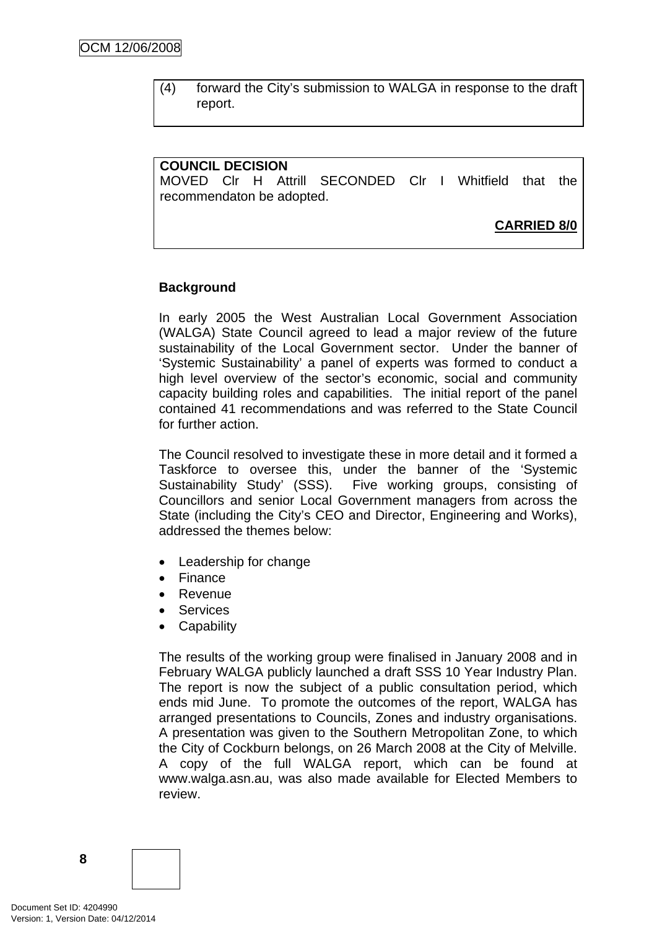(4) forward the City's submission to WALGA in response to the draft report.

#### **COUNCIL DECISION**

MOVED Clr H Attrill SECONDED Clr I Whitfield that the recommendaton be adopted.

**CARRIED 8/0**

### **Background**

In early 2005 the West Australian Local Government Association (WALGA) State Council agreed to lead a major review of the future sustainability of the Local Government sector. Under the banner of 'Systemic Sustainability' a panel of experts was formed to conduct a high level overview of the sector's economic, social and community capacity building roles and capabilities. The initial report of the panel contained 41 recommendations and was referred to the State Council for further action.

The Council resolved to investigate these in more detail and it formed a Taskforce to oversee this, under the banner of the 'Systemic Sustainability Study' (SSS). Five working groups, consisting of Councillors and senior Local Government managers from across the State (including the City's CEO and Director, Engineering and Works), addressed the themes below:

- Leadership for change
- Finance
- Revenue
- **Services**
- **Capability**

The results of the working group were finalised in January 2008 and in February WALGA publicly launched a draft SSS 10 Year Industry Plan. The report is now the subject of a public consultation period, which ends mid June. To promote the outcomes of the report, WALGA has arranged presentations to Councils, Zones and industry organisations. A presentation was given to the Southern Metropolitan Zone, to which the City of Cockburn belongs, on 26 March 2008 at the City of Melville. A copy of the full WALGA report, which can be found at www.walga.asn.au, was also made available for Elected Members to review.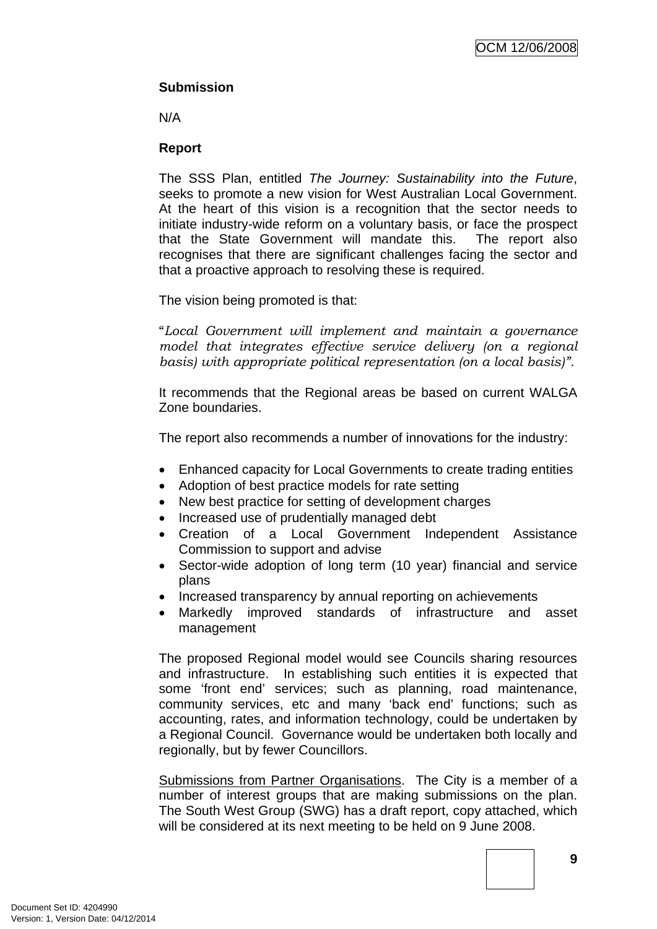OCM 12/06/2008

## **Submission**

N/A

## **Report**

The SSS Plan, entitled *The Journey: Sustainability into the Future*, seeks to promote a new vision for West Australian Local Government. At the heart of this vision is a recognition that the sector needs to initiate industry-wide reform on a voluntary basis, or face the prospect that the State Government will mandate this. The report also recognises that there are significant challenges facing the sector and that a proactive approach to resolving these is required.

The vision being promoted is that:

"*Local Government will implement and maintain a governance model that integrates effective service delivery (on a regional basis) with appropriate political representation (on a local basis)".* 

It recommends that the Regional areas be based on current WALGA Zone boundaries.

The report also recommends a number of innovations for the industry:

- Enhanced capacity for Local Governments to create trading entities
- Adoption of best practice models for rate setting
- New best practice for setting of development charges
- Increased use of prudentially managed debt
- Creation of a Local Government Independent Assistance Commission to support and advise
- Sector-wide adoption of long term (10 year) financial and service plans
- Increased transparency by annual reporting on achievements
- Markedly improved standards of infrastructure and asset management

The proposed Regional model would see Councils sharing resources and infrastructure. In establishing such entities it is expected that some 'front end' services; such as planning, road maintenance, community services, etc and many 'back end' functions; such as accounting, rates, and information technology, could be undertaken by a Regional Council. Governance would be undertaken both locally and regionally, but by fewer Councillors.

Submissions from Partner Organisations. The City is a member of a number of interest groups that are making submissions on the plan. The South West Group (SWG) has a draft report, copy attached, which will be considered at its next meeting to be held on 9 June 2008.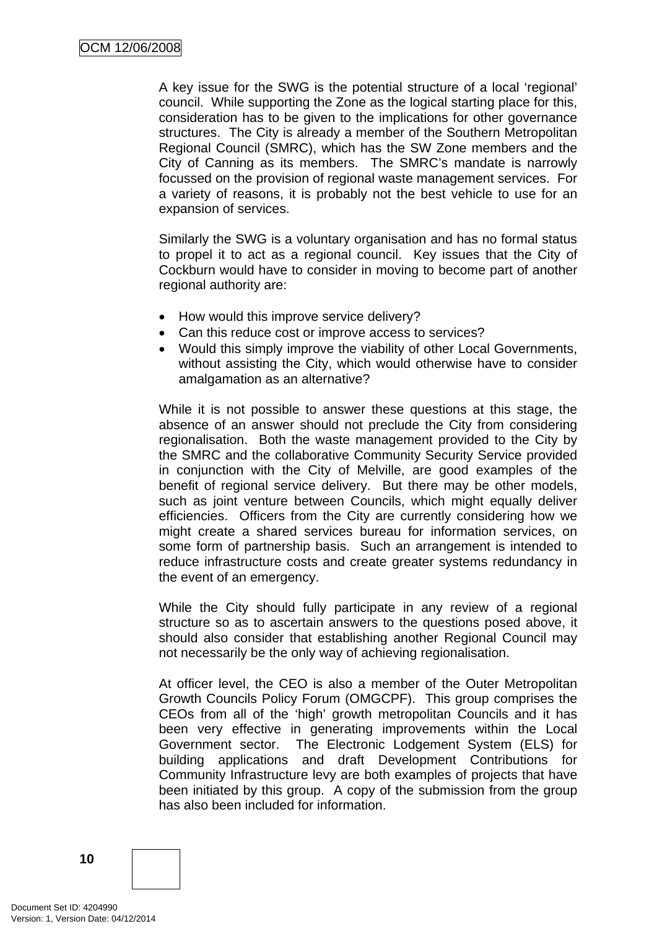A key issue for the SWG is the potential structure of a local 'regional' council. While supporting the Zone as the logical starting place for this, consideration has to be given to the implications for other governance structures. The City is already a member of the Southern Metropolitan Regional Council (SMRC), which has the SW Zone members and the City of Canning as its members. The SMRC's mandate is narrowly focussed on the provision of regional waste management services. For a variety of reasons, it is probably not the best vehicle to use for an expansion of services.

Similarly the SWG is a voluntary organisation and has no formal status to propel it to act as a regional council. Key issues that the City of Cockburn would have to consider in moving to become part of another regional authority are:

- How would this improve service delivery?
- Can this reduce cost or improve access to services?
- Would this simply improve the viability of other Local Governments, without assisting the City, which would otherwise have to consider amalgamation as an alternative?

While it is not possible to answer these questions at this stage, the absence of an answer should not preclude the City from considering regionalisation. Both the waste management provided to the City by the SMRC and the collaborative Community Security Service provided in conjunction with the City of Melville, are good examples of the benefit of regional service delivery. But there may be other models, such as joint venture between Councils, which might equally deliver efficiencies. Officers from the City are currently considering how we might create a shared services bureau for information services, on some form of partnership basis. Such an arrangement is intended to reduce infrastructure costs and create greater systems redundancy in the event of an emergency.

While the City should fully participate in any review of a regional structure so as to ascertain answers to the questions posed above, it should also consider that establishing another Regional Council may not necessarily be the only way of achieving regionalisation.

At officer level, the CEO is also a member of the Outer Metropolitan Growth Councils Policy Forum (OMGCPF). This group comprises the CEOs from all of the 'high' growth metropolitan Councils and it has been very effective in generating improvements within the Local Government sector. The Electronic Lodgement System (ELS) for building applications and draft Development Contributions for Community Infrastructure levy are both examples of projects that have been initiated by this group. A copy of the submission from the group has also been included for information.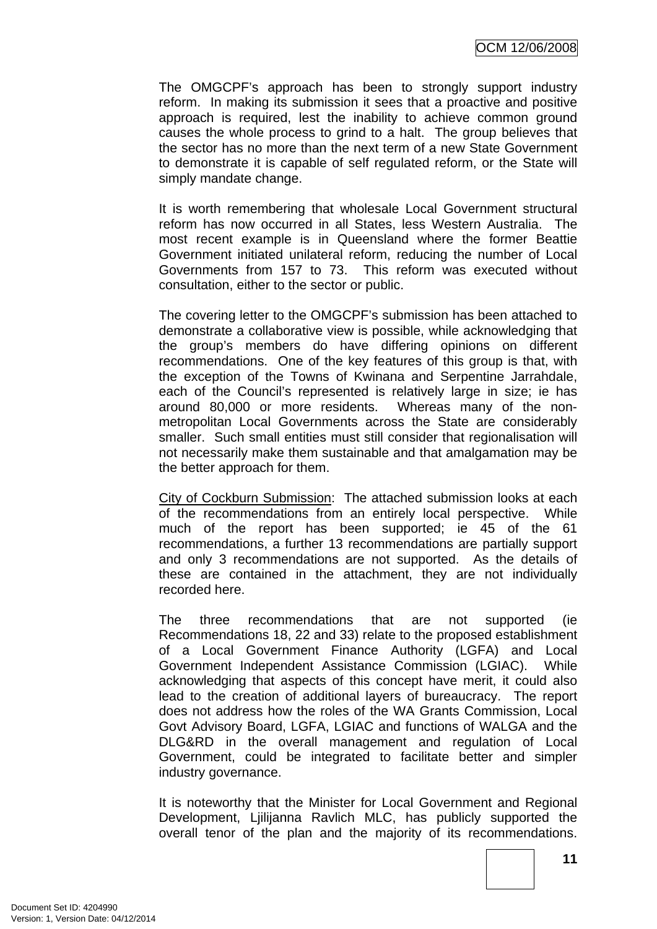The OMGCPF's approach has been to strongly support industry reform. In making its submission it sees that a proactive and positive approach is required, lest the inability to achieve common ground causes the whole process to grind to a halt. The group believes that the sector has no more than the next term of a new State Government to demonstrate it is capable of self regulated reform, or the State will simply mandate change.

It is worth remembering that wholesale Local Government structural reform has now occurred in all States, less Western Australia. The most recent example is in Queensland where the former Beattie Government initiated unilateral reform, reducing the number of Local Governments from 157 to 73. This reform was executed without consultation, either to the sector or public.

The covering letter to the OMGCPF's submission has been attached to demonstrate a collaborative view is possible, while acknowledging that the group's members do have differing opinions on different recommendations. One of the key features of this group is that, with the exception of the Towns of Kwinana and Serpentine Jarrahdale, each of the Council's represented is relatively large in size; ie has around 80,000 or more residents. Whereas many of the nonmetropolitan Local Governments across the State are considerably smaller. Such small entities must still consider that regionalisation will not necessarily make them sustainable and that amalgamation may be the better approach for them.

City of Cockburn Submission: The attached submission looks at each of the recommendations from an entirely local perspective. While much of the report has been supported; ie 45 of the 61 recommendations, a further 13 recommendations are partially support and only 3 recommendations are not supported. As the details of these are contained in the attachment, they are not individually recorded here.

The three recommendations that are not supported (ie Recommendations 18, 22 and 33) relate to the proposed establishment of a Local Government Finance Authority (LGFA) and Local Government Independent Assistance Commission (LGIAC). While acknowledging that aspects of this concept have merit, it could also lead to the creation of additional layers of bureaucracy. The report does not address how the roles of the WA Grants Commission, Local Govt Advisory Board, LGFA, LGIAC and functions of WALGA and the DLG&RD in the overall management and regulation of Local Government, could be integrated to facilitate better and simpler industry governance.

It is noteworthy that the Minister for Local Government and Regional Development, Ljilijanna Ravlich MLC, has publicly supported the overall tenor of the plan and the majority of its recommendations.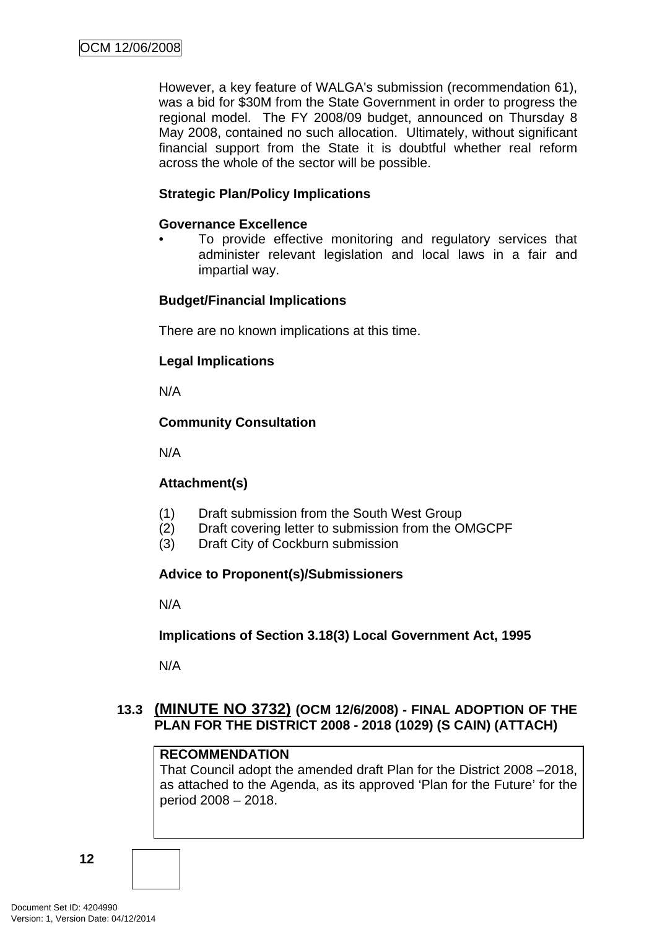<span id="page-15-0"></span>However, a key feature of WALGA's submission (recommendation 61), was a bid for \$30M from the State Government in order to progress the regional model. The FY 2008/09 budget, announced on Thursday 8 May 2008, contained no such allocation. Ultimately, without significant financial support from the State it is doubtful whether real reform across the whole of the sector will be possible.

## **Strategic Plan/Policy Implications**

### **Governance Excellence**

To provide effective monitoring and regulatory services that administer relevant legislation and local laws in a fair and impartial way.

## **Budget/Financial Implications**

There are no known implications at this time.

## **Legal Implications**

N/A

## **Community Consultation**

N/A

## **Attachment(s)**

- (1) Draft submission from the South West Group
- (2) Draft covering letter to submission from the OMGCPF
- (3) Draft City of Cockburn submission

## **Advice to Proponent(s)/Submissioners**

N/A

## **Implications of Section 3.18(3) Local Government Act, 1995**

N/A

## **13.3 (MINUTE NO 3732) (OCM 12/6/2008) - FINAL ADOPTION OF THE PLAN FOR THE DISTRICT 2008 - 2018 (1029) (S CAIN) (ATTACH)**

## **RECOMMENDATION**

That Council adopt the amended draft Plan for the District 2008 –2018, as attached to the Agenda, as its approved 'Plan for the Future' for the period 2008 – 2018.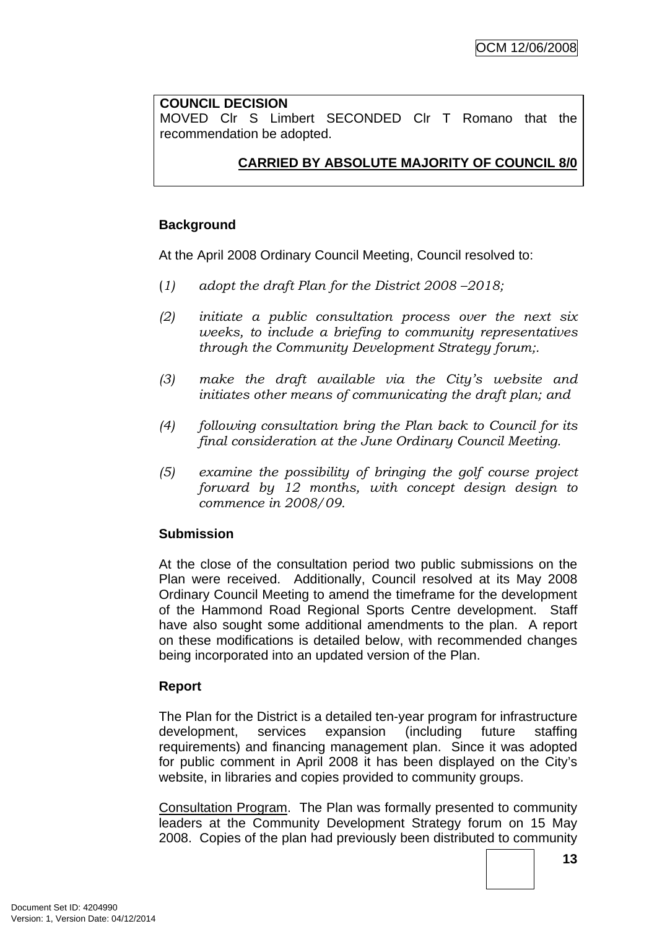## **COUNCIL DECISION**

MOVED Clr S Limbert SECONDED Clr T Romano that the recommendation be adopted.

## **CARRIED BY ABSOLUTE MAJORITY OF COUNCIL 8/0**

## **Background**

At the April 2008 Ordinary Council Meeting, Council resolved to:

- (*1) adopt the draft Plan for the District 2008 –2018;*
- *(2) initiate a public consultation process over the next six weeks, to include a briefing to community representatives through the Community Development Strategy forum;.*
- *(3) make the draft available via the City's website and initiates other means of communicating the draft plan; and*
- *(4) following consultation bring the Plan back to Council for its final consideration at the June Ordinary Council Meeting.*
- *(5) examine the possibility of bringing the golf course project forward by 12 months, with concept design design to commence in 2008/09.*

### **Submission**

At the close of the consultation period two public submissions on the Plan were received. Additionally, Council resolved at its May 2008 Ordinary Council Meeting to amend the timeframe for the development of the Hammond Road Regional Sports Centre development. Staff have also sought some additional amendments to the plan. A report on these modifications is detailed below, with recommended changes being incorporated into an updated version of the Plan.

### **Report**

The Plan for the District is a detailed ten-year program for infrastructure development, services expansion (including future staffing requirements) and financing management plan. Since it was adopted for public comment in April 2008 it has been displayed on the City's website, in libraries and copies provided to community groups.

Consultation Program. The Plan was formally presented to community leaders at the Community Development Strategy forum on 15 May 2008. Copies of the plan had previously been distributed to community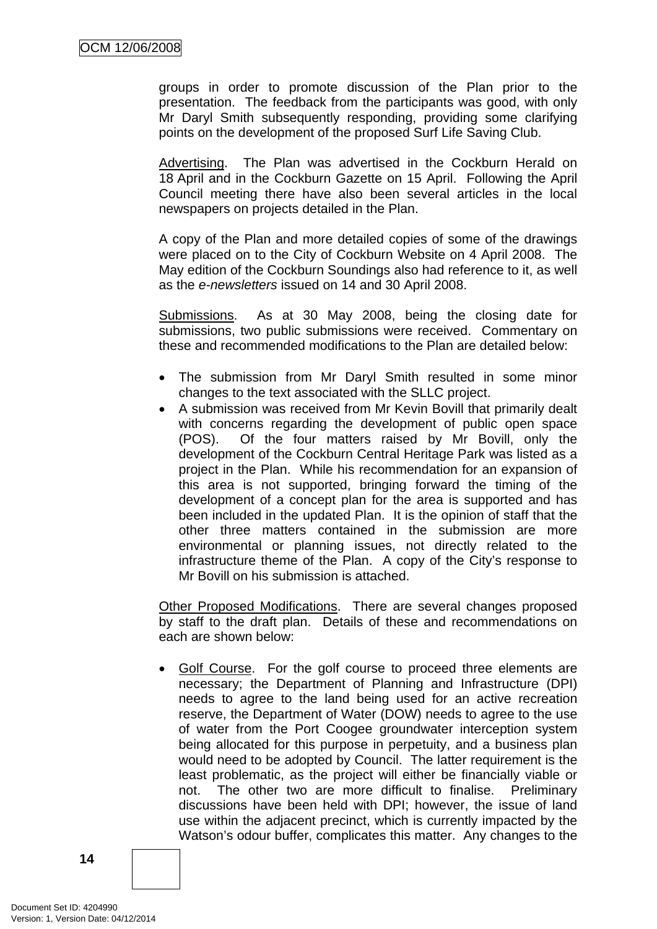groups in order to promote discussion of the Plan prior to the presentation. The feedback from the participants was good, with only Mr Daryl Smith subsequently responding, providing some clarifying points on the development of the proposed Surf Life Saving Club.

Advertising. The Plan was advertised in the Cockburn Herald on 18 April and in the Cockburn Gazette on 15 April. Following the April Council meeting there have also been several articles in the local newspapers on projects detailed in the Plan.

A copy of the Plan and more detailed copies of some of the drawings were placed on to the City of Cockburn Website on 4 April 2008. The May edition of the Cockburn Soundings also had reference to it, as well as the *e-newsletters* issued on 14 and 30 April 2008.

Submissions. As at 30 May 2008, being the closing date for submissions, two public submissions were received. Commentary on these and recommended modifications to the Plan are detailed below:

- The submission from Mr Daryl Smith resulted in some minor changes to the text associated with the SLLC project.
- A submission was received from Mr Kevin Bovill that primarily dealt with concerns regarding the development of public open space (POS). Of the four matters raised by Mr Bovill, only the development of the Cockburn Central Heritage Park was listed as a project in the Plan. While his recommendation for an expansion of this area is not supported, bringing forward the timing of the development of a concept plan for the area is supported and has been included in the updated Plan. It is the opinion of staff that the other three matters contained in the submission are more environmental or planning issues, not directly related to the infrastructure theme of the Plan. A copy of the City's response to Mr Bovill on his submission is attached.

Other Proposed Modifications. There are several changes proposed by staff to the draft plan. Details of these and recommendations on each are shown below:

• Golf Course. For the golf course to proceed three elements are necessary; the Department of Planning and Infrastructure (DPI) needs to agree to the land being used for an active recreation reserve, the Department of Water (DOW) needs to agree to the use of water from the Port Coogee groundwater interception system being allocated for this purpose in perpetuity, and a business plan would need to be adopted by Council. The latter requirement is the least problematic, as the project will either be financially viable or not. The other two are more difficult to finalise. Preliminary discussions have been held with DPI; however, the issue of land use within the adjacent precinct, which is currently impacted by the Watson's odour buffer, complicates this matter. Any changes to the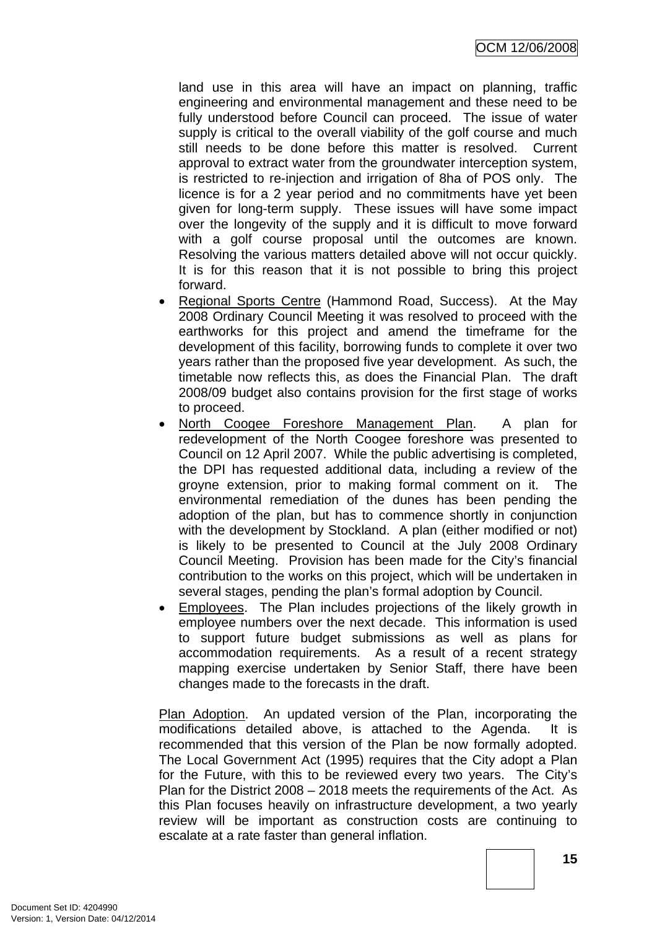land use in this area will have an impact on planning, traffic engineering and environmental management and these need to be fully understood before Council can proceed. The issue of water supply is critical to the overall viability of the golf course and much still needs to be done before this matter is resolved. Current approval to extract water from the groundwater interception system, is restricted to re-injection and irrigation of 8ha of POS only. The licence is for a 2 year period and no commitments have yet been given for long-term supply. These issues will have some impact over the longevity of the supply and it is difficult to move forward with a golf course proposal until the outcomes are known. Resolving the various matters detailed above will not occur quickly. It is for this reason that it is not possible to bring this project forward.

- Regional Sports Centre (Hammond Road, Success). At the May 2008 Ordinary Council Meeting it was resolved to proceed with the earthworks for this project and amend the timeframe for the development of this facility, borrowing funds to complete it over two years rather than the proposed five year development. As such, the timetable now reflects this, as does the Financial Plan. The draft 2008/09 budget also contains provision for the first stage of works to proceed.
- North Coogee Foreshore Management Plan. A plan for redevelopment of the North Coogee foreshore was presented to Council on 12 April 2007. While the public advertising is completed, the DPI has requested additional data, including a review of the groyne extension, prior to making formal comment on it. The environmental remediation of the dunes has been pending the adoption of the plan, but has to commence shortly in conjunction with the development by Stockland. A plan (either modified or not) is likely to be presented to Council at the July 2008 Ordinary Council Meeting. Provision has been made for the City's financial contribution to the works on this project, which will be undertaken in several stages, pending the plan's formal adoption by Council.
- **Employees.** The Plan includes projections of the likely growth in employee numbers over the next decade. This information is used to support future budget submissions as well as plans for accommodation requirements. As a result of a recent strategy mapping exercise undertaken by Senior Staff, there have been changes made to the forecasts in the draft.

Plan Adoption. An updated version of the Plan, incorporating the modifications detailed above, is attached to the Agenda. It is recommended that this version of the Plan be now formally adopted. The Local Government Act (1995) requires that the City adopt a Plan for the Future, with this to be reviewed every two years. The City's Plan for the District 2008 – 2018 meets the requirements of the Act. As this Plan focuses heavily on infrastructure development, a two yearly review will be important as construction costs are continuing to escalate at a rate faster than general inflation.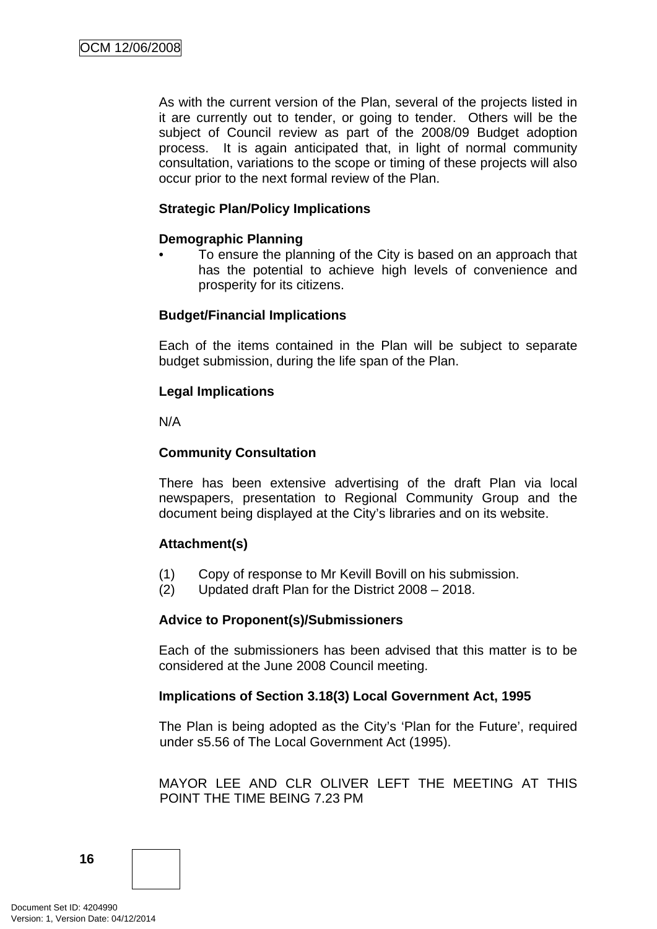As with the current version of the Plan, several of the projects listed in it are currently out to tender, or going to tender. Others will be the subject of Council review as part of the 2008/09 Budget adoption process. It is again anticipated that, in light of normal community consultation, variations to the scope or timing of these projects will also occur prior to the next formal review of the Plan.

## **Strategic Plan/Policy Implications**

## **Demographic Planning**

• To ensure the planning of the City is based on an approach that has the potential to achieve high levels of convenience and prosperity for its citizens.

## **Budget/Financial Implications**

Each of the items contained in the Plan will be subject to separate budget submission, during the life span of the Plan.

## **Legal Implications**

N/A

## **Community Consultation**

There has been extensive advertising of the draft Plan via local newspapers, presentation to Regional Community Group and the document being displayed at the City's libraries and on its website.

### **Attachment(s)**

- (1) Copy of response to Mr Kevill Bovill on his submission.
- (2) Updated draft Plan for the District 2008 2018.

## **Advice to Proponent(s)/Submissioners**

Each of the submissioners has been advised that this matter is to be considered at the June 2008 Council meeting.

## **Implications of Section 3.18(3) Local Government Act, 1995**

The Plan is being adopted as the City's 'Plan for the Future', required under s5.56 of The Local Government Act (1995).

MAYOR LEE AND CLR OLIVER LEFT THE MEETING AT THIS POINT THE TIME BEING 7.23 PM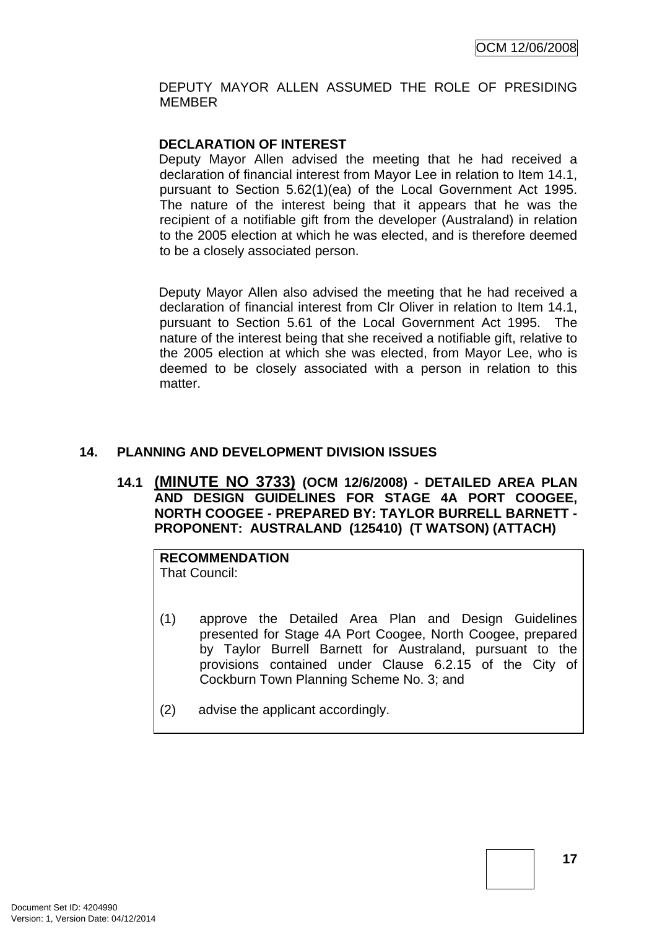<span id="page-20-0"></span>DEPUTY MAYOR ALLEN ASSUMED THE ROLE OF PRESIDING MEMBER

## **DECLARATION OF INTEREST**

Deputy Mayor Allen advised the meeting that he had received a declaration of financial interest from Mayor Lee in relation to Item 14.1, pursuant to Section 5.62(1)(ea) of the Local Government Act 1995. The nature of the interest being that it appears that he was the recipient of a notifiable gift from the developer (Australand) in relation to the 2005 election at which he was elected, and is therefore deemed to be a closely associated person.

Deputy Mayor Allen also advised the meeting that he had received a declaration of financial interest from Clr Oliver in relation to Item 14.1, pursuant to Section 5.61 of the Local Government Act 1995. The nature of the interest being that she received a notifiable gift, relative to the 2005 election at which she was elected, from Mayor Lee, who is deemed to be closely associated with a person in relation to this matter

## **14. PLANNING AND DEVELOPMENT DIVISION ISSUES**

**14.1 (MINUTE NO 3733) (OCM 12/6/2008) - DETAILED AREA PLAN AND DESIGN GUIDELINES FOR STAGE 4A PORT COOGEE, NORTH COOGEE - PREPARED BY: TAYLOR BURRELL BARNETT - PROPONENT: AUSTRALAND (125410) (T WATSON) (ATTACH)** 

# **RECOMMENDATION**

That Council:

- (1) approve the Detailed Area Plan and Design Guidelines presented for Stage 4A Port Coogee, North Coogee, prepared by Taylor Burrell Barnett for Australand, pursuant to the provisions contained under Clause 6.2.15 of the City of Cockburn Town Planning Scheme No. 3; and
- (2) advise the applicant accordingly.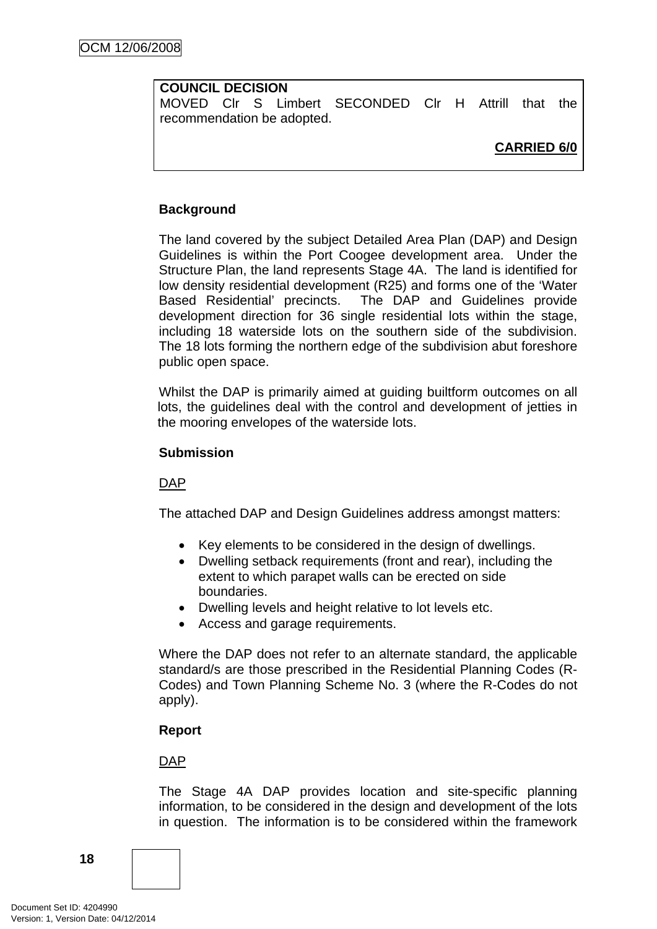## **COUNCIL DECISION**

MOVED Clr S Limbert SECONDED Clr H Attrill that the recommendation be adopted.

## **CARRIED 6/0**

## **Background**

The land covered by the subject Detailed Area Plan (DAP) and Design Guidelines is within the Port Coogee development area. Under the Structure Plan, the land represents Stage 4A. The land is identified for low density residential development (R25) and forms one of the 'Water Based Residential' precincts. The DAP and Guidelines provide development direction for 36 single residential lots within the stage, including 18 waterside lots on the southern side of the subdivision. The 18 lots forming the northern edge of the subdivision abut foreshore public open space.

Whilst the DAP is primarily aimed at guiding builtform outcomes on all lots, the guidelines deal with the control and development of jetties in the mooring envelopes of the waterside lots.

### **Submission**

### **DAP**

The attached DAP and Design Guidelines address amongst matters:

- Key elements to be considered in the design of dwellings.
- Dwelling setback requirements (front and rear), including the extent to which parapet walls can be erected on side boundaries.
- Dwelling levels and height relative to lot levels etc.
- Access and garage requirements.

Where the DAP does not refer to an alternate standard, the applicable standard/s are those prescribed in the Residential Planning Codes (R-Codes) and Town Planning Scheme No. 3 (where the R-Codes do not apply).

### **Report**

## DAP

The Stage 4A DAP provides location and site-specific planning information, to be considered in the design and development of the lots in question. The information is to be considered within the framework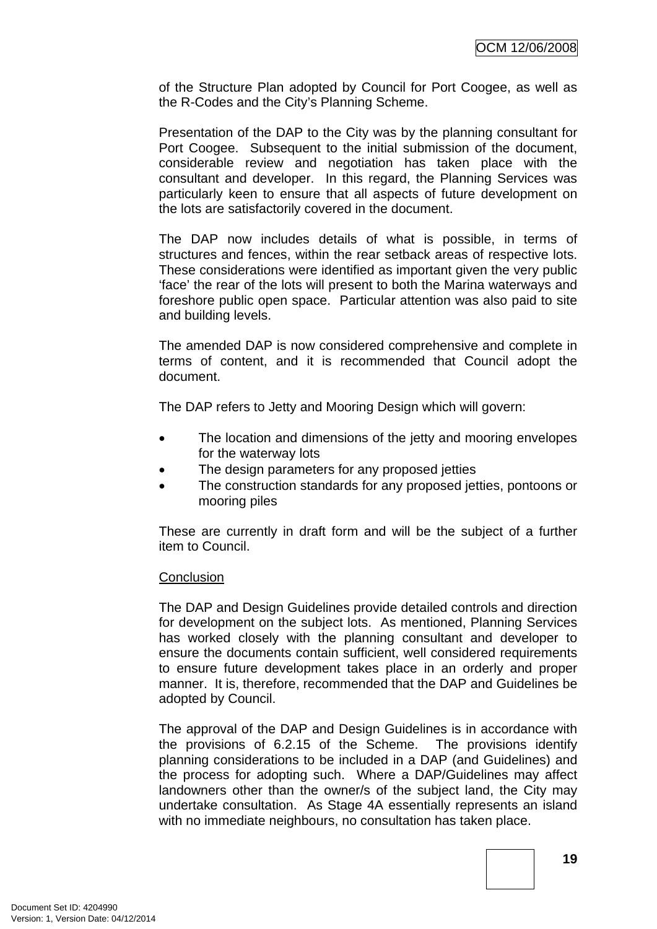of the Structure Plan adopted by Council for Port Coogee, as well as the R-Codes and the City's Planning Scheme.

Presentation of the DAP to the City was by the planning consultant for Port Coogee. Subsequent to the initial submission of the document, considerable review and negotiation has taken place with the consultant and developer. In this regard, the Planning Services was particularly keen to ensure that all aspects of future development on the lots are satisfactorily covered in the document.

The DAP now includes details of what is possible, in terms of structures and fences, within the rear setback areas of respective lots. These considerations were identified as important given the very public 'face' the rear of the lots will present to both the Marina waterways and foreshore public open space. Particular attention was also paid to site and building levels.

The amended DAP is now considered comprehensive and complete in terms of content, and it is recommended that Council adopt the document.

The DAP refers to Jetty and Mooring Design which will govern:

- The location and dimensions of the jetty and mooring envelopes for the waterway lots
- The design parameters for any proposed jetties
- The construction standards for any proposed jetties, pontoons or mooring piles

These are currently in draft form and will be the subject of a further item to Council.

### **Conclusion**

The DAP and Design Guidelines provide detailed controls and direction for development on the subject lots. As mentioned, Planning Services has worked closely with the planning consultant and developer to ensure the documents contain sufficient, well considered requirements to ensure future development takes place in an orderly and proper manner. It is, therefore, recommended that the DAP and Guidelines be adopted by Council.

The approval of the DAP and Design Guidelines is in accordance with the provisions of 6.2.15 of the Scheme. The provisions identify planning considerations to be included in a DAP (and Guidelines) and the process for adopting such. Where a DAP/Guidelines may affect landowners other than the owner/s of the subject land, the City may undertake consultation. As Stage 4A essentially represents an island with no immediate neighbours, no consultation has taken place.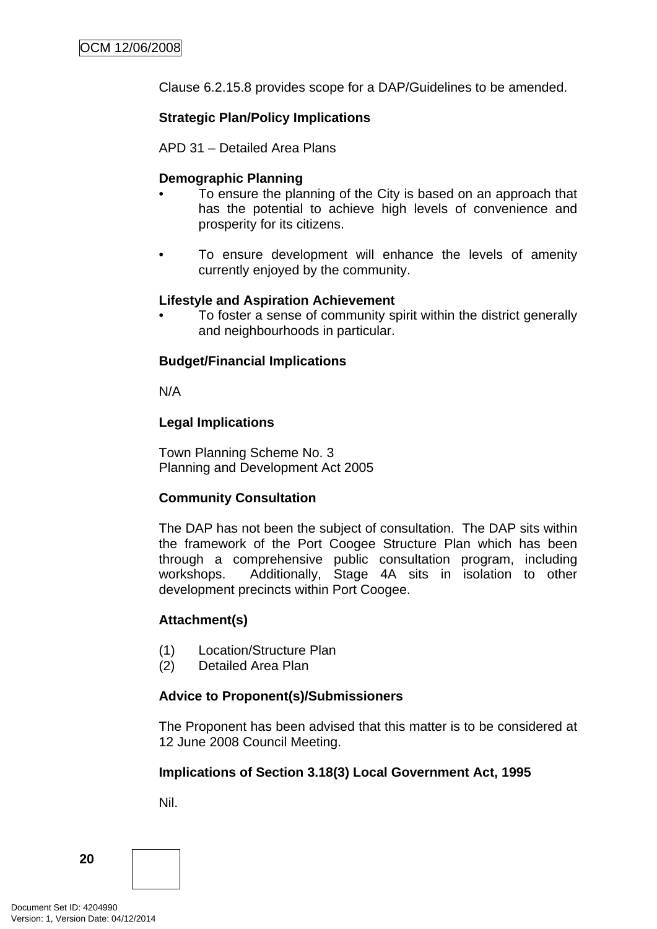Clause 6.2.15.8 provides scope for a DAP/Guidelines to be amended.

### **Strategic Plan/Policy Implications**

APD 31 – Detailed Area Plans

#### **Demographic Planning**

- To ensure the planning of the City is based on an approach that has the potential to achieve high levels of convenience and prosperity for its citizens.
- To ensure development will enhance the levels of amenity currently enjoyed by the community.

### **Lifestyle and Aspiration Achievement**

• To foster a sense of community spirit within the district generally and neighbourhoods in particular.

### **Budget/Financial Implications**

N/A

## **Legal Implications**

Town Planning Scheme No. 3 Planning and Development Act 2005

### **Community Consultation**

The DAP has not been the subject of consultation. The DAP sits within the framework of the Port Coogee Structure Plan which has been through a comprehensive public consultation program, including workshops. Additionally, Stage 4A sits in isolation to other development precincts within Port Coogee.

### **Attachment(s)**

- (1) Location/Structure Plan
- (2) Detailed Area Plan

### **Advice to Proponent(s)/Submissioners**

The Proponent has been advised that this matter is to be considered at 12 June 2008 Council Meeting.

### **Implications of Section 3.18(3) Local Government Act, 1995**

Nil.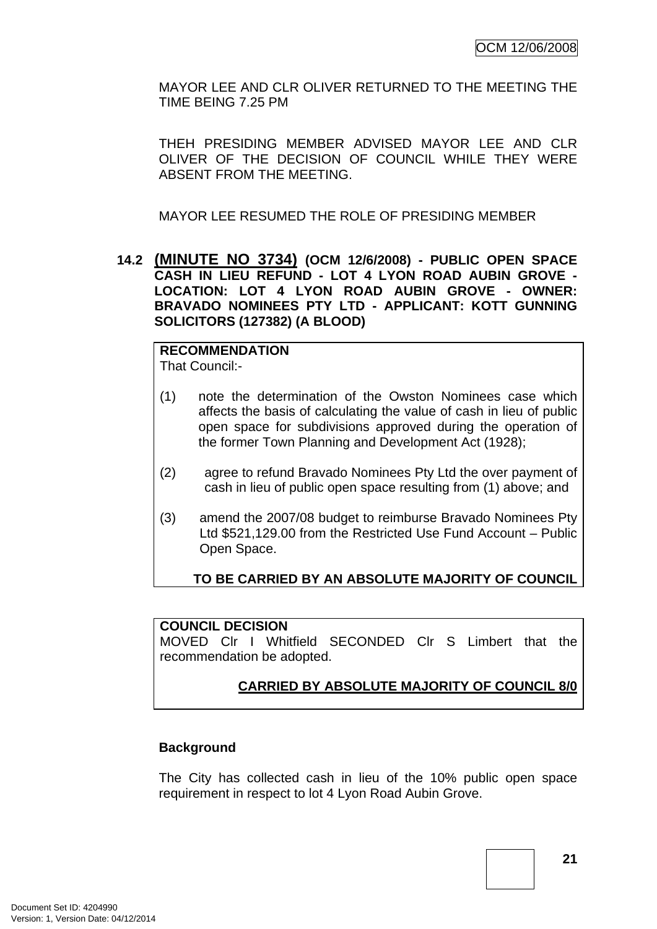<span id="page-24-0"></span>MAYOR LEE AND CLR OLIVER RETURNED TO THE MEETING THE TIME BEING 7.25 PM

THEH PRESIDING MEMBER ADVISED MAYOR LEE AND CLR OLIVER OF THE DECISION OF COUNCIL WHILE THEY WERE ABSENT FROM THE MEETING.

MAYOR LEE RESUMED THE ROLE OF PRESIDING MEMBER

**14.2 (MINUTE NO 3734) (OCM 12/6/2008) - PUBLIC OPEN SPACE CASH IN LIEU REFUND - LOT 4 LYON ROAD AUBIN GROVE - LOCATION: LOT 4 LYON ROAD AUBIN GROVE - OWNER: BRAVADO NOMINEES PTY LTD - APPLICANT: KOTT GUNNING SOLICITORS (127382) (A BLOOD)** 

**RECOMMENDATION** That Council:-

- (1) note the determination of the Owston Nominees case which affects the basis of calculating the value of cash in lieu of public open space for subdivisions approved during the operation of the former Town Planning and Development Act (1928);
- (2) agree to refund Bravado Nominees Pty Ltd the over payment of cash in lieu of public open space resulting from (1) above; and
- (3) amend the 2007/08 budget to reimburse Bravado Nominees Pty Ltd \$521,129.00 from the Restricted Use Fund Account – Public Open Space.

**TO BE CARRIED BY AN ABSOLUTE MAJORITY OF COUNCIL**

### **COUNCIL DECISION**

MOVED Clr I Whitfield SECONDED Clr S Limbert that the recommendation be adopted.

## **CARRIED BY ABSOLUTE MAJORITY OF COUNCIL 8/0**

### **Background**

The City has collected cash in lieu of the 10% public open space requirement in respect to lot 4 Lyon Road Aubin Grove.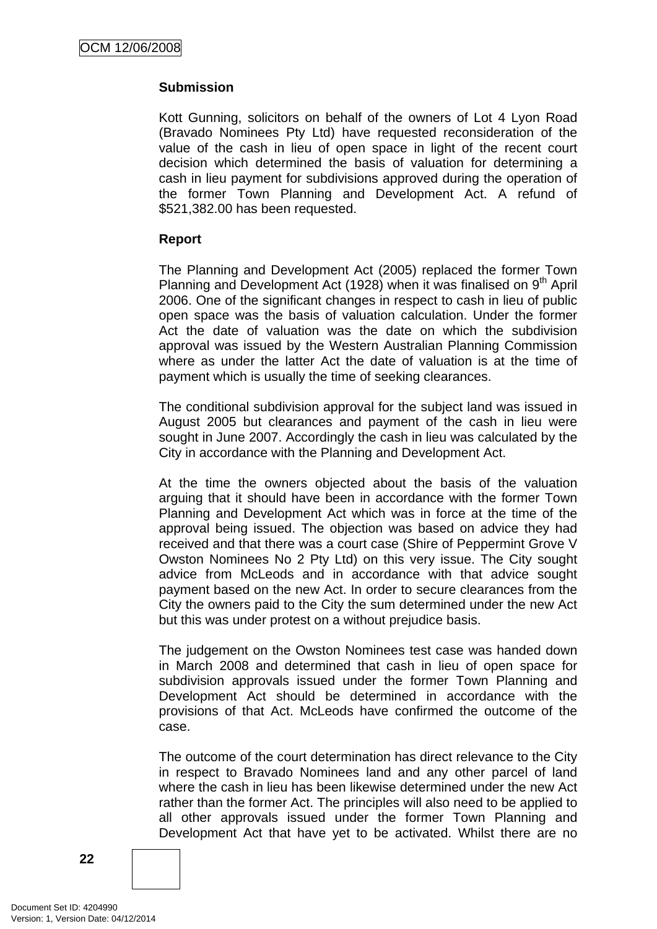## **Submission**

Kott Gunning, solicitors on behalf of the owners of Lot 4 Lyon Road (Bravado Nominees Pty Ltd) have requested reconsideration of the value of the cash in lieu of open space in light of the recent court decision which determined the basis of valuation for determining a cash in lieu payment for subdivisions approved during the operation of the former Town Planning and Development Act. A refund of \$521,382.00 has been requested.

## **Report**

The Planning and Development Act (2005) replaced the former Town Planning and Development Act (1928) when it was finalised on 9<sup>th</sup> April 2006. One of the significant changes in respect to cash in lieu of public open space was the basis of valuation calculation. Under the former Act the date of valuation was the date on which the subdivision approval was issued by the Western Australian Planning Commission where as under the latter Act the date of valuation is at the time of payment which is usually the time of seeking clearances.

The conditional subdivision approval for the subject land was issued in August 2005 but clearances and payment of the cash in lieu were sought in June 2007. Accordingly the cash in lieu was calculated by the City in accordance with the Planning and Development Act.

At the time the owners objected about the basis of the valuation arguing that it should have been in accordance with the former Town Planning and Development Act which was in force at the time of the approval being issued. The objection was based on advice they had received and that there was a court case (Shire of Peppermint Grove V Owston Nominees No 2 Pty Ltd) on this very issue. The City sought advice from McLeods and in accordance with that advice sought payment based on the new Act. In order to secure clearances from the City the owners paid to the City the sum determined under the new Act but this was under protest on a without prejudice basis.

The judgement on the Owston Nominees test case was handed down in March 2008 and determined that cash in lieu of open space for subdivision approvals issued under the former Town Planning and Development Act should be determined in accordance with the provisions of that Act. McLeods have confirmed the outcome of the case.

The outcome of the court determination has direct relevance to the City in respect to Bravado Nominees land and any other parcel of land where the cash in lieu has been likewise determined under the new Act rather than the former Act. The principles will also need to be applied to all other approvals issued under the former Town Planning and Development Act that have yet to be activated. Whilst there are no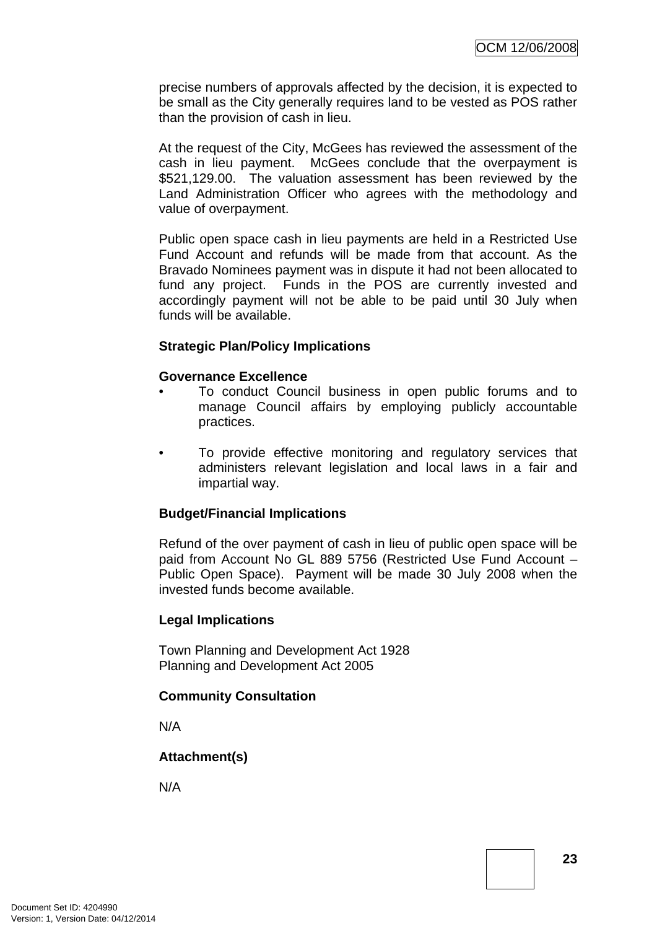precise numbers of approvals affected by the decision, it is expected to be small as the City generally requires land to be vested as POS rather than the provision of cash in lieu.

At the request of the City, McGees has reviewed the assessment of the cash in lieu payment. McGees conclude that the overpayment is \$521,129.00. The valuation assessment has been reviewed by the Land Administration Officer who agrees with the methodology and value of overpayment.

Public open space cash in lieu payments are held in a Restricted Use Fund Account and refunds will be made from that account. As the Bravado Nominees payment was in dispute it had not been allocated to fund any project. Funds in the POS are currently invested and accordingly payment will not be able to be paid until 30 July when funds will be available.

### **Strategic Plan/Policy Implications**

### **Governance Excellence**

- To conduct Council business in open public forums and to manage Council affairs by employing publicly accountable practices.
- To provide effective monitoring and regulatory services that administers relevant legislation and local laws in a fair and impartial way.

### **Budget/Financial Implications**

Refund of the over payment of cash in lieu of public open space will be paid from Account No GL 889 5756 (Restricted Use Fund Account – Public Open Space). Payment will be made 30 July 2008 when the invested funds become available.

### **Legal Implications**

Town Planning and Development Act 1928 Planning and Development Act 2005

### **Community Consultation**

N/A

**Attachment(s)**

N/A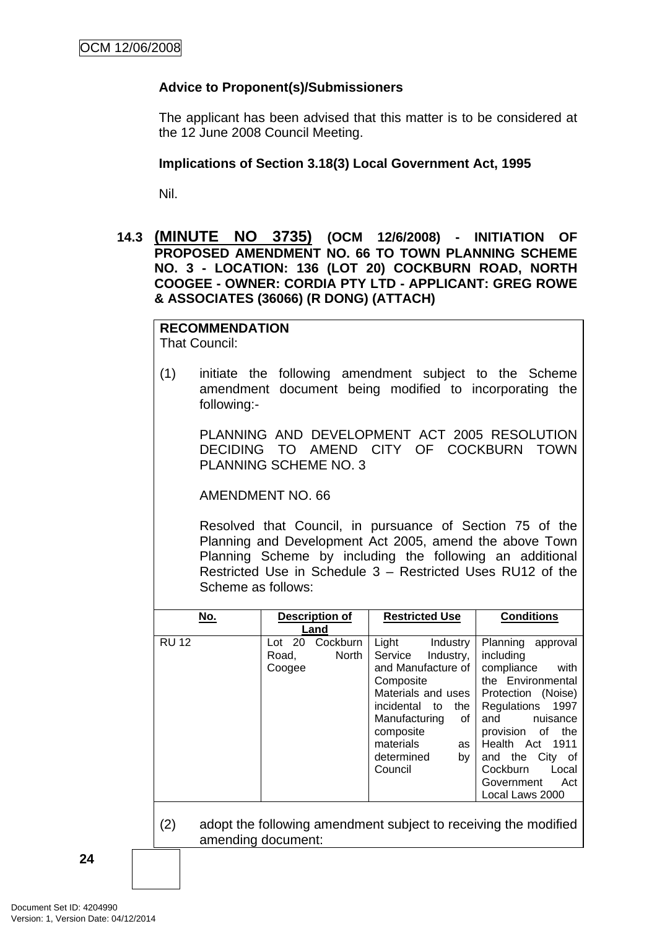## <span id="page-27-0"></span>**Advice to Proponent(s)/Submissioners**

The applicant has been advised that this matter is to be considered at the 12 June 2008 Council Meeting.

#### **Implications of Section 3.18(3) Local Government Act, 1995**

Nil.

**14.3 (MINUTE NO 3735) (OCM 12/6/2008) - INITIATION OF PROPOSED AMENDMENT NO. 66 TO TOWN PLANNING SCHEME NO. 3 - LOCATION: 136 (LOT 20) COCKBURN ROAD, NORTH COOGEE - OWNER: CORDIA PTY LTD - APPLICANT: GREG ROWE & ASSOCIATES (36066) (R DONG) (ATTACH)** 

# **RECOMMENDATION**

That Council:

(1) initiate the following amendment subject to the Scheme amendment document being modified to incorporating the following:-

 PLANNING AND DEVELOPMENT ACT 2005 RESOLUTION DECIDING TO AMEND CITY OF COCKBURN TOWN PLANNING SCHEME NO. 3

AMENDMENT NO. 66

amending document:

Resolved that Council, in pursuance of Section 75 of the Planning and Development Act 2005, amend the above Town Planning Scheme by including the following an additional Restricted Use in Schedule 3 – Restricted Uses RU12 of the Scheme as follows:

| No.          | Description of<br>Land                                          | <b>Restricted Use</b>                                                                                                                                                                                               | <b>Conditions</b>                                                                                                                                                                                                                                                          |
|--------------|-----------------------------------------------------------------|---------------------------------------------------------------------------------------------------------------------------------------------------------------------------------------------------------------------|----------------------------------------------------------------------------------------------------------------------------------------------------------------------------------------------------------------------------------------------------------------------------|
| <b>RU 12</b> | Cockburn<br>Lot 20<br><b>North</b><br>Road,<br>Coogee           | Light<br>Industry<br>Service<br>Industry,<br>and Manufacture of<br>Composite<br>Materials and uses<br>incidental<br>the<br>to<br>Manufacturing<br>οf<br>composite<br>materials<br>as<br>determined<br>by<br>Council | Planning<br>approval<br>including<br>compliance<br>with<br>the Environmental<br>Protection (Noise)<br>Regulations 1997<br>nuisance<br>and<br>provision<br>the<br>of.<br>Health Act 1911<br>and the<br>City of<br>Cockburn<br>Local<br>Act<br>Government<br>Local Laws 2000 |
| (2)          | adopt the following amendment subject to receiving the modified |                                                                                                                                                                                                                     |                                                                                                                                                                                                                                                                            |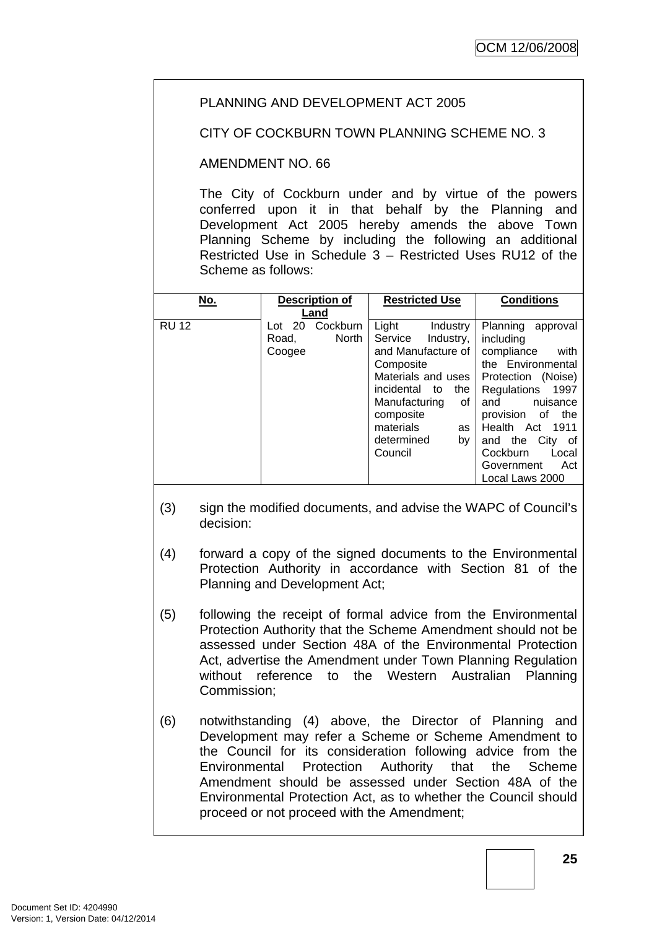## PLANNING AND DEVELOPMENT ACT 2005

CITY OF COCKBURN TOWN PLANNING SCHEME NO. 3

AMENDMENT NO. 66

The City of Cockburn under and by virtue of the powers conferred upon it in that behalf by the Planning and Development Act 2005 hereby amends the above Town Planning Scheme by including the following an additional Restricted Use in Schedule 3 – Restricted Uses RU12 of the Scheme as follows:

| No.          | Description of<br>Land                                | <b>Restricted Use</b>                                                                                                                                                                                               | <b>Conditions</b>                                                                                                                                                                                                                                                            |
|--------------|-------------------------------------------------------|---------------------------------------------------------------------------------------------------------------------------------------------------------------------------------------------------------------------|------------------------------------------------------------------------------------------------------------------------------------------------------------------------------------------------------------------------------------------------------------------------------|
| <b>RU 12</b> | Cockburn<br>Lot 20<br><b>North</b><br>Road,<br>Coogee | Light<br>Industry<br>Service<br>Industry,<br>and Manufacture of<br>Composite<br>Materials and uses<br>incidental<br>to<br>the<br>Manufacturing<br>οf<br>composite<br>materials<br>as<br>determined<br>by<br>Council | Planning<br>approval<br>including<br>compliance<br>with<br>the Environmental<br>Protection (Noise)<br>Regulations<br>1997<br>nuisance<br>and<br>provision<br>the<br>of<br>Health Act<br>1911<br>and the City of<br>Cockburn<br>Local<br>Government<br>Act<br>Local Laws 2000 |

- (3) sign the modified documents, and advise the WAPC of Council's decision:
- (4) forward a copy of the signed documents to the Environmental Protection Authority in accordance with Section 81 of the Planning and Development Act;
- (5) following the receipt of formal advice from the Environmental Protection Authority that the Scheme Amendment should not be assessed under Section 48A of the Environmental Protection Act, advertise the Amendment under Town Planning Regulation without reference to the Western Australian Planning Commission;
- (6) notwithstanding (4) above, the Director of Planning and Development may refer a Scheme or Scheme Amendment to the Council for its consideration following advice from the Environmental Protection Authority that the Scheme Amendment should be assessed under Section 48A of the Environmental Protection Act, as to whether the Council should proceed or not proceed with the Amendment;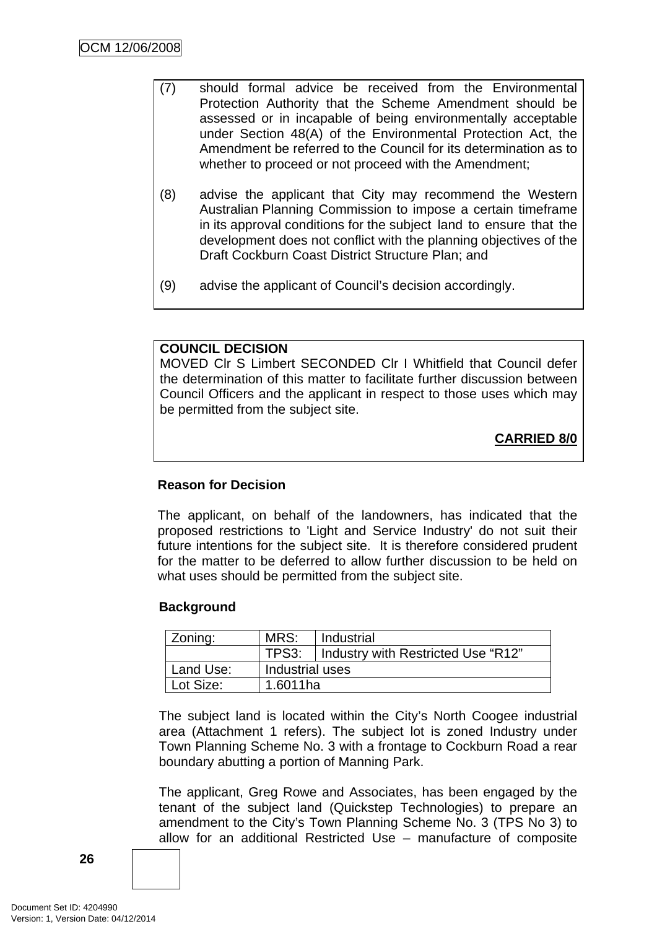- (7) should formal advice be received from the Environmental Protection Authority that the Scheme Amendment should be assessed or in incapable of being environmentally acceptable under Section 48(A) of the Environmental Protection Act, the Amendment be referred to the Council for its determination as to whether to proceed or not proceed with the Amendment;
- (8) advise the applicant that City may recommend the Western Australian Planning Commission to impose a certain timeframe in its approval conditions for the subject land to ensure that the development does not conflict with the planning objectives of the Draft Cockburn Coast District Structure Plan; and
- (9) advise the applicant of Council's decision accordingly.

## **COUNCIL DECISION**

MOVED Clr S Limbert SECONDED Clr I Whitfield that Council defer the determination of this matter to facilitate further discussion between Council Officers and the applicant in respect to those uses which may be permitted from the subject site.

**CARRIED 8/0**

### **Reason for Decision**

The applicant, on behalf of the landowners, has indicated that the proposed restrictions to 'Light and Service Industry' do not suit their future intentions for the subject site. It is therefore considered prudent for the matter to be deferred to allow further discussion to be held on what uses should be permitted from the subject site.

### **Background**

| Zoning:   | MRS:            | Industrial                         |  |
|-----------|-----------------|------------------------------------|--|
|           | TPS3:           | Industry with Restricted Use "R12" |  |
| Land Use: | Industrial uses |                                    |  |
| Lot Size: | 1.6011ha        |                                    |  |

The subject land is located within the City's North Coogee industrial area (Attachment 1 refers). The subject lot is zoned Industry under Town Planning Scheme No. 3 with a frontage to Cockburn Road a rear boundary abutting a portion of Manning Park.

The applicant, Greg Rowe and Associates, has been engaged by the tenant of the subject land (Quickstep Technologies) to prepare an amendment to the City's Town Planning Scheme No. 3 (TPS No 3) to allow for an additional Restricted Use – manufacture of composite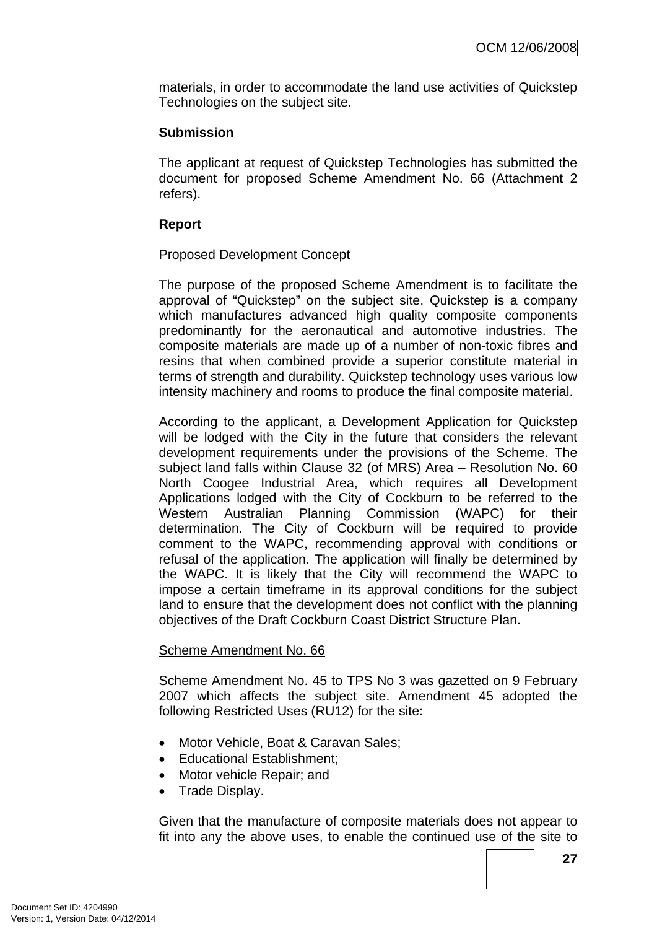materials, in order to accommodate the land use activities of Quickstep Technologies on the subject site.

## **Submission**

The applicant at request of Quickstep Technologies has submitted the document for proposed Scheme Amendment No. 66 (Attachment 2 refers).

## **Report**

### Proposed Development Concept

The purpose of the proposed Scheme Amendment is to facilitate the approval of "Quickstep" on the subject site. Quickstep is a company which manufactures advanced high quality composite components predominantly for the aeronautical and automotive industries. The composite materials are made up of a number of non-toxic fibres and resins that when combined provide a superior constitute material in terms of strength and durability. Quickstep technology uses various low intensity machinery and rooms to produce the final composite material.

According to the applicant, a Development Application for Quickstep will be lodged with the City in the future that considers the relevant development requirements under the provisions of the Scheme. The subject land falls within Clause 32 (of MRS) Area – Resolution No. 60 North Coogee Industrial Area, which requires all Development Applications lodged with the City of Cockburn to be referred to the Western Australian Planning Commission (WAPC) for their determination. The City of Cockburn will be required to provide comment to the WAPC, recommending approval with conditions or refusal of the application. The application will finally be determined by the WAPC. It is likely that the City will recommend the WAPC to impose a certain timeframe in its approval conditions for the subject land to ensure that the development does not conflict with the planning objectives of the Draft Cockburn Coast District Structure Plan.

### Scheme Amendment No. 66

Scheme Amendment No. 45 to TPS No 3 was gazetted on 9 February 2007 which affects the subject site. Amendment 45 adopted the following Restricted Uses (RU12) for the site:

- Motor Vehicle, Boat & Caravan Sales;
- Educational Establishment;
- Motor vehicle Repair; and
- Trade Display.

Given that the manufacture of composite materials does not appear to fit into any the above uses, to enable the continued use of the site to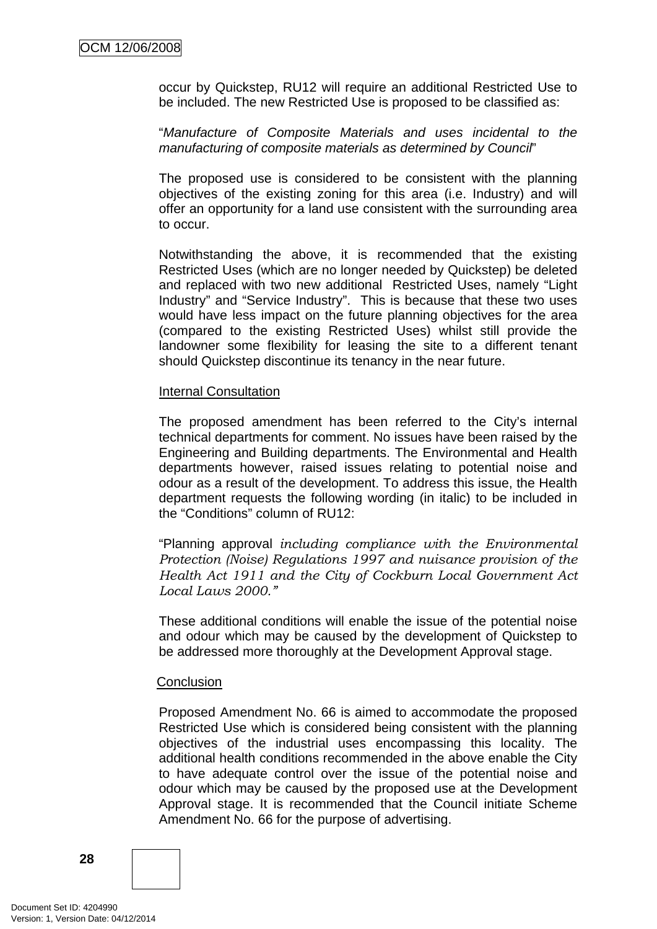occur by Quickstep, RU12 will require an additional Restricted Use to be included. The new Restricted Use is proposed to be classified as:

"*Manufacture of Composite Materials and uses incidental to the manufacturing of composite materials as determined by Council*"

The proposed use is considered to be consistent with the planning objectives of the existing zoning for this area (i.e. Industry) and will offer an opportunity for a land use consistent with the surrounding area to occur.

Notwithstanding the above, it is recommended that the existing Restricted Uses (which are no longer needed by Quickstep) be deleted and replaced with two new additional Restricted Uses, namely "Light Industry" and "Service Industry". This is because that these two uses would have less impact on the future planning objectives for the area (compared to the existing Restricted Uses) whilst still provide the landowner some flexibility for leasing the site to a different tenant should Quickstep discontinue its tenancy in the near future.

#### Internal Consultation

The proposed amendment has been referred to the City's internal technical departments for comment. No issues have been raised by the Engineering and Building departments. The Environmental and Health departments however, raised issues relating to potential noise and odour as a result of the development. To address this issue, the Health department requests the following wording (in italic) to be included in the "Conditions" column of RU12:

"Planning approval *including compliance with the Environmental Protection (Noise) Regulations 1997 and nuisance provision of the Health Act 1911 and the City of Cockburn Local Government Act Local Laws 2000."* 

These additional conditions will enable the issue of the potential noise and odour which may be caused by the development of Quickstep to be addressed more thoroughly at the Development Approval stage.

#### **Conclusion**

Proposed Amendment No. 66 is aimed to accommodate the proposed Restricted Use which is considered being consistent with the planning objectives of the industrial uses encompassing this locality. The additional health conditions recommended in the above enable the City to have adequate control over the issue of the potential noise and odour which may be caused by the proposed use at the Development Approval stage. It is recommended that the Council initiate Scheme Amendment No. 66 for the purpose of advertising.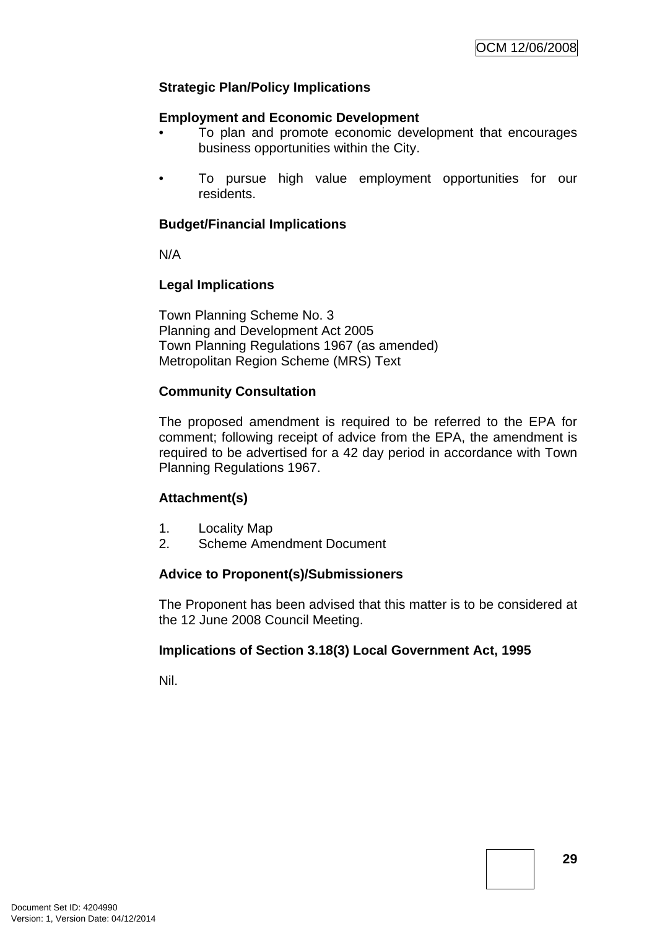## **Strategic Plan/Policy Implications**

#### **Employment and Economic Development**

- To plan and promote economic development that encourages business opportunities within the City.
- To pursue high value employment opportunities for our residents.

#### **Budget/Financial Implications**

N/A

## **Legal Implications**

Town Planning Scheme No. 3 Planning and Development Act 2005 Town Planning Regulations 1967 (as amended) Metropolitan Region Scheme (MRS) Text

### **Community Consultation**

The proposed amendment is required to be referred to the EPA for comment; following receipt of advice from the EPA, the amendment is required to be advertised for a 42 day period in accordance with Town Planning Regulations 1967.

### **Attachment(s)**

- 1. Locality Map
- 2. Scheme Amendment Document

### **Advice to Proponent(s)/Submissioners**

The Proponent has been advised that this matter is to be considered at the 12 June 2008 Council Meeting.

### **Implications of Section 3.18(3) Local Government Act, 1995**

Nil.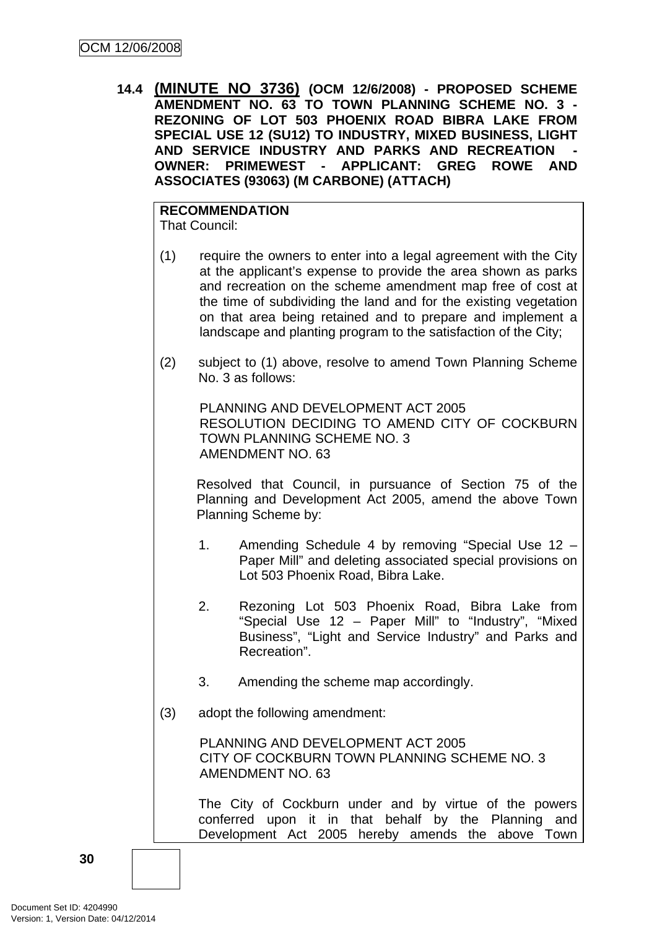<span id="page-33-0"></span>**14.4 (MINUTE NO 3736) (OCM 12/6/2008) - PROPOSED SCHEME AMENDMENT NO. 63 TO TOWN PLANNING SCHEME NO. 3 - REZONING OF LOT 503 PHOENIX ROAD BIBRA LAKE FROM SPECIAL USE 12 (SU12) TO INDUSTRY, MIXED BUSINESS, LIGHT AND SERVICE INDUSTRY AND PARKS AND RECREATION OWNER: PRIMEWEST - APPLICANT: GREG ROWE AND ASSOCIATES (93063) (M CARBONE) (ATTACH)** 

# **RECOMMENDATION**

That Council:

- (1) require the owners to enter into a legal agreement with the City at the applicant's expense to provide the area shown as parks and recreation on the scheme amendment map free of cost at the time of subdividing the land and for the existing vegetation on that area being retained and to prepare and implement a landscape and planting program to the satisfaction of the City;
- (2) subject to (1) above, resolve to amend Town Planning Scheme No. 3 as follows:

PLANNING AND DEVELOPMENT ACT 2005 RESOLUTION DECIDING TO AMEND CITY OF COCKBURN TOWN PLANNING SCHEME NO. 3 AMENDMENT NO. 63

Resolved that Council, in pursuance of Section 75 of the Planning and Development Act 2005, amend the above Town Planning Scheme by:

- 1. Amending Schedule 4 by removing "Special Use 12 Paper Mill" and deleting associated special provisions on Lot 503 Phoenix Road, Bibra Lake.
- 2. Rezoning Lot 503 Phoenix Road, Bibra Lake from "Special Use 12 – Paper Mill" to "Industry", "Mixed Business", "Light and Service Industry" and Parks and Recreation".
- 3. Amending the scheme map accordingly.
- (3) adopt the following amendment:

PLANNING AND DEVELOPMENT ACT 2005 CITY OF COCKBURN TOWN PLANNING SCHEME NO. 3 AMENDMENT NO. 63

The City of Cockburn under and by virtue of the powers conferred upon it in that behalf by the Planning and Development Act 2005 hereby amends the above Town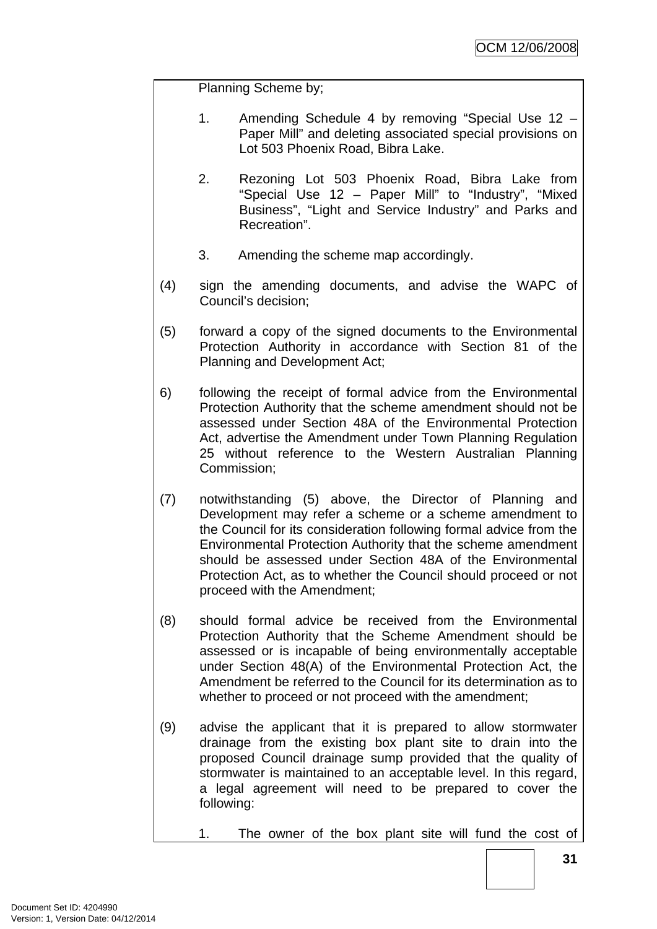Planning Scheme by;

- 1. Amending Schedule 4 by removing "Special Use 12 Paper Mill" and deleting associated special provisions on Lot 503 Phoenix Road, Bibra Lake.
- 2. Rezoning Lot 503 Phoenix Road, Bibra Lake from "Special Use 12 – Paper Mill" to "Industry", "Mixed Business", "Light and Service Industry" and Parks and Recreation".
- 3. Amending the scheme map accordingly.
- (4) sign the amending documents, and advise the WAPC of Council's decision;
- (5) forward a copy of the signed documents to the Environmental Protection Authority in accordance with Section 81 of the Planning and Development Act;
- 6) following the receipt of formal advice from the Environmental Protection Authority that the scheme amendment should not be assessed under Section 48A of the Environmental Protection Act, advertise the Amendment under Town Planning Regulation 25 without reference to the Western Australian Planning Commission;
- (7) notwithstanding (5) above, the Director of Planning and Development may refer a scheme or a scheme amendment to the Council for its consideration following formal advice from the Environmental Protection Authority that the scheme amendment should be assessed under Section 48A of the Environmental Protection Act, as to whether the Council should proceed or not proceed with the Amendment;
- (8) should formal advice be received from the Environmental Protection Authority that the Scheme Amendment should be assessed or is incapable of being environmentally acceptable under Section 48(A) of the Environmental Protection Act, the Amendment be referred to the Council for its determination as to whether to proceed or not proceed with the amendment;
- (9) advise the applicant that it is prepared to allow stormwater drainage from the existing box plant site to drain into the proposed Council drainage sump provided that the quality of stormwater is maintained to an acceptable level. In this regard, a legal agreement will need to be prepared to cover the following:

1. The owner of the box plant site will fund the cost of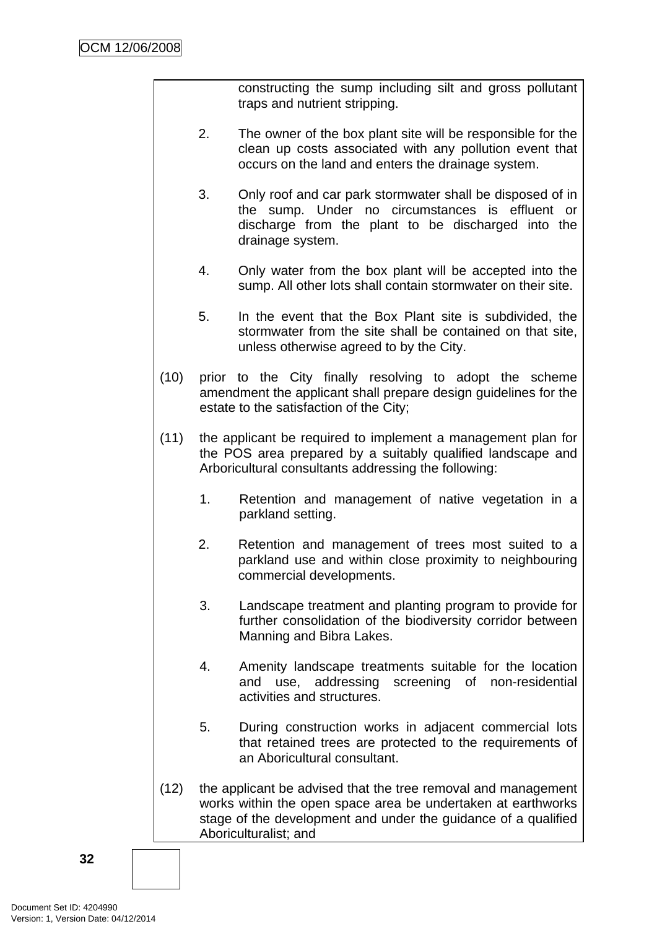constructing the sump including silt and gross pollutant traps and nutrient stripping.

- 2. The owner of the box plant site will be responsible for the clean up costs associated with any pollution event that occurs on the land and enters the drainage system.
- 3. Only roof and car park stormwater shall be disposed of in the sump. Under no circumstances is effluent or discharge from the plant to be discharged into the drainage system.
- 4. Only water from the box plant will be accepted into the sump. All other lots shall contain stormwater on their site.
- 5. In the event that the Box Plant site is subdivided, the stormwater from the site shall be contained on that site, unless otherwise agreed to by the City.
- (10) prior to the City finally resolving to adopt the scheme amendment the applicant shall prepare design guidelines for the estate to the satisfaction of the City;
- (11) the applicant be required to implement a management plan for the POS area prepared by a suitably qualified landscape and Arboricultural consultants addressing the following:
	- 1. Retention and management of native vegetation in a parkland setting.
	- 2. Retention and management of trees most suited to a parkland use and within close proximity to neighbouring commercial developments.
	- 3. Landscape treatment and planting program to provide for further consolidation of the biodiversity corridor between Manning and Bibra Lakes.
	- 4. Amenity landscape treatments suitable for the location and use, addressing screening of non-residential activities and structures.
	- 5. During construction works in adjacent commercial lots that retained trees are protected to the requirements of an Aboricultural consultant.
- (12) the applicant be advised that the tree removal and management works within the open space area be undertaken at earthworks stage of the development and under the guidance of a qualified Aboriculturalist; and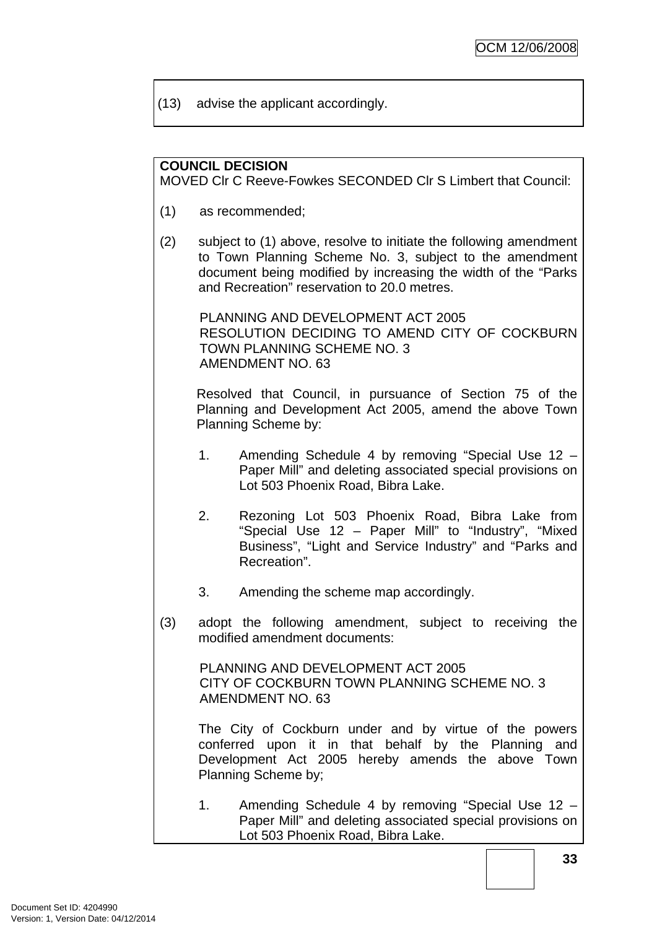(13) advise the applicant accordingly.

### **COUNCIL DECISION**

MOVED Clr C Reeve-Fowkes SECONDED Clr S Limbert that Council:

- (1) as recommended;
- (2) subject to (1) above, resolve to initiate the following amendment to Town Planning Scheme No. 3, subject to the amendment document being modified by increasing the width of the "Parks and Recreation" reservation to 20.0 metres.

PLANNING AND DEVELOPMENT ACT 2005 RESOLUTION DECIDING TO AMEND CITY OF COCKBURN TOWN PLANNING SCHEME NO. 3 AMENDMENT NO. 63

Resolved that Council, in pursuance of Section 75 of the Planning and Development Act 2005, amend the above Town Planning Scheme by:

- 1. Amending Schedule 4 by removing "Special Use 12 Paper Mill" and deleting associated special provisions on Lot 503 Phoenix Road, Bibra Lake.
- 2. Rezoning Lot 503 Phoenix Road, Bibra Lake from "Special Use 12 – Paper Mill" to "Industry", "Mixed Business", "Light and Service Industry" and "Parks and Recreation".
- 3. Amending the scheme map accordingly.
- (3) adopt the following amendment, subject to receiving the modified amendment documents:

PLANNING AND DEVELOPMENT ACT 2005 CITY OF COCKBURN TOWN PLANNING SCHEME NO. 3 AMENDMENT NO. 63

The City of Cockburn under and by virtue of the powers conferred upon it in that behalf by the Planning and Development Act 2005 hereby amends the above Town Planning Scheme by;

1. Amending Schedule 4 by removing "Special Use 12 – Paper Mill" and deleting associated special provisions on Lot 503 Phoenix Road, Bibra Lake.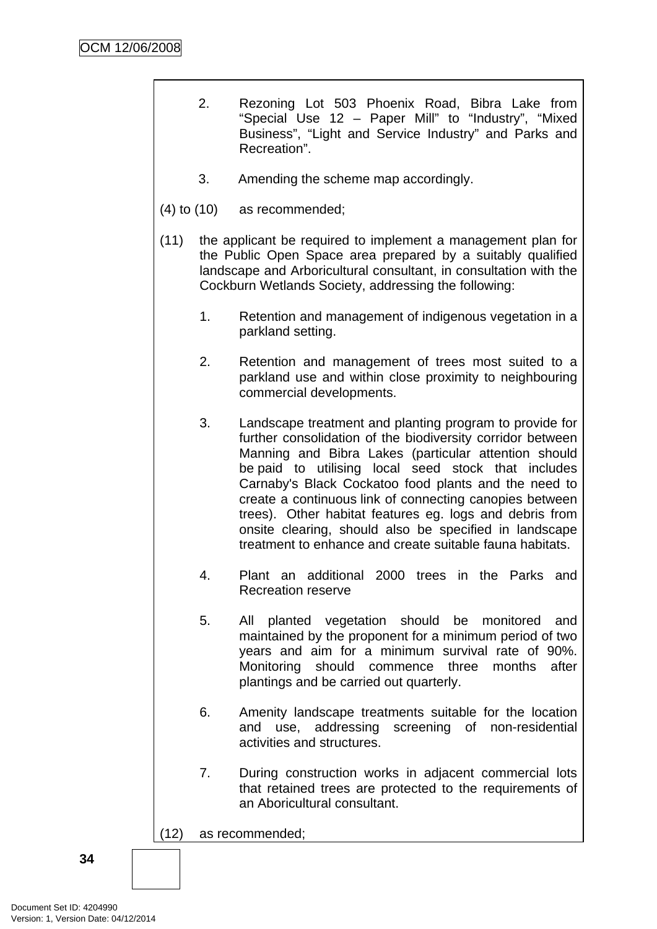- 2. Rezoning Lot 503 Phoenix Road, Bibra Lake from "Special Use 12 – Paper Mill" to "Industry", "Mixed Business", "Light and Service Industry" and Parks and Recreation".
- 3. Amending the scheme map accordingly.
- (4) to (10) as recommended;
- (11) the applicant be required to implement a management plan for the Public Open Space area prepared by a suitably qualified landscape and Arboricultural consultant, in consultation with the Cockburn Wetlands Society, addressing the following:
	- 1. Retention and management of indigenous vegetation in a parkland setting.
	- 2. Retention and management of trees most suited to a parkland use and within close proximity to neighbouring commercial developments.
	- 3. Landscape treatment and planting program to provide for further consolidation of the biodiversity corridor between Manning and Bibra Lakes (particular attention should be paid to utilising local seed stock that includes Carnaby's Black Cockatoo food plants and the need to create a continuous link of connecting canopies between trees). Other habitat features eg. logs and debris from onsite clearing, should also be specified in landscape treatment to enhance and create suitable fauna habitats.
	- 4. Plant an additional 2000 trees in the Parks and Recreation reserve
	- 5. All planted vegetation should be monitored and maintained by the proponent for a minimum period of two years and aim for a minimum survival rate of 90%. Monitoring should commence three months after plantings and be carried out quarterly.
	- 6. Amenity landscape treatments suitable for the location and use, addressing screening of non-residential activities and structures.
	- 7. During construction works in adjacent commercial lots that retained trees are protected to the requirements of an Aboricultural consultant.
- (12) as recommended;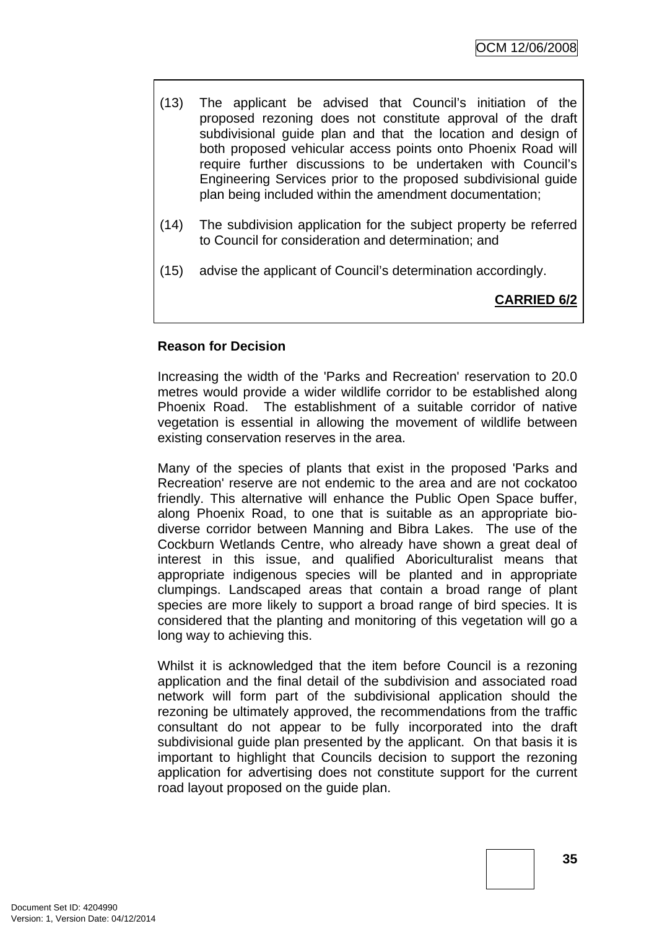- (13) The applicant be advised that Council's initiation of the proposed rezoning does not constitute approval of the draft subdivisional guide plan and that the location and design of both proposed vehicular access points onto Phoenix Road will require further discussions to be undertaken with Council's Engineering Services prior to the proposed subdivisional guide plan being included within the amendment documentation;
- (14) The subdivision application for the subject property be referred to Council for consideration and determination; and
- (15) advise the applicant of Council's determination accordingly.

# **CARRIED 6/2**

# **Reason for Decision**

Increasing the width of the 'Parks and Recreation' reservation to 20.0 metres would provide a wider wildlife corridor to be established along Phoenix Road. The establishment of a suitable corridor of native vegetation is essential in allowing the movement of wildlife between existing conservation reserves in the area.

Many of the species of plants that exist in the proposed 'Parks and Recreation' reserve are not endemic to the area and are not cockatoo friendly. This alternative will enhance the Public Open Space buffer, along Phoenix Road, to one that is suitable as an appropriate biodiverse corridor between Manning and Bibra Lakes. The use of the Cockburn Wetlands Centre, who already have shown a great deal of interest in this issue, and qualified Aboriculturalist means that appropriate indigenous species will be planted and in appropriate clumpings. Landscaped areas that contain a broad range of plant species are more likely to support a broad range of bird species. It is considered that the planting and monitoring of this vegetation will go a long way to achieving this.

Whilst it is acknowledged that the item before Council is a rezoning application and the final detail of the subdivision and associated road network will form part of the subdivisional application should the rezoning be ultimately approved, the recommendations from the traffic consultant do not appear to be fully incorporated into the draft subdivisional guide plan presented by the applicant. On that basis it is important to highlight that Councils decision to support the rezoning application for advertising does not constitute support for the current road layout proposed on the guide plan.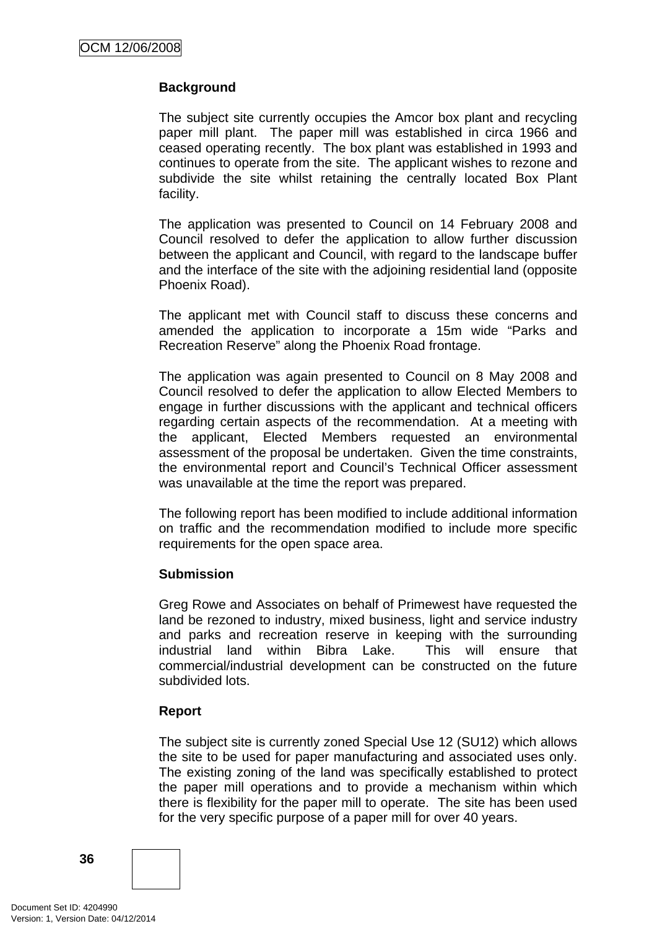# **Background**

The subject site currently occupies the Amcor box plant and recycling paper mill plant. The paper mill was established in circa 1966 and ceased operating recently. The box plant was established in 1993 and continues to operate from the site. The applicant wishes to rezone and subdivide the site whilst retaining the centrally located Box Plant facility.

The application was presented to Council on 14 February 2008 and Council resolved to defer the application to allow further discussion between the applicant and Council, with regard to the landscape buffer and the interface of the site with the adjoining residential land (opposite Phoenix Road).

The applicant met with Council staff to discuss these concerns and amended the application to incorporate a 15m wide "Parks and Recreation Reserve" along the Phoenix Road frontage.

The application was again presented to Council on 8 May 2008 and Council resolved to defer the application to allow Elected Members to engage in further discussions with the applicant and technical officers regarding certain aspects of the recommendation. At a meeting with the applicant, Elected Members requested an environmental assessment of the proposal be undertaken. Given the time constraints, the environmental report and Council's Technical Officer assessment was unavailable at the time the report was prepared.

The following report has been modified to include additional information on traffic and the recommendation modified to include more specific requirements for the open space area.

### **Submission**

Greg Rowe and Associates on behalf of Primewest have requested the land be rezoned to industry, mixed business, light and service industry and parks and recreation reserve in keeping with the surrounding industrial land within Bibra Lake. This will ensure that commercial/industrial development can be constructed on the future subdivided lots.

### **Report**

The subject site is currently zoned Special Use 12 (SU12) which allows the site to be used for paper manufacturing and associated uses only. The existing zoning of the land was specifically established to protect the paper mill operations and to provide a mechanism within which there is flexibility for the paper mill to operate. The site has been used for the very specific purpose of a paper mill for over 40 years.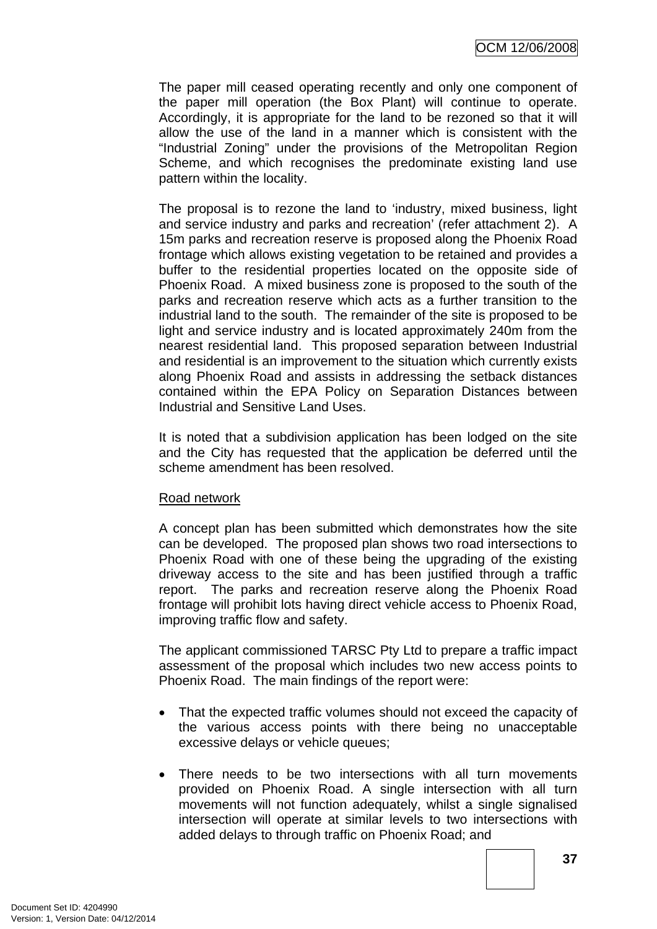The paper mill ceased operating recently and only one component of the paper mill operation (the Box Plant) will continue to operate. Accordingly, it is appropriate for the land to be rezoned so that it will allow the use of the land in a manner which is consistent with the "Industrial Zoning" under the provisions of the Metropolitan Region Scheme, and which recognises the predominate existing land use pattern within the locality.

The proposal is to rezone the land to 'industry, mixed business, light and service industry and parks and recreation' (refer attachment 2). A 15m parks and recreation reserve is proposed along the Phoenix Road frontage which allows existing vegetation to be retained and provides a buffer to the residential properties located on the opposite side of Phoenix Road. A mixed business zone is proposed to the south of the parks and recreation reserve which acts as a further transition to the industrial land to the south. The remainder of the site is proposed to be light and service industry and is located approximately 240m from the nearest residential land. This proposed separation between Industrial and residential is an improvement to the situation which currently exists along Phoenix Road and assists in addressing the setback distances contained within the EPA Policy on Separation Distances between Industrial and Sensitive Land Uses.

It is noted that a subdivision application has been lodged on the site and the City has requested that the application be deferred until the scheme amendment has been resolved.

### Road network

A concept plan has been submitted which demonstrates how the site can be developed. The proposed plan shows two road intersections to Phoenix Road with one of these being the upgrading of the existing driveway access to the site and has been justified through a traffic report. The parks and recreation reserve along the Phoenix Road frontage will prohibit lots having direct vehicle access to Phoenix Road, improving traffic flow and safety.

The applicant commissioned TARSC Pty Ltd to prepare a traffic impact assessment of the proposal which includes two new access points to Phoenix Road. The main findings of the report were:

- That the expected traffic volumes should not exceed the capacity of the various access points with there being no unacceptable excessive delays or vehicle queues;
- There needs to be two intersections with all turn movements provided on Phoenix Road. A single intersection with all turn movements will not function adequately, whilst a single signalised intersection will operate at similar levels to two intersections with added delays to through traffic on Phoenix Road; and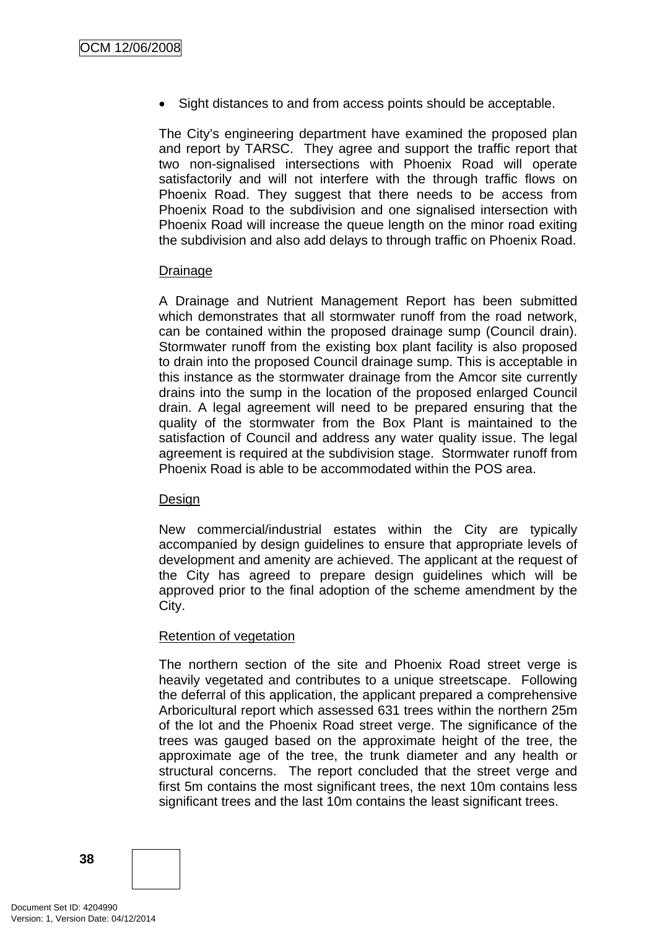• Sight distances to and from access points should be acceptable.

The City's engineering department have examined the proposed plan and report by TARSC. They agree and support the traffic report that two non-signalised intersections with Phoenix Road will operate satisfactorily and will not interfere with the through traffic flows on Phoenix Road. They suggest that there needs to be access from Phoenix Road to the subdivision and one signalised intersection with Phoenix Road will increase the queue length on the minor road exiting the subdivision and also add delays to through traffic on Phoenix Road.

#### Drainage

A Drainage and Nutrient Management Report has been submitted which demonstrates that all stormwater runoff from the road network, can be contained within the proposed drainage sump (Council drain). Stormwater runoff from the existing box plant facility is also proposed to drain into the proposed Council drainage sump. This is acceptable in this instance as the stormwater drainage from the Amcor site currently drains into the sump in the location of the proposed enlarged Council drain. A legal agreement will need to be prepared ensuring that the quality of the stormwater from the Box Plant is maintained to the satisfaction of Council and address any water quality issue. The legal agreement is required at the subdivision stage. Stormwater runoff from Phoenix Road is able to be accommodated within the POS area.

### Design

New commercial/industrial estates within the City are typically accompanied by design guidelines to ensure that appropriate levels of development and amenity are achieved. The applicant at the request of the City has agreed to prepare design guidelines which will be approved prior to the final adoption of the scheme amendment by the City.

### Retention of vegetation

The northern section of the site and Phoenix Road street verge is heavily vegetated and contributes to a unique streetscape. Following the deferral of this application, the applicant prepared a comprehensive Arboricultural report which assessed 631 trees within the northern 25m of the lot and the Phoenix Road street verge. The significance of the trees was gauged based on the approximate height of the tree, the approximate age of the tree, the trunk diameter and any health or structural concerns. The report concluded that the street verge and first 5m contains the most significant trees, the next 10m contains less significant trees and the last 10m contains the least significant trees.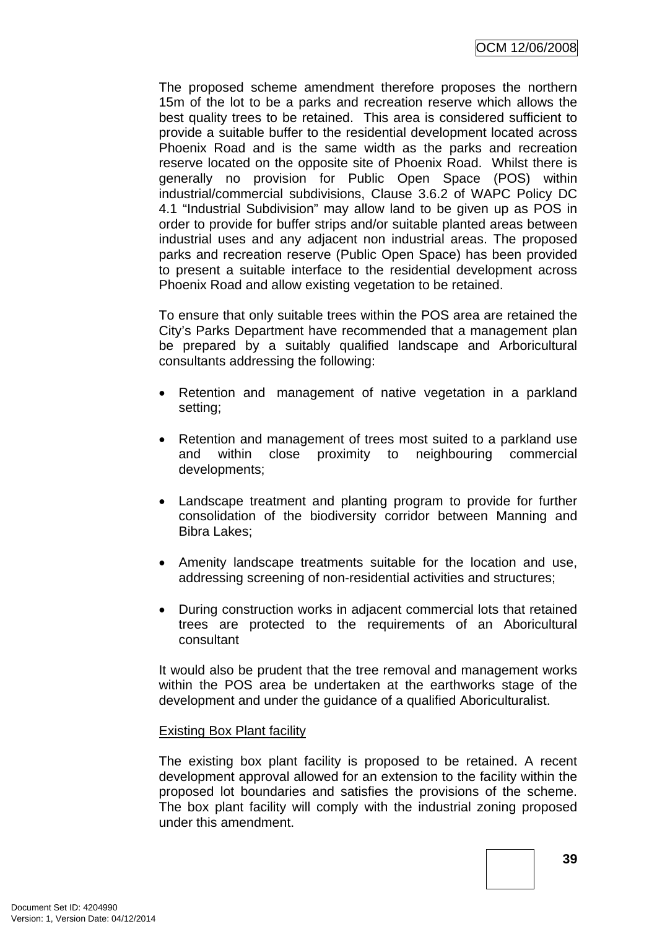The proposed scheme amendment therefore proposes the northern 15m of the lot to be a parks and recreation reserve which allows the best quality trees to be retained. This area is considered sufficient to provide a suitable buffer to the residential development located across Phoenix Road and is the same width as the parks and recreation reserve located on the opposite site of Phoenix Road. Whilst there is generally no provision for Public Open Space (POS) within industrial/commercial subdivisions, Clause 3.6.2 of WAPC Policy DC 4.1 "Industrial Subdivision" may allow land to be given up as POS in order to provide for buffer strips and/or suitable planted areas between industrial uses and any adjacent non industrial areas. The proposed parks and recreation reserve (Public Open Space) has been provided to present a suitable interface to the residential development across Phoenix Road and allow existing vegetation to be retained.

To ensure that only suitable trees within the POS area are retained the City's Parks Department have recommended that a management plan be prepared by a suitably qualified landscape and Arboricultural consultants addressing the following:

- Retention and management of native vegetation in a parkland setting;
- Retention and management of trees most suited to a parkland use and within close proximity to neighbouring commercial developments;
- Landscape treatment and planting program to provide for further consolidation of the biodiversity corridor between Manning and Bibra Lakes;
- Amenity landscape treatments suitable for the location and use, addressing screening of non-residential activities and structures;
- During construction works in adjacent commercial lots that retained trees are protected to the requirements of an Aboricultural consultant

It would also be prudent that the tree removal and management works within the POS area be undertaken at the earthworks stage of the development and under the guidance of a qualified Aboriculturalist.

### Existing Box Plant facility

The existing box plant facility is proposed to be retained. A recent development approval allowed for an extension to the facility within the proposed lot boundaries and satisfies the provisions of the scheme. The box plant facility will comply with the industrial zoning proposed under this amendment.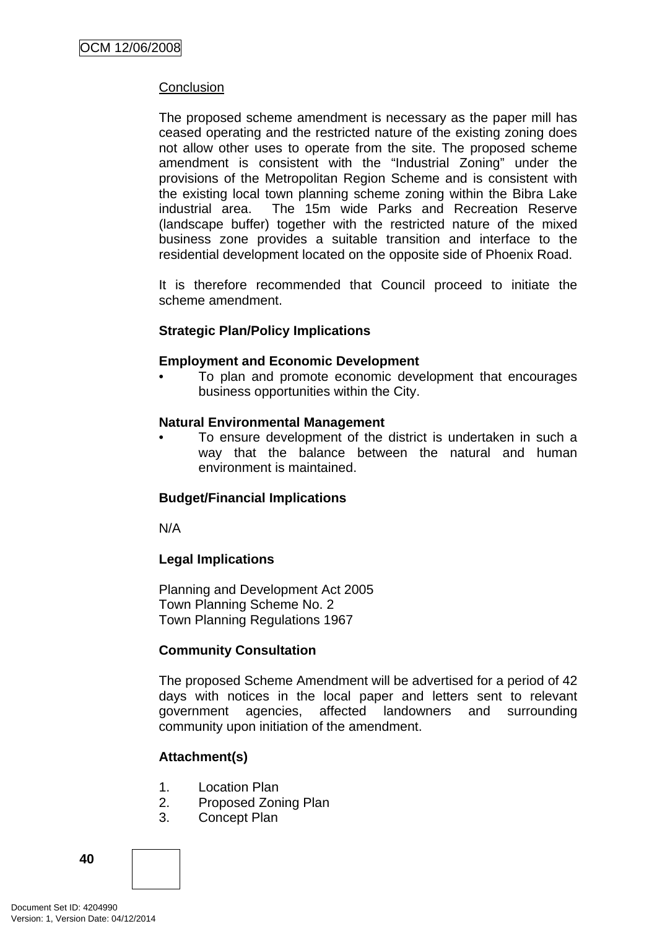### **Conclusion**

The proposed scheme amendment is necessary as the paper mill has ceased operating and the restricted nature of the existing zoning does not allow other uses to operate from the site. The proposed scheme amendment is consistent with the "Industrial Zoning" under the provisions of the Metropolitan Region Scheme and is consistent with the existing local town planning scheme zoning within the Bibra Lake industrial area. The 15m wide Parks and Recreation Reserve (landscape buffer) together with the restricted nature of the mixed business zone provides a suitable transition and interface to the residential development located on the opposite side of Phoenix Road.

It is therefore recommended that Council proceed to initiate the scheme amendment.

### **Strategic Plan/Policy Implications**

#### **Employment and Economic Development**

• To plan and promote economic development that encourages business opportunities within the City.

#### **Natural Environmental Management**

To ensure development of the district is undertaken in such a way that the balance between the natural and human environment is maintained.

### **Budget/Financial Implications**

N/A

### **Legal Implications**

Planning and Development Act 2005 Town Planning Scheme No. 2 Town Planning Regulations 1967

### **Community Consultation**

The proposed Scheme Amendment will be advertised for a period of 42 days with notices in the local paper and letters sent to relevant government agencies, affected landowners and surrounding community upon initiation of the amendment.

### **Attachment(s)**

- 1. Location Plan
- 2. Proposed Zoning Plan
- 3. Concept Plan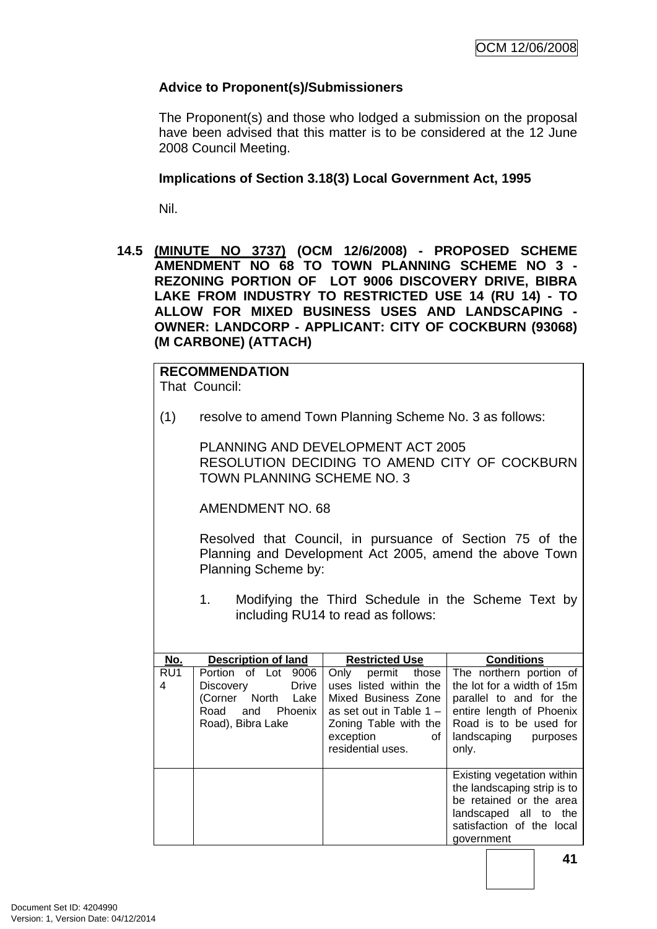# **Advice to Proponent(s)/Submissioners**

The Proponent(s) and those who lodged a submission on the proposal have been advised that this matter is to be considered at the 12 June 2008 Council Meeting.

### **Implications of Section 3.18(3) Local Government Act, 1995**

Nil.

**14.5 (MINUTE NO 3737) (OCM 12/6/2008) - PROPOSED SCHEME AMENDMENT NO 68 TO TOWN PLANNING SCHEME NO 3 - REZONING PORTION OF LOT 9006 DISCOVERY DRIVE, BIBRA LAKE FROM INDUSTRY TO RESTRICTED USE 14 (RU 14) - TO ALLOW FOR MIXED BUSINESS USES AND LANDSCAPING - OWNER: LANDCORP - APPLICANT: CITY OF COCKBURN (93068) (M CARBONE) (ATTACH)** 

**RECOMMENDATION** That Council:

(1) resolve to amend Town Planning Scheme No. 3 as follows:

PLANNING AND DEVELOPMENT ACT 2005 RESOLUTION DECIDING TO AMEND CITY OF COCKBURN TOWN PLANNING SCHEME NO. 3

AMENDMENT NO. 68

Resolved that Council, in pursuance of Section 75 of the Planning and Development Act 2005, amend the above Town Planning Scheme by:

1. Modifying the Third Schedule in the Scheme Text by including RU14 to read as follows:

| No.                   | <b>Description of land</b>                                                                                         | <b>Restricted Use</b>                                                                                                                                               | <b>Conditions</b>                                                                                                                                                          |  |  |  |
|-----------------------|--------------------------------------------------------------------------------------------------------------------|---------------------------------------------------------------------------------------------------------------------------------------------------------------------|----------------------------------------------------------------------------------------------------------------------------------------------------------------------------|--|--|--|
| RU1<br>$\overline{4}$ | Portion of Lot 9006<br><b>Drive</b><br>Discovery<br>North Lake<br>(Corner<br>Road and Phoenix<br>Road), Bibra Lake | Only<br>permit those<br>uses listed within the<br>Mixed Business Zone<br>as set out in Table $1 -$<br>Zoning Table with the<br>exception<br>of<br>residential uses. | The northern portion of<br>the lot for a width of 15m<br>parallel to and for the<br>entire length of Phoenix<br>Road is to be used for<br>landscaping<br>purposes<br>only. |  |  |  |
|                       |                                                                                                                    |                                                                                                                                                                     | Existing vegetation within<br>the landscaping strip is to<br>be retained or the area<br>landscaped all to the<br>satisfaction of the local<br>government                   |  |  |  |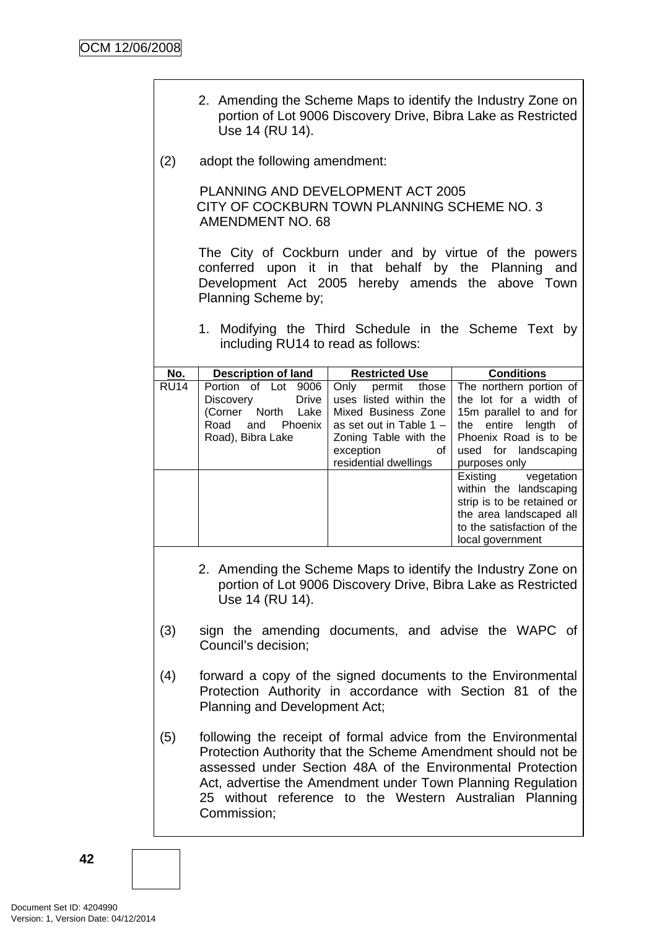|                                                                                                                                                  | 2. Amending the Scheme Maps to identify the Industry Zone on<br>portion of Lot 9006 Discovery Drive, Bibra Lake as Restricted<br>Use 14 (RU 14).                                                                                                                                                                                     |                                                                                                                                                                      |                                                                                                                                                                              |  |  |  |
|--------------------------------------------------------------------------------------------------------------------------------------------------|--------------------------------------------------------------------------------------------------------------------------------------------------------------------------------------------------------------------------------------------------------------------------------------------------------------------------------------|----------------------------------------------------------------------------------------------------------------------------------------------------------------------|------------------------------------------------------------------------------------------------------------------------------------------------------------------------------|--|--|--|
| (2)                                                                                                                                              | adopt the following amendment:                                                                                                                                                                                                                                                                                                       |                                                                                                                                                                      |                                                                                                                                                                              |  |  |  |
|                                                                                                                                                  | PLANNING AND DEVELOPMENT ACT 2005<br>CITY OF COCKBURN TOWN PLANNING SCHEME NO. 3<br><b>AMENDMENT NO. 68</b>                                                                                                                                                                                                                          |                                                                                                                                                                      |                                                                                                                                                                              |  |  |  |
|                                                                                                                                                  | The City of Cockburn under and by virtue of the powers<br>conferred upon it in that behalf by the Planning<br>and<br>Development Act 2005 hereby amends the above Town<br>Planning Scheme by;                                                                                                                                        |                                                                                                                                                                      |                                                                                                                                                                              |  |  |  |
|                                                                                                                                                  | 1. Modifying the Third Schedule in the Scheme Text by<br>including RU14 to read as follows:                                                                                                                                                                                                                                          |                                                                                                                                                                      |                                                                                                                                                                              |  |  |  |
| No.                                                                                                                                              | <b>Description of land</b>                                                                                                                                                                                                                                                                                                           | <b>Restricted Use</b>                                                                                                                                                | <b>Conditions</b>                                                                                                                                                            |  |  |  |
| <b>RU14</b>                                                                                                                                      | Portion of Lot 9006<br><b>Drive</b><br>Discovery<br>(Corner North Lake<br>Road<br>and Phoenix<br>Road), Bibra Lake                                                                                                                                                                                                                   | Only permit those<br>uses listed within the<br>Mixed Business Zone<br>as set out in Table $1 -$<br>Zoning Table with the<br>exception<br>of<br>residential dwellings | The northern portion of<br>the lot for a width of<br>15m parallel to and for<br>entire length<br>the<br>οf<br>Phoenix Road is to be<br>used for landscaping<br>purposes only |  |  |  |
|                                                                                                                                                  |                                                                                                                                                                                                                                                                                                                                      |                                                                                                                                                                      | Existing vegetation<br>within the landscaping<br>strip is to be retained or<br>the area landscaped all<br>to the satisfaction of the<br>local government                     |  |  |  |
| 2. Amending the Scheme Maps to identify the Industry Zone on<br>portion of Lot 9006 Discovery Drive, Bibra Lake as Restricted<br>Use 14 (RU 14). |                                                                                                                                                                                                                                                                                                                                      |                                                                                                                                                                      |                                                                                                                                                                              |  |  |  |
| (3)                                                                                                                                              | sign the amending documents, and advise the WAPC of<br>Council's decision;                                                                                                                                                                                                                                                           |                                                                                                                                                                      |                                                                                                                                                                              |  |  |  |
| (4)                                                                                                                                              | forward a copy of the signed documents to the Environmental<br>Protection Authority in accordance with Section 81 of the<br>Planning and Development Act;                                                                                                                                                                            |                                                                                                                                                                      |                                                                                                                                                                              |  |  |  |
| (5)                                                                                                                                              | following the receipt of formal advice from the Environmental<br>Protection Authority that the Scheme Amendment should not be<br>assessed under Section 48A of the Environmental Protection<br>Act, advertise the Amendment under Town Planning Regulation<br>25 without reference to the Western Australian Planning<br>Commission; |                                                                                                                                                                      |                                                                                                                                                                              |  |  |  |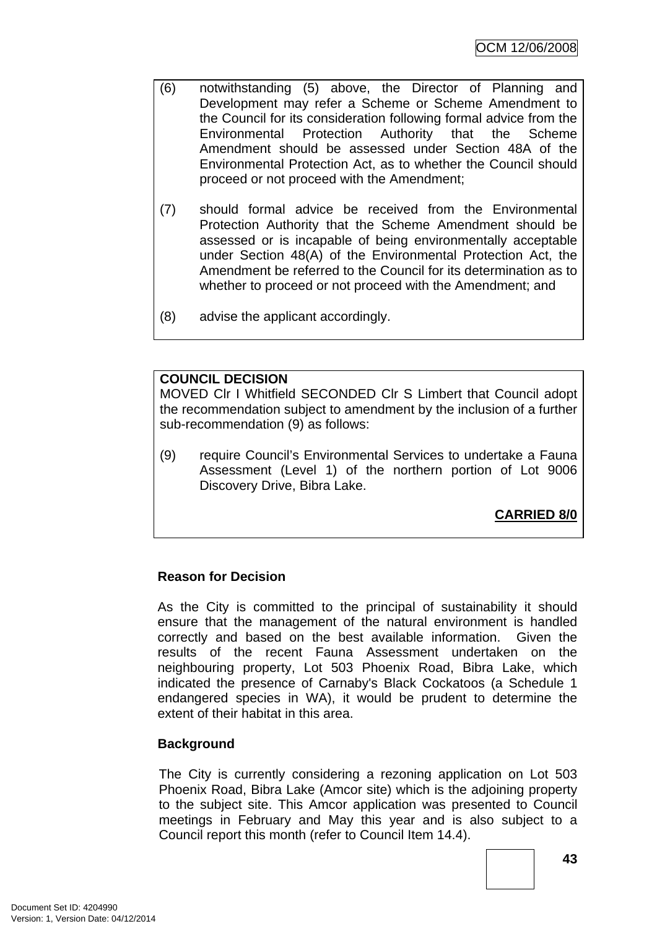- (6) notwithstanding (5) above, the Director of Planning and Development may refer a Scheme or Scheme Amendment to the Council for its consideration following formal advice from the Environmental Protection Authority that the Scheme Amendment should be assessed under Section 48A of the Environmental Protection Act, as to whether the Council should proceed or not proceed with the Amendment;
- (7) should formal advice be received from the Environmental Protection Authority that the Scheme Amendment should be assessed or is incapable of being environmentally acceptable under Section 48(A) of the Environmental Protection Act, the Amendment be referred to the Council for its determination as to whether to proceed or not proceed with the Amendment; and
- (8) advise the applicant accordingly.

### **COUNCIL DECISION**

MOVED Clr I Whitfield SECONDED Clr S Limbert that Council adopt the recommendation subject to amendment by the inclusion of a further sub-recommendation (9) as follows:

(9) require Council's Environmental Services to undertake a Fauna Assessment (Level 1) of the northern portion of Lot 9006 Discovery Drive, Bibra Lake.

**CARRIED 8/0**

### **Reason for Decision**

As the City is committed to the principal of sustainability it should ensure that the management of the natural environment is handled correctly and based on the best available information. Given the results of the recent Fauna Assessment undertaken on the neighbouring property, Lot 503 Phoenix Road, Bibra Lake, which indicated the presence of Carnaby's Black Cockatoos (a Schedule 1 endangered species in WA), it would be prudent to determine the extent of their habitat in this area.

### **Background**

The City is currently considering a rezoning application on Lot 503 Phoenix Road, Bibra Lake (Amcor site) which is the adjoining property to the subject site. This Amcor application was presented to Council meetings in February and May this year and is also subject to a Council report this month (refer to Council Item 14.4).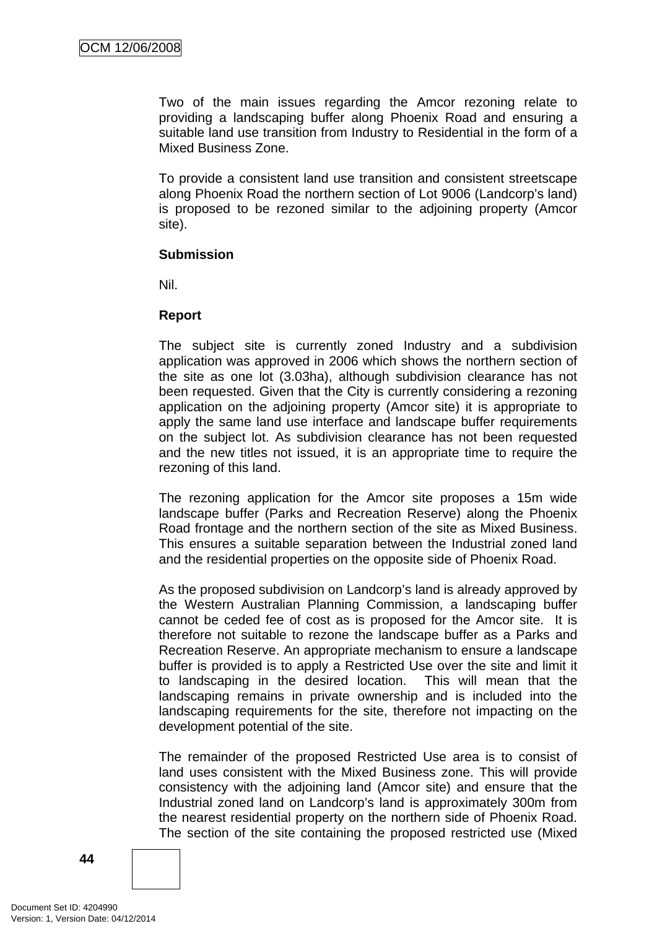Two of the main issues regarding the Amcor rezoning relate to providing a landscaping buffer along Phoenix Road and ensuring a suitable land use transition from Industry to Residential in the form of a Mixed Business Zone.

To provide a consistent land use transition and consistent streetscape along Phoenix Road the northern section of Lot 9006 (Landcorp's land) is proposed to be rezoned similar to the adjoining property (Amcor site).

### **Submission**

Nil.

#### **Report**

The subject site is currently zoned Industry and a subdivision application was approved in 2006 which shows the northern section of the site as one lot (3.03ha), although subdivision clearance has not been requested. Given that the City is currently considering a rezoning application on the adjoining property (Amcor site) it is appropriate to apply the same land use interface and landscape buffer requirements on the subject lot. As subdivision clearance has not been requested and the new titles not issued, it is an appropriate time to require the rezoning of this land.

The rezoning application for the Amcor site proposes a 15m wide landscape buffer (Parks and Recreation Reserve) along the Phoenix Road frontage and the northern section of the site as Mixed Business. This ensures a suitable separation between the Industrial zoned land and the residential properties on the opposite side of Phoenix Road.

As the proposed subdivision on Landcorp's land is already approved by the Western Australian Planning Commission, a landscaping buffer cannot be ceded fee of cost as is proposed for the Amcor site. It is therefore not suitable to rezone the landscape buffer as a Parks and Recreation Reserve. An appropriate mechanism to ensure a landscape buffer is provided is to apply a Restricted Use over the site and limit it to landscaping in the desired location. This will mean that the landscaping remains in private ownership and is included into the landscaping requirements for the site, therefore not impacting on the development potential of the site.

The remainder of the proposed Restricted Use area is to consist of land uses consistent with the Mixed Business zone. This will provide consistency with the adjoining land (Amcor site) and ensure that the Industrial zoned land on Landcorp's land is approximately 300m from the nearest residential property on the northern side of Phoenix Road. The section of the site containing the proposed restricted use (Mixed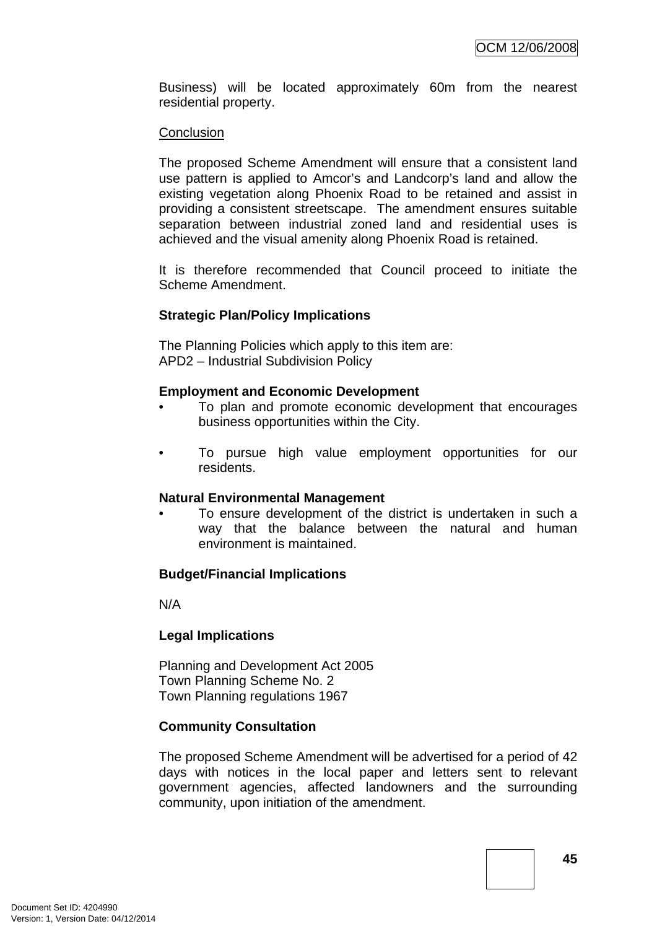Business) will be located approximately 60m from the nearest residential property.

### **Conclusion**

The proposed Scheme Amendment will ensure that a consistent land use pattern is applied to Amcor's and Landcorp's land and allow the existing vegetation along Phoenix Road to be retained and assist in providing a consistent streetscape. The amendment ensures suitable separation between industrial zoned land and residential uses is achieved and the visual amenity along Phoenix Road is retained.

It is therefore recommended that Council proceed to initiate the Scheme Amendment.

# **Strategic Plan/Policy Implications**

The Planning Policies which apply to this item are: APD2 – Industrial Subdivision Policy

#### **Employment and Economic Development**

- To plan and promote economic development that encourages business opportunities within the City.
- To pursue high value employment opportunities for our residents.

### **Natural Environmental Management**

To ensure development of the district is undertaken in such a way that the balance between the natural and human environment is maintained.

### **Budget/Financial Implications**

N/A

### **Legal Implications**

Planning and Development Act 2005 Town Planning Scheme No. 2 Town Planning regulations 1967

### **Community Consultation**

The proposed Scheme Amendment will be advertised for a period of 42 days with notices in the local paper and letters sent to relevant government agencies, affected landowners and the surrounding community, upon initiation of the amendment.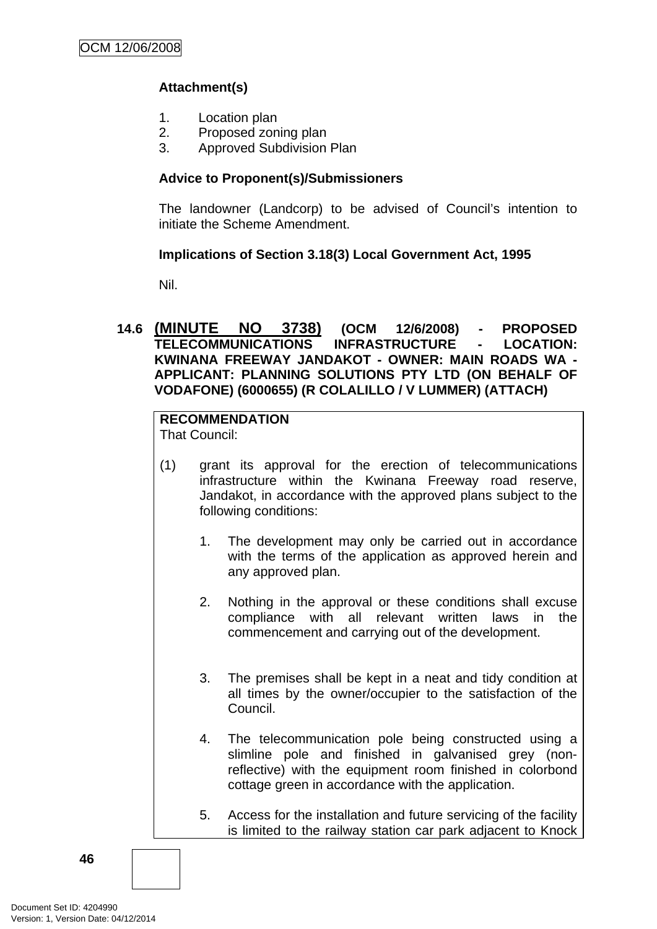# **Attachment(s)**

- 1. Location plan
- 2. Proposed zoning plan
- 3. Approved Subdivision Plan

# **Advice to Proponent(s)/Submissioners**

The landowner (Landcorp) to be advised of Council's intention to initiate the Scheme Amendment.

# **Implications of Section 3.18(3) Local Government Act, 1995**

Nil.

# **14.6 (MINUTE NO 3738) (OCM 12/6/2008) - PROPOSED TELECOMMUNICATIONS INFRASTRUCTURE - LOCATION: KWINANA FREEWAY JANDAKOT - OWNER: MAIN ROADS WA - APPLICANT: PLANNING SOLUTIONS PTY LTD (ON BEHALF OF VODAFONE) (6000655) (R COLALILLO / V LUMMER) (ATTACH)**

# **RECOMMENDATION**

That Council:

- (1) grant its approval for the erection of telecommunications infrastructure within the Kwinana Freeway road reserve, Jandakot, in accordance with the approved plans subject to the following conditions:
	- 1. The development may only be carried out in accordance with the terms of the application as approved herein and any approved plan.
	- 2. Nothing in the approval or these conditions shall excuse compliance with all relevant written laws in the commencement and carrying out of the development.
	- 3. The premises shall be kept in a neat and tidy condition at all times by the owner/occupier to the satisfaction of the Council.
	- 4. The telecommunication pole being constructed using a slimline pole and finished in galvanised grey (nonreflective) with the equipment room finished in colorbond cottage green in accordance with the application.
	- 5. Access for the installation and future servicing of the facility is limited to the railway station car park adjacent to Knock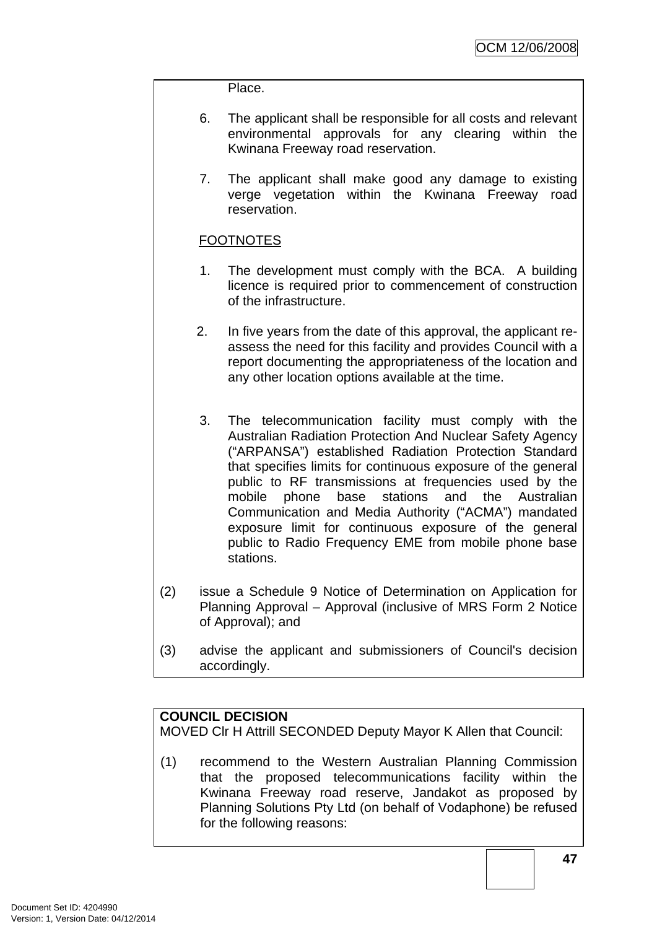Place.

- 6. The applicant shall be responsible for all costs and relevant environmental approvals for any clearing within the Kwinana Freeway road reservation.
- 7. The applicant shall make good any damage to existing verge vegetation within the Kwinana Freeway road reservation.

# FOOTNOTES

- 1. The development must comply with the BCA. A building licence is required prior to commencement of construction of the infrastructure.
- 2. In five years from the date of this approval, the applicant reassess the need for this facility and provides Council with a report documenting the appropriateness of the location and any other location options available at the time.
- 3. The telecommunication facility must comply with the Australian Radiation Protection And Nuclear Safety Agency ("ARPANSA") established Radiation Protection Standard that specifies limits for continuous exposure of the general public to RF transmissions at frequencies used by the mobile phone base stations and the Australian Communication and Media Authority ("ACMA") mandated exposure limit for continuous exposure of the general public to Radio Frequency EME from mobile phone base stations.
- (2) issue a Schedule 9 Notice of Determination on Application for Planning Approval – Approval (inclusive of MRS Form 2 Notice of Approval); and
- (3) advise the applicant and submissioners of Council's decision accordingly.

# **COUNCIL DECISION**

MOVED Clr H Attrill SECONDED Deputy Mayor K Allen that Council:

(1) recommend to the Western Australian Planning Commission that the proposed telecommunications facility within the Kwinana Freeway road reserve, Jandakot as proposed by Planning Solutions Pty Ltd (on behalf of Vodaphone) be refused for the following reasons: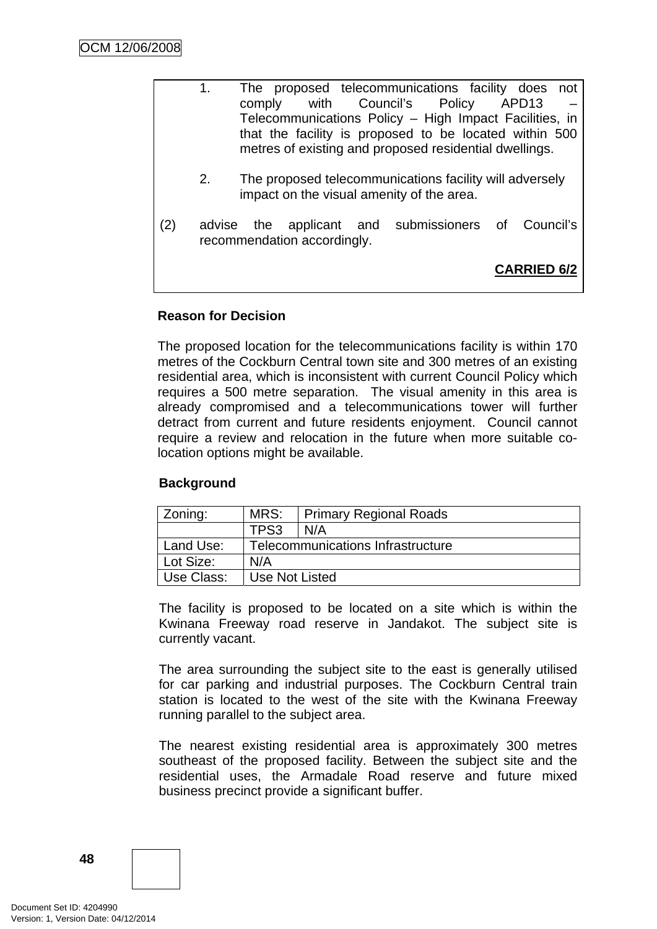|     | 1.     | comply |                             | The proposed telecommunications facility does<br>with Council's Policy APD13                                                                                               | not                |
|-----|--------|--------|-----------------------------|----------------------------------------------------------------------------------------------------------------------------------------------------------------------------|--------------------|
|     |        |        |                             | Telecommunications Policy - High Impact Facilities, in<br>that the facility is proposed to be located within 500<br>metres of existing and proposed residential dwellings. |                    |
|     | 2.     |        |                             | The proposed telecommunications facility will adversely<br>impact on the visual amenity of the area.                                                                       |                    |
| (2) | advise |        | recommendation accordingly. | the applicant and submissioners of Council's                                                                                                                               |                    |
|     |        |        |                             |                                                                                                                                                                            | <b>CARRIED 6/2</b> |

### **Reason for Decision**

The proposed location for the telecommunications facility is within 170 metres of the Cockburn Central town site and 300 metres of an existing residential area, which is inconsistent with current Council Policy which requires a 500 metre separation. The visual amenity in this area is already compromised and a telecommunications tower will further detract from current and future residents enjoyment. Council cannot require a review and relocation in the future when more suitable colocation options might be available.

# **Background**

| Zoning:    | MRS:<br>Primary Regional Roads    |     |  |
|------------|-----------------------------------|-----|--|
|            | TPS3                              | N/A |  |
| Land Use:  | Telecommunications Infrastructure |     |  |
| Lot Size:  | N/A                               |     |  |
| Use Class: | Use Not Listed                    |     |  |

The facility is proposed to be located on a site which is within the Kwinana Freeway road reserve in Jandakot. The subject site is currently vacant.

The area surrounding the subject site to the east is generally utilised for car parking and industrial purposes. The Cockburn Central train station is located to the west of the site with the Kwinana Freeway running parallel to the subject area.

The nearest existing residential area is approximately 300 metres southeast of the proposed facility. Between the subject site and the residential uses, the Armadale Road reserve and future mixed business precinct provide a significant buffer.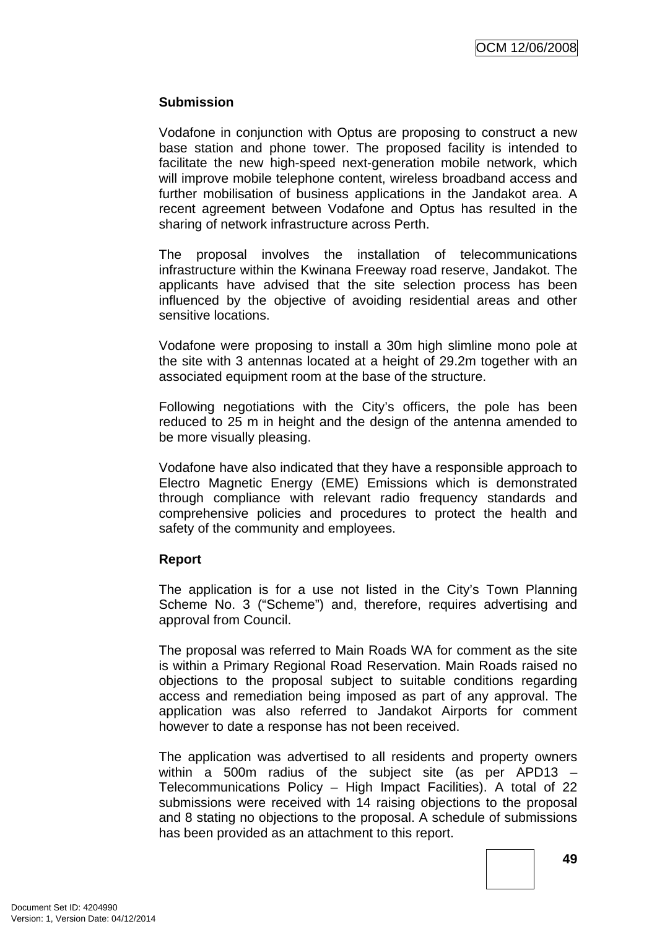### **Submission**

Vodafone in conjunction with Optus are proposing to construct a new base station and phone tower. The proposed facility is intended to facilitate the new high-speed next-generation mobile network, which will improve mobile telephone content, wireless broadband access and further mobilisation of business applications in the Jandakot area. A recent agreement between Vodafone and Optus has resulted in the sharing of network infrastructure across Perth.

The proposal involves the installation of telecommunications infrastructure within the Kwinana Freeway road reserve, Jandakot. The applicants have advised that the site selection process has been influenced by the objective of avoiding residential areas and other sensitive locations.

Vodafone were proposing to install a 30m high slimline mono pole at the site with 3 antennas located at a height of 29.2m together with an associated equipment room at the base of the structure.

Following negotiations with the City's officers, the pole has been reduced to 25 m in height and the design of the antenna amended to be more visually pleasing.

Vodafone have also indicated that they have a responsible approach to Electro Magnetic Energy (EME) Emissions which is demonstrated through compliance with relevant radio frequency standards and comprehensive policies and procedures to protect the health and safety of the community and employees.

### **Report**

The application is for a use not listed in the City's Town Planning Scheme No. 3 ("Scheme") and, therefore, requires advertising and approval from Council.

The proposal was referred to Main Roads WA for comment as the site is within a Primary Regional Road Reservation. Main Roads raised no objections to the proposal subject to suitable conditions regarding access and remediation being imposed as part of any approval. The application was also referred to Jandakot Airports for comment however to date a response has not been received.

The application was advertised to all residents and property owners within a 500m radius of the subject site (as per APD13 – Telecommunications Policy – High Impact Facilities). A total of 22 submissions were received with 14 raising objections to the proposal and 8 stating no objections to the proposal. A schedule of submissions has been provided as an attachment to this report.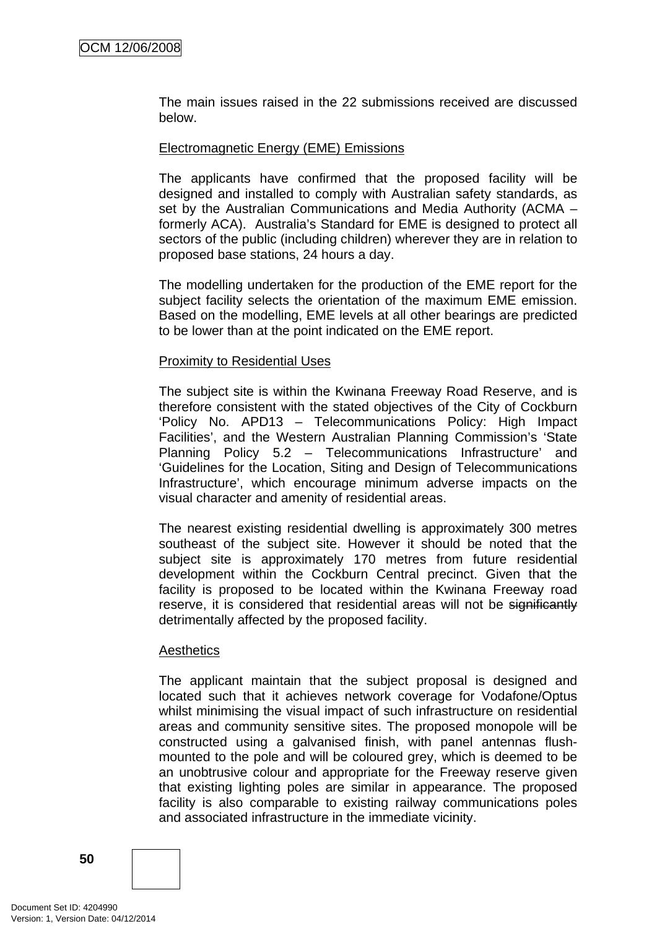The main issues raised in the 22 submissions received are discussed below.

#### Electromagnetic Energy (EME) Emissions

The applicants have confirmed that the proposed facility will be designed and installed to comply with Australian safety standards, as set by the Australian Communications and Media Authority (ACMA – formerly ACA). Australia's Standard for EME is designed to protect all sectors of the public (including children) wherever they are in relation to proposed base stations, 24 hours a day.

The modelling undertaken for the production of the EME report for the subject facility selects the orientation of the maximum EME emission. Based on the modelling, EME levels at all other bearings are predicted to be lower than at the point indicated on the EME report.

#### Proximity to Residential Uses

The subject site is within the Kwinana Freeway Road Reserve, and is therefore consistent with the stated objectives of the City of Cockburn 'Policy No. APD13 – Telecommunications Policy: High Impact Facilities', and the Western Australian Planning Commission's 'State Planning Policy 5.2 – Telecommunications Infrastructure' and 'Guidelines for the Location, Siting and Design of Telecommunications Infrastructure', which encourage minimum adverse impacts on the visual character and amenity of residential areas.

The nearest existing residential dwelling is approximately 300 metres southeast of the subject site. However it should be noted that the subject site is approximately 170 metres from future residential development within the Cockburn Central precinct. Given that the facility is proposed to be located within the Kwinana Freeway road reserve, it is considered that residential areas will not be significantly detrimentally affected by the proposed facility.

#### **Aesthetics**

The applicant maintain that the subject proposal is designed and located such that it achieves network coverage for Vodafone/Optus whilst minimising the visual impact of such infrastructure on residential areas and community sensitive sites. The proposed monopole will be constructed using a galvanised finish, with panel antennas flushmounted to the pole and will be coloured grey, which is deemed to be an unobtrusive colour and appropriate for the Freeway reserve given that existing lighting poles are similar in appearance. The proposed facility is also comparable to existing railway communications poles and associated infrastructure in the immediate vicinity.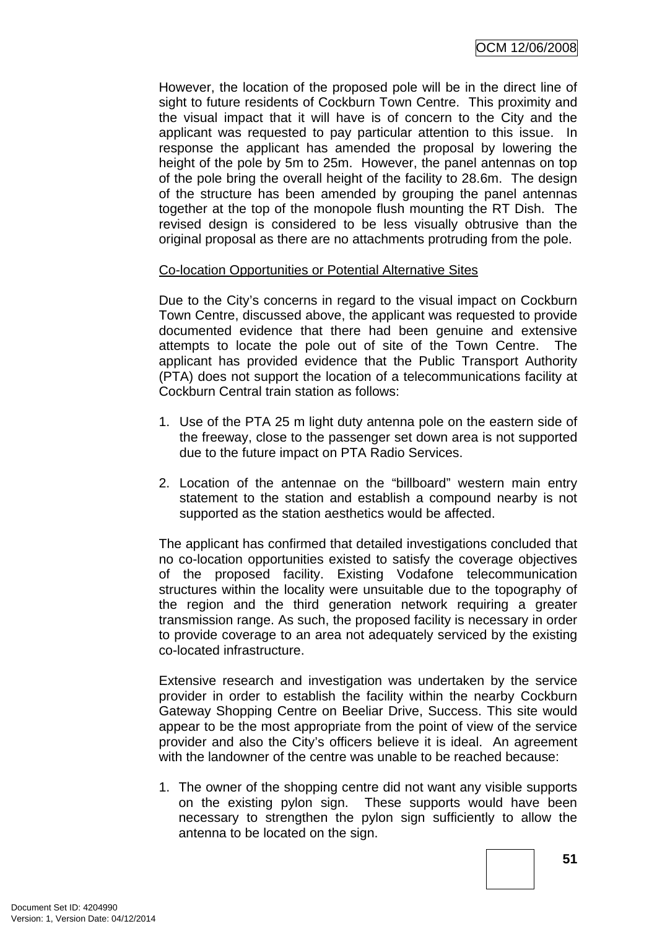However, the location of the proposed pole will be in the direct line of sight to future residents of Cockburn Town Centre. This proximity and the visual impact that it will have is of concern to the City and the applicant was requested to pay particular attention to this issue. In response the applicant has amended the proposal by lowering the height of the pole by 5m to 25m. However, the panel antennas on top of the pole bring the overall height of the facility to 28.6m. The design of the structure has been amended by grouping the panel antennas together at the top of the monopole flush mounting the RT Dish. The revised design is considered to be less visually obtrusive than the original proposal as there are no attachments protruding from the pole.

### Co-location Opportunities or Potential Alternative Sites

Due to the City's concerns in regard to the visual impact on Cockburn Town Centre, discussed above, the applicant was requested to provide documented evidence that there had been genuine and extensive attempts to locate the pole out of site of the Town Centre. The applicant has provided evidence that the Public Transport Authority (PTA) does not support the location of a telecommunications facility at Cockburn Central train station as follows:

- 1. Use of the PTA 25 m light duty antenna pole on the eastern side of the freeway, close to the passenger set down area is not supported due to the future impact on PTA Radio Services.
- 2. Location of the antennae on the "billboard" western main entry statement to the station and establish a compound nearby is not supported as the station aesthetics would be affected.

The applicant has confirmed that detailed investigations concluded that no co-location opportunities existed to satisfy the coverage objectives of the proposed facility. Existing Vodafone telecommunication structures within the locality were unsuitable due to the topography of the region and the third generation network requiring a greater transmission range. As such, the proposed facility is necessary in order to provide coverage to an area not adequately serviced by the existing co-located infrastructure.

Extensive research and investigation was undertaken by the service provider in order to establish the facility within the nearby Cockburn Gateway Shopping Centre on Beeliar Drive, Success. This site would appear to be the most appropriate from the point of view of the service provider and also the City's officers believe it is ideal. An agreement with the landowner of the centre was unable to be reached because:

1. The owner of the shopping centre did not want any visible supports on the existing pylon sign. These supports would have been necessary to strengthen the pylon sign sufficiently to allow the antenna to be located on the sign.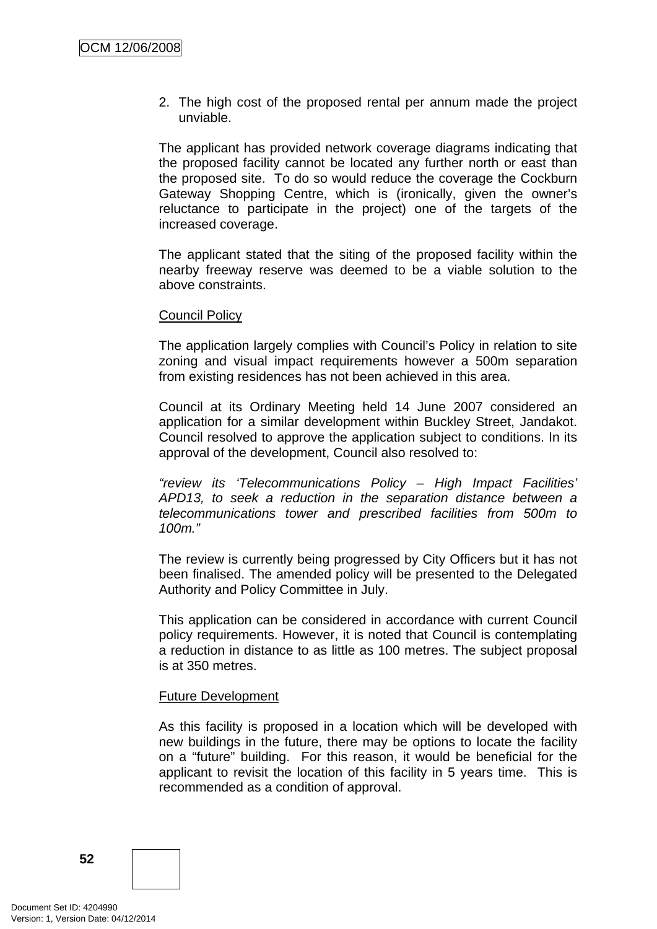2. The high cost of the proposed rental per annum made the project unviable.

The applicant has provided network coverage diagrams indicating that the proposed facility cannot be located any further north or east than the proposed site. To do so would reduce the coverage the Cockburn Gateway Shopping Centre, which is (ironically, given the owner's reluctance to participate in the project) one of the targets of the increased coverage.

The applicant stated that the siting of the proposed facility within the nearby freeway reserve was deemed to be a viable solution to the above constraints.

#### Council Policy

The application largely complies with Council's Policy in relation to site zoning and visual impact requirements however a 500m separation from existing residences has not been achieved in this area.

Council at its Ordinary Meeting held 14 June 2007 considered an application for a similar development within Buckley Street, Jandakot. Council resolved to approve the application subject to conditions. In its approval of the development, Council also resolved to:

*"review its 'Telecommunications Policy – High Impact Facilities' APD13, to seek a reduction in the separation distance between a telecommunications tower and prescribed facilities from 500m to 100m."* 

The review is currently being progressed by City Officers but it has not been finalised. The amended policy will be presented to the Delegated Authority and Policy Committee in July.

This application can be considered in accordance with current Council policy requirements. However, it is noted that Council is contemplating a reduction in distance to as little as 100 metres. The subject proposal is at 350 metres.

#### Future Development

As this facility is proposed in a location which will be developed with new buildings in the future, there may be options to locate the facility on a "future" building. For this reason, it would be beneficial for the applicant to revisit the location of this facility in 5 years time. This is recommended as a condition of approval.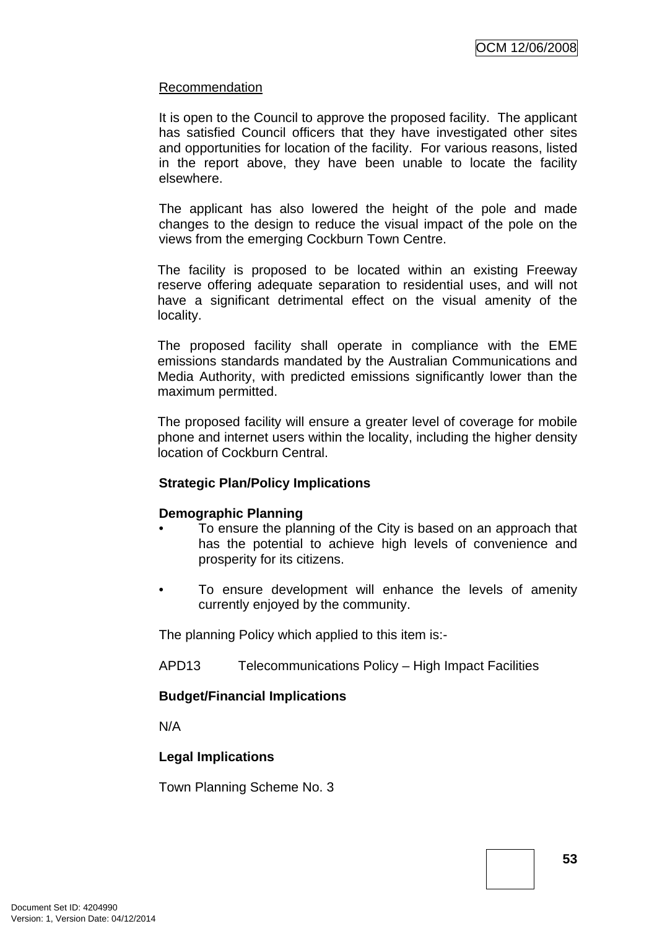### Recommendation

It is open to the Council to approve the proposed facility. The applicant has satisfied Council officers that they have investigated other sites and opportunities for location of the facility. For various reasons, listed in the report above, they have been unable to locate the facility elsewhere.

The applicant has also lowered the height of the pole and made changes to the design to reduce the visual impact of the pole on the views from the emerging Cockburn Town Centre.

The facility is proposed to be located within an existing Freeway reserve offering adequate separation to residential uses, and will not have a significant detrimental effect on the visual amenity of the locality.

The proposed facility shall operate in compliance with the EME emissions standards mandated by the Australian Communications and Media Authority, with predicted emissions significantly lower than the maximum permitted.

The proposed facility will ensure a greater level of coverage for mobile phone and internet users within the locality, including the higher density location of Cockburn Central.

### **Strategic Plan/Policy Implications**

### **Demographic Planning**

- To ensure the planning of the City is based on an approach that has the potential to achieve high levels of convenience and prosperity for its citizens.
- To ensure development will enhance the levels of amenity currently enjoyed by the community.

The planning Policy which applied to this item is:-

APD13 Telecommunications Policy – High Impact Facilities

### **Budget/Financial Implications**

N/A

### **Legal Implications**

Town Planning Scheme No. 3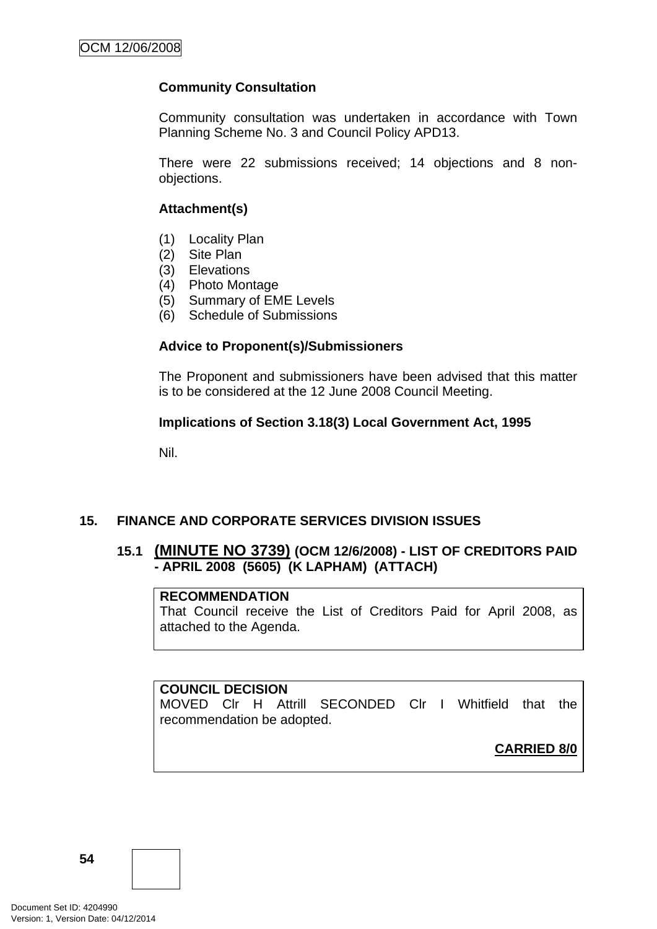# **Community Consultation**

Community consultation was undertaken in accordance with Town Planning Scheme No. 3 and Council Policy APD13.

There were 22 submissions received; 14 objections and 8 nonobjections.

# **Attachment(s)**

- (1) Locality Plan
- (2) Site Plan
- (3) Elevations
- (4) Photo Montage
- (5) Summary of EME Levels
- (6) Schedule of Submissions

### **Advice to Proponent(s)/Submissioners**

The Proponent and submissioners have been advised that this matter is to be considered at the 12 June 2008 Council Meeting.

### **Implications of Section 3.18(3) Local Government Act, 1995**

Nil.

### **15. FINANCE AND CORPORATE SERVICES DIVISION ISSUES**

# **15.1 (MINUTE NO 3739) (OCM 12/6/2008) - LIST OF CREDITORS PAID - APRIL 2008 (5605) (K LAPHAM) (ATTACH)**

#### **RECOMMENDATION**

That Council receive the List of Creditors Paid for April 2008, as attached to the Agenda.

### **COUNCIL DECISION**

MOVED Clr H Attrill SECONDED Clr I Whitfield that the recommendation be adopted.

**CARRIED 8/0**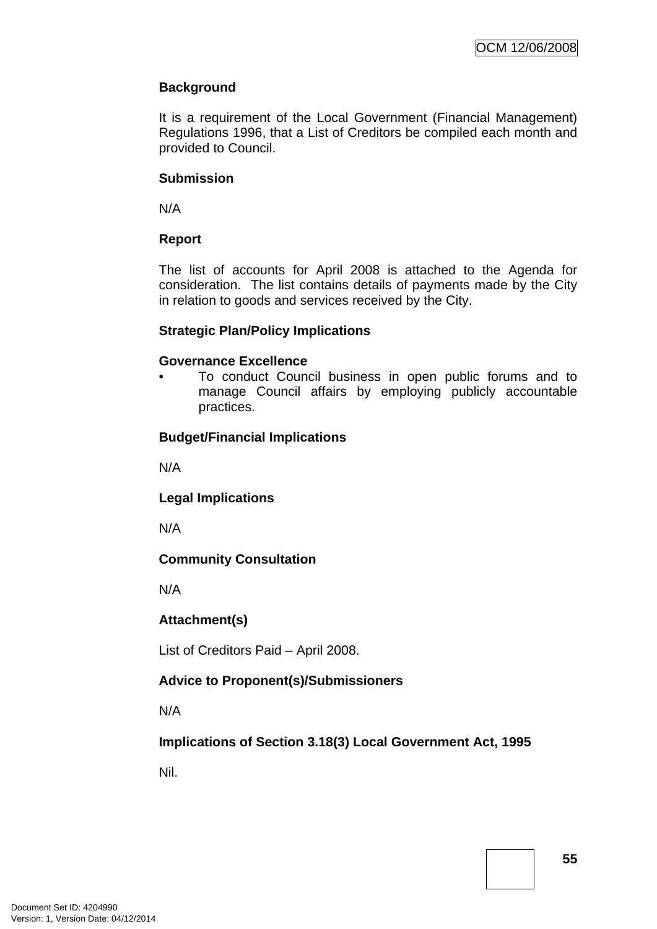# **Background**

It is a requirement of the Local Government (Financial Management) Regulations 1996, that a List of Creditors be compiled each month and provided to Council.

### **Submission**

N/A

# **Report**

The list of accounts for April 2008 is attached to the Agenda for consideration. The list contains details of payments made by the City in relation to goods and services received by the City.

### **Strategic Plan/Policy Implications**

#### **Governance Excellence**

• To conduct Council business in open public forums and to manage Council affairs by employing publicly accountable practices.

### **Budget/Financial Implications**

N/A

**Legal Implications** 

N/A

# **Community Consultation**

N/A

### **Attachment(s)**

List of Creditors Paid – April 2008.

### **Advice to Proponent(s)/Submissioners**

N/A

**Implications of Section 3.18(3) Local Government Act, 1995**

Nil.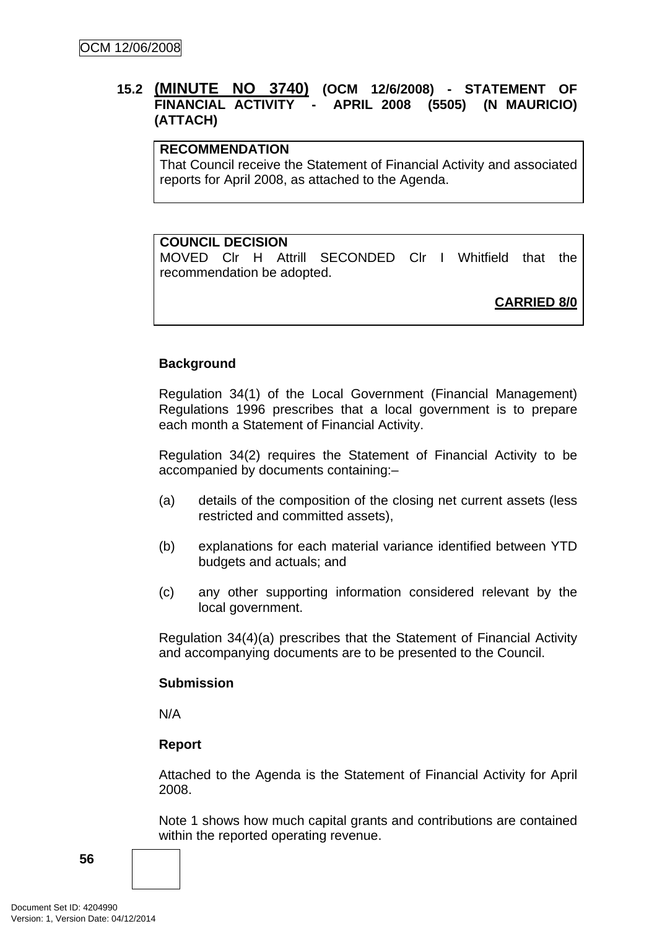# **15.2 (MINUTE NO 3740) (OCM 12/6/2008) - STATEMENT OF FINANCIAL ACTIVITY - APRIL 2008 (5505) (N MAURICIO) (ATTACH)**

#### **RECOMMENDATION**

That Council receive the Statement of Financial Activity and associated reports for April 2008, as attached to the Agenda.

#### **COUNCIL DECISION**

MOVED Clr H Attrill SECONDED Clr I Whitfield that the recommendation be adopted.

**CARRIED 8/0**

#### **Background**

Regulation 34(1) of the Local Government (Financial Management) Regulations 1996 prescribes that a local government is to prepare each month a Statement of Financial Activity.

Regulation 34(2) requires the Statement of Financial Activity to be accompanied by documents containing:–

- (a) details of the composition of the closing net current assets (less restricted and committed assets),
- (b) explanations for each material variance identified between YTD budgets and actuals; and
- (c) any other supporting information considered relevant by the local government.

Regulation 34(4)(a) prescribes that the Statement of Financial Activity and accompanying documents are to be presented to the Council.

#### **Submission**

N/A

### **Report**

Attached to the Agenda is the Statement of Financial Activity for April 2008.

Note 1 shows how much capital grants and contributions are contained within the reported operating revenue.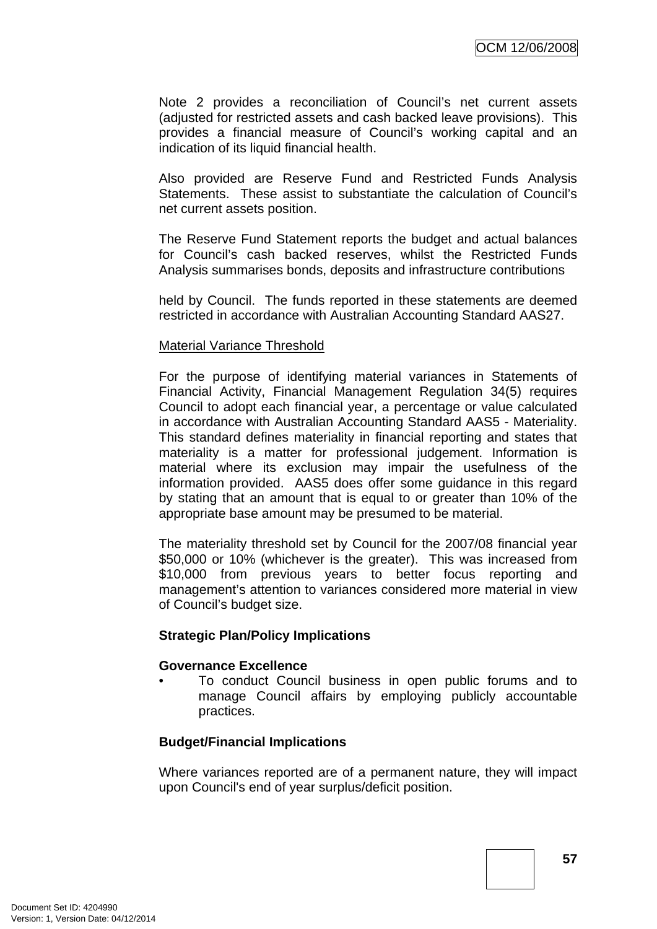Note 2 provides a reconciliation of Council's net current assets (adjusted for restricted assets and cash backed leave provisions). This provides a financial measure of Council's working capital and an indication of its liquid financial health.

Also provided are Reserve Fund and Restricted Funds Analysis Statements. These assist to substantiate the calculation of Council's net current assets position.

The Reserve Fund Statement reports the budget and actual balances for Council's cash backed reserves, whilst the Restricted Funds Analysis summarises bonds, deposits and infrastructure contributions

held by Council. The funds reported in these statements are deemed restricted in accordance with Australian Accounting Standard AAS27.

#### Material Variance Threshold

For the purpose of identifying material variances in Statements of Financial Activity, Financial Management Regulation 34(5) requires Council to adopt each financial year, a percentage or value calculated in accordance with Australian Accounting Standard AAS5 - Materiality. This standard defines materiality in financial reporting and states that materiality is a matter for professional judgement. Information is material where its exclusion may impair the usefulness of the information provided. AAS5 does offer some guidance in this regard by stating that an amount that is equal to or greater than 10% of the appropriate base amount may be presumed to be material.

The materiality threshold set by Council for the 2007/08 financial year \$50,000 or 10% (whichever is the greater). This was increased from \$10,000 from previous years to better focus reporting and management's attention to variances considered more material in view of Council's budget size.

#### **Strategic Plan/Policy Implications**

#### **Governance Excellence**

• To conduct Council business in open public forums and to manage Council affairs by employing publicly accountable practices.

### **Budget/Financial Implications**

Where variances reported are of a permanent nature, they will impact upon Council's end of year surplus/deficit position.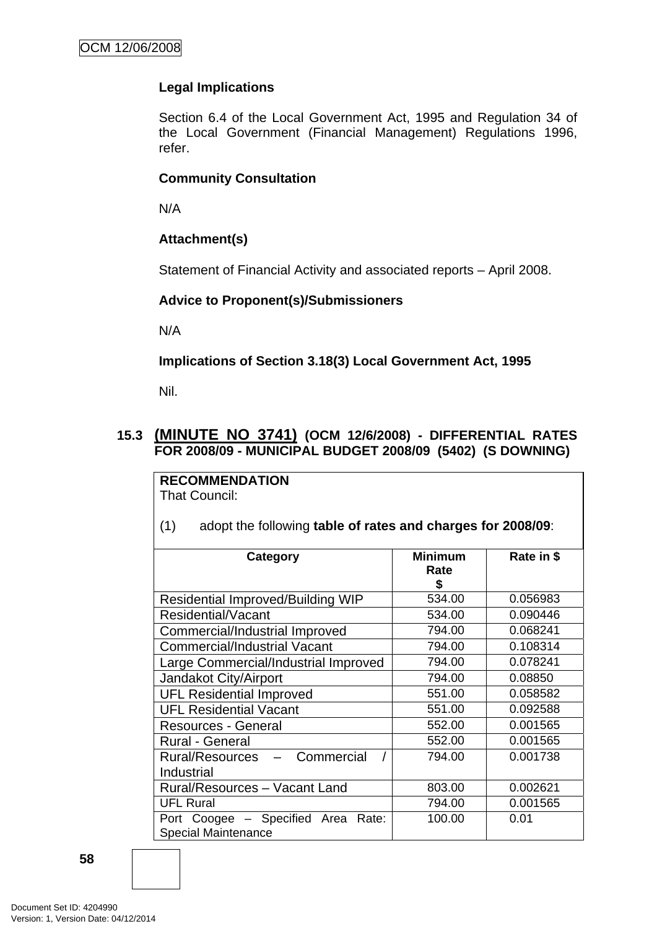# **Legal Implications**

Section 6.4 of the Local Government Act, 1995 and Regulation 34 of the Local Government (Financial Management) Regulations 1996, refer.

### **Community Consultation**

N/A

# **Attachment(s)**

Statement of Financial Activity and associated reports – April 2008.

### **Advice to Proponent(s)/Submissioners**

N/A

### **Implications of Section 3.18(3) Local Government Act, 1995**

Nil.

# **15.3 (MINUTE NO 3741) (OCM 12/6/2008) - DIFFERENTIAL RATES FOR 2008/09 - MUNICIPAL BUDGET 2008/09 (5402) (S DOWNING)**

| <b>RECOMMENDATION</b>                                               |                |            |  |  |
|---------------------------------------------------------------------|----------------|------------|--|--|
| <b>That Council:</b>                                                |                |            |  |  |
|                                                                     |                |            |  |  |
| adopt the following table of rates and charges for 2008/09:<br>(1)  |                |            |  |  |
|                                                                     |                |            |  |  |
| Category                                                            | <b>Minimum</b> | Rate in \$ |  |  |
|                                                                     | Rate           |            |  |  |
|                                                                     | \$             |            |  |  |
| <b>Residential Improved/Building WIP</b>                            | 534.00         | 0.056983   |  |  |
| Residential/Vacant                                                  | 534.00         | 0.090446   |  |  |
| Commercial/Industrial Improved                                      | 794.00         | 0.068241   |  |  |
| <b>Commercial/Industrial Vacant</b>                                 | 794.00         | 0.108314   |  |  |
| Large Commercial/Industrial Improved                                | 794.00         | 0.078241   |  |  |
| Jandakot City/Airport                                               | 794.00         | 0.08850    |  |  |
| <b>UFL Residential Improved</b>                                     | 551.00         | 0.058582   |  |  |
| <b>UFL Residential Vacant</b>                                       | 551.00         | 0.092588   |  |  |
| <b>Resources - General</b>                                          | 552.00         | 0.001565   |  |  |
| <b>Rural - General</b>                                              | 552.00         | 0.001565   |  |  |
| Commercial<br>Rural/Resources -                                     | 794.00         | 0.001738   |  |  |
| Industrial                                                          |                |            |  |  |
| Rural/Resources - Vacant Land                                       | 803.00         | 0.002621   |  |  |
| <b>UFL Rural</b>                                                    | 794.00         | 0.001565   |  |  |
| Port Coogee - Specified Area<br>Rate:<br><b>Special Maintenance</b> | 100.00         | 0.01       |  |  |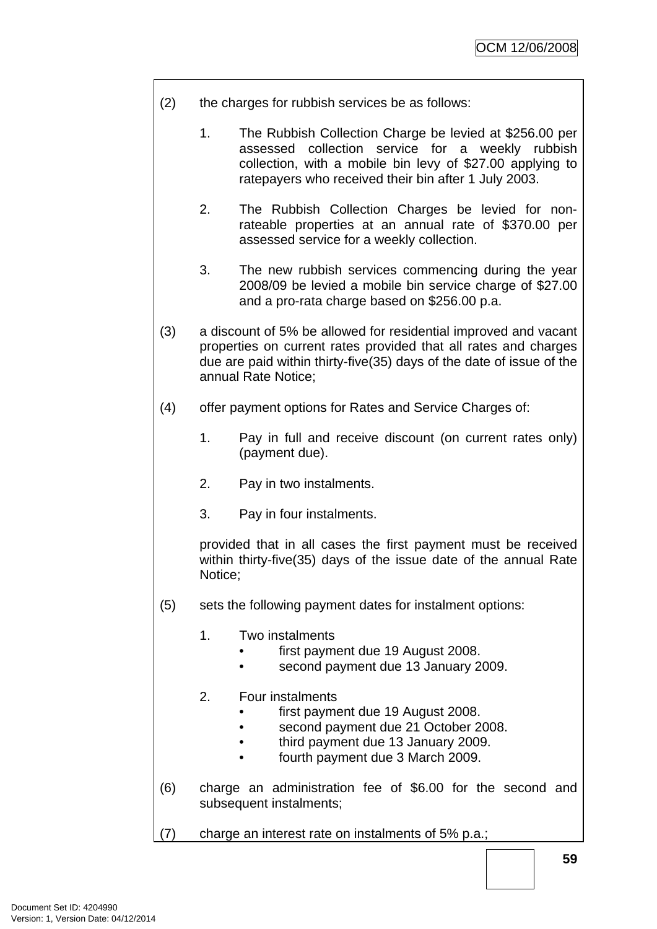- (2) the charges for rubbish services be as follows:
	- 1. The Rubbish Collection Charge be levied at \$256.00 per assessed collection service for a weekly rubbish collection, with a mobile bin levy of \$27.00 applying to ratepayers who received their bin after 1 July 2003.
	- 2. The Rubbish Collection Charges be levied for nonrateable properties at an annual rate of \$370.00 per assessed service for a weekly collection.
	- 3. The new rubbish services commencing during the year 2008/09 be levied a mobile bin service charge of \$27.00 and a pro-rata charge based on \$256.00 p.a.
- (3) a discount of 5% be allowed for residential improved and vacant properties on current rates provided that all rates and charges due are paid within thirty-five(35) days of the date of issue of the annual Rate Notice;
- (4) offer payment options for Rates and Service Charges of:
	- 1. Pay in full and receive discount (on current rates only) (payment due).
	- 2. Pay in two instalments.
	- 3. Pay in four instalments.

provided that in all cases the first payment must be received within thirty-five(35) days of the issue date of the annual Rate Notice;

- (5) sets the following payment dates for instalment options:
	- 1. Two instalments
		- first payment due 19 August 2008.
		- second payment due 13 January 2009.
	- 2. Four instalments
		- first payment due 19 August 2008.
		- second payment due 21 October 2008.
		- third payment due 13 January 2009.
			- fourth payment due 3 March 2009.
- (6) charge an administration fee of \$6.00 for the second and subsequent instalments:
- (7) charge an interest rate on instalments of 5% p.a.;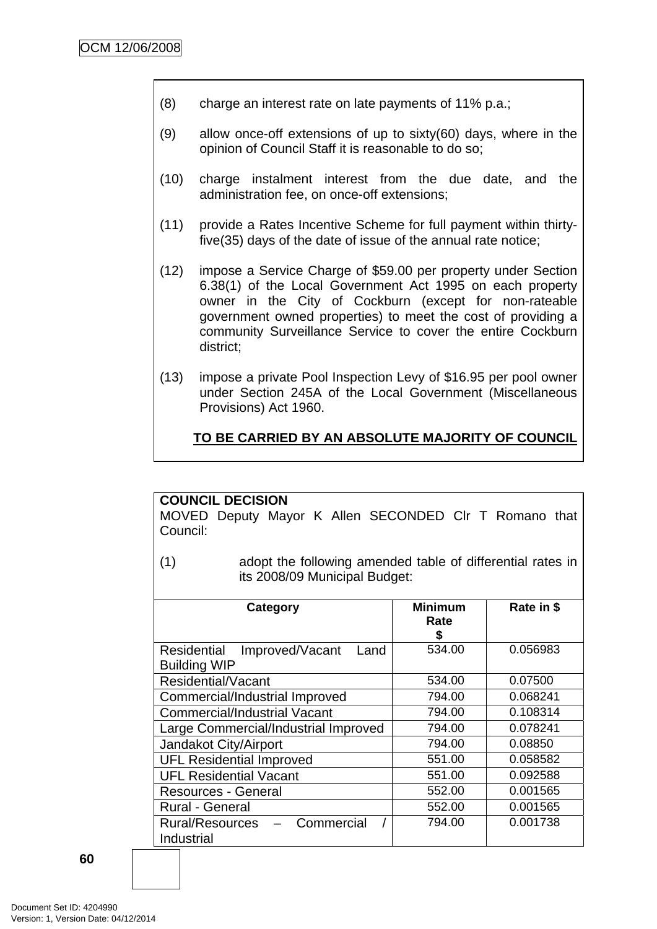- (8) charge an interest rate on late payments of 11% p.a.;
- (9) allow once-off extensions of up to sixty(60) days, where in the opinion of Council Staff it is reasonable to do so;
- (10) charge instalment interest from the due date, and the administration fee, on once-off extensions;
- (11) provide a Rates Incentive Scheme for full payment within thirtyfive(35) days of the date of issue of the annual rate notice;
- (12) impose a Service Charge of \$59.00 per property under Section 6.38(1) of the Local Government Act 1995 on each property owner in the City of Cockburn (except for non-rateable government owned properties) to meet the cost of providing a community Surveillance Service to cover the entire Cockburn district;
- (13) impose a private Pool Inspection Levy of \$16.95 per pool owner under Section 245A of the Local Government (Miscellaneous Provisions) Act 1960.

# **TO BE CARRIED BY AN ABSOLUTE MAJORITY OF COUNCIL**

# **COUNCIL DECISION**

MOVED Deputy Mayor K Allen SECONDED Clr T Romano that Council:

(1) adopt the following amended table of differential rates in its 2008/09 Municipal Budget:

| Category                                                      | Minimum<br>Rate<br>S | Rate in \$ |
|---------------------------------------------------------------|----------------------|------------|
| Improved/Vacant<br>Residential<br>Land<br><b>Building WIP</b> | 534.00               | 0.056983   |
| Residential/Vacant                                            | 534.00               | 0.07500    |
| Commercial/Industrial Improved                                | 794.00               | 0.068241   |
| <b>Commercial/Industrial Vacant</b>                           | 794.00               | 0.108314   |
| Large Commercial/Industrial Improved                          | 794.00               | 0.078241   |
| Jandakot City/Airport                                         | 794.00               | 0.08850    |
| <b>UFL Residential Improved</b>                               | 551.00               | 0.058582   |
| <b>UFL Residential Vacant</b>                                 | 551.00               | 0.092588   |
| <b>Resources - General</b>                                    | 552.00               | 0.001565   |
| <b>Rural - General</b>                                        | 552.00               | 0.001565   |
| <b>Rural/Resources</b><br>Commercial<br>Industrial            | 794.00               | 0.001738   |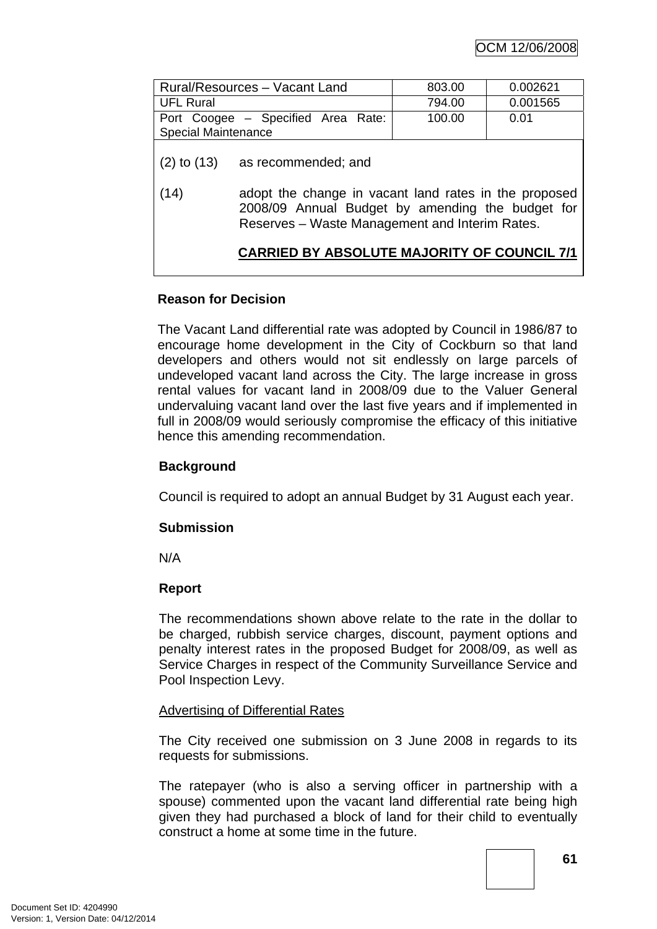|                                                                                                                                                                     | Rural/Resources - Vacant Land      | 803.00 | 0.002621 |
|---------------------------------------------------------------------------------------------------------------------------------------------------------------------|------------------------------------|--------|----------|
| <b>UFL Rural</b>                                                                                                                                                    |                                    | 794.00 | 0.001565 |
|                                                                                                                                                                     | Port Coogee - Specified Area Rate: | 100.00 | 0.01     |
| Special Maintenance                                                                                                                                                 |                                    |        |          |
| $(2)$ to $(13)$                                                                                                                                                     | as recommended; and                |        |          |
| (14)<br>adopt the change in vacant land rates in the proposed<br>2008/09 Annual Budget by amending the budget for<br>Reserves - Waste Management and Interim Rates. |                                    |        |          |
| <b>CARRIED BY ABSOLUTE MAJORITY OF COUNCIL 7/1</b>                                                                                                                  |                                    |        |          |
|                                                                                                                                                                     |                                    |        |          |

### **Reason for Decision**

The Vacant Land differential rate was adopted by Council in 1986/87 to encourage home development in the City of Cockburn so that land developers and others would not sit endlessly on large parcels of undeveloped vacant land across the City. The large increase in gross rental values for vacant land in 2008/09 due to the Valuer General undervaluing vacant land over the last five years and if implemented in full in 2008/09 would seriously compromise the efficacy of this initiative hence this amending recommendation.

### **Background**

Council is required to adopt an annual Budget by 31 August each year.

### **Submission**

N/A

### **Report**

The recommendations shown above relate to the rate in the dollar to be charged, rubbish service charges, discount, payment options and penalty interest rates in the proposed Budget for 2008/09, as well as Service Charges in respect of the Community Surveillance Service and Pool Inspection Levy.

### Advertising of Differential Rates

The City received one submission on 3 June 2008 in regards to its requests for submissions.

The ratepayer (who is also a serving officer in partnership with a spouse) commented upon the vacant land differential rate being high given they had purchased a block of land for their child to eventually construct a home at some time in the future.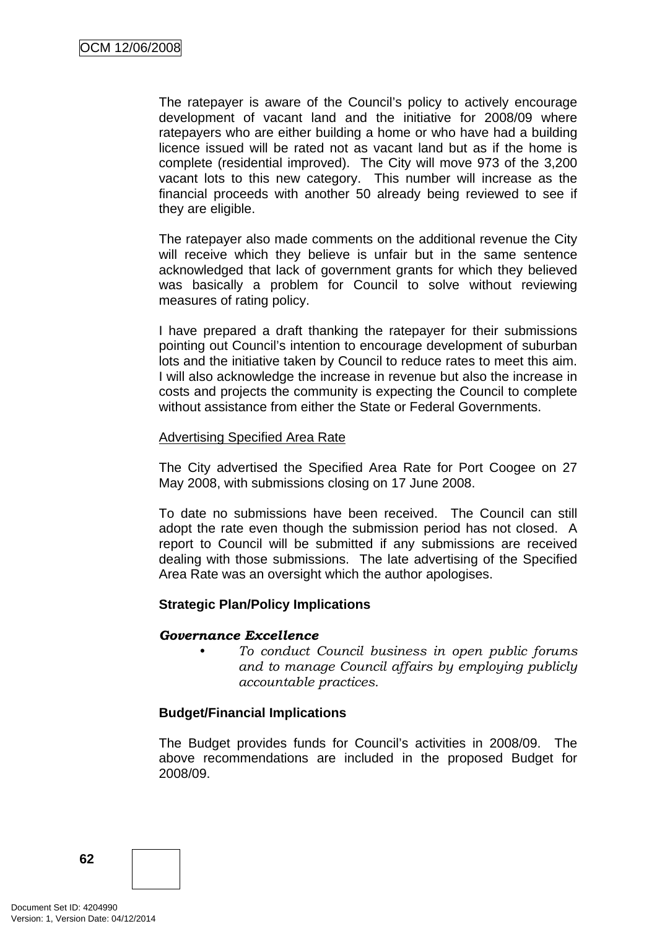The ratepayer is aware of the Council's policy to actively encourage development of vacant land and the initiative for 2008/09 where ratepayers who are either building a home or who have had a building licence issued will be rated not as vacant land but as if the home is complete (residential improved). The City will move 973 of the 3,200 vacant lots to this new category. This number will increase as the financial proceeds with another 50 already being reviewed to see if they are eligible.

The ratepayer also made comments on the additional revenue the City will receive which they believe is unfair but in the same sentence acknowledged that lack of government grants for which they believed was basically a problem for Council to solve without reviewing measures of rating policy.

I have prepared a draft thanking the ratepayer for their submissions pointing out Council's intention to encourage development of suburban lots and the initiative taken by Council to reduce rates to meet this aim. I will also acknowledge the increase in revenue but also the increase in costs and projects the community is expecting the Council to complete without assistance from either the State or Federal Governments.

#### Advertising Specified Area Rate

The City advertised the Specified Area Rate for Port Coogee on 27 May 2008, with submissions closing on 17 June 2008.

To date no submissions have been received. The Council can still adopt the rate even though the submission period has not closed. A report to Council will be submitted if any submissions are received dealing with those submissions. The late advertising of the Specified Area Rate was an oversight which the author apologises.

### **Strategic Plan/Policy Implications**

### *Governance Excellence*

*• To conduct Council business in open public forums and to manage Council affairs by employing publicly accountable practices.* 

### **Budget/Financial Implications**

The Budget provides funds for Council's activities in 2008/09. The above recommendations are included in the proposed Budget for 2008/09.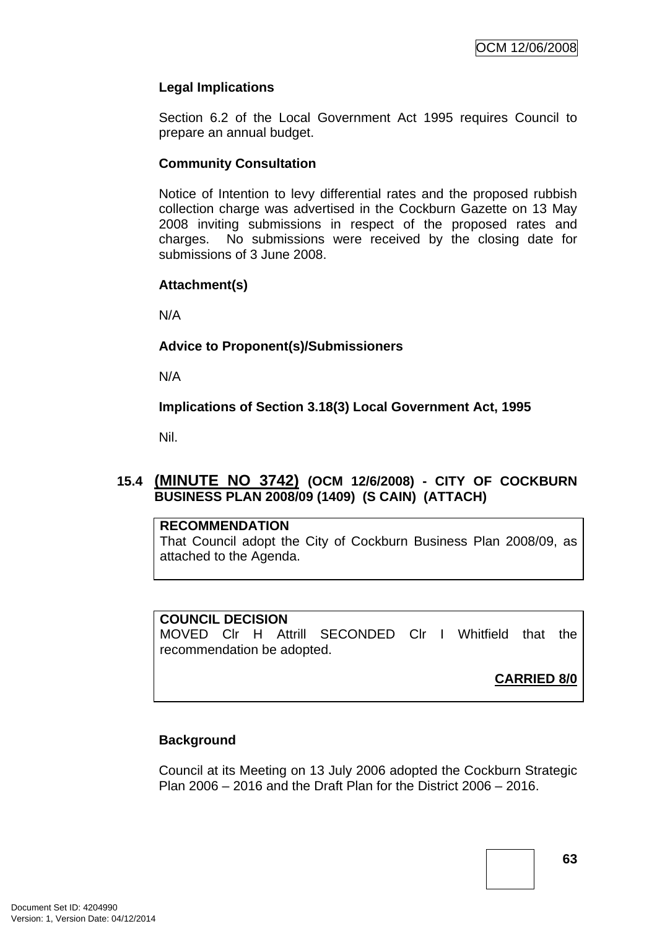# **Legal Implications**

Section 6.2 of the Local Government Act 1995 requires Council to prepare an annual budget.

### **Community Consultation**

Notice of Intention to levy differential rates and the proposed rubbish collection charge was advertised in the Cockburn Gazette on 13 May 2008 inviting submissions in respect of the proposed rates and charges. No submissions were received by the closing date for submissions of 3 June 2008.

### **Attachment(s)**

N/A

# **Advice to Proponent(s)/Submissioners**

N/A

**Implications of Section 3.18(3) Local Government Act, 1995**

Nil.

# **15.4 (MINUTE NO 3742) (OCM 12/6/2008) - CITY OF COCKBURN BUSINESS PLAN 2008/09 (1409) (S CAIN) (ATTACH)**

### **RECOMMENDATION**

That Council adopt the City of Cockburn Business Plan 2008/09, as attached to the Agenda.

### **COUNCIL DECISION**

MOVED Clr H Attrill SECONDED Clr I Whitfield that the recommendation be adopted.

**CARRIED 8/0**

### **Background**

Council at its Meeting on 13 July 2006 adopted the Cockburn Strategic Plan 2006 – 2016 and the Draft Plan for the District 2006 – 2016.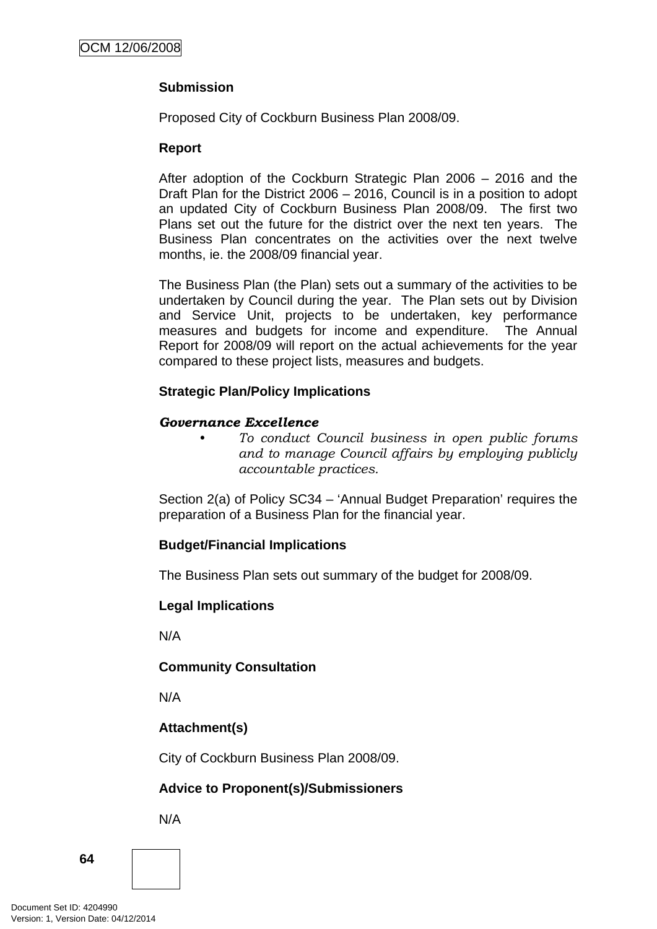# **Submission**

Proposed City of Cockburn Business Plan 2008/09.

#### **Report**

After adoption of the Cockburn Strategic Plan 2006 – 2016 and the Draft Plan for the District 2006 – 2016, Council is in a position to adopt an updated City of Cockburn Business Plan 2008/09. The first two Plans set out the future for the district over the next ten years. The Business Plan concentrates on the activities over the next twelve months, ie. the 2008/09 financial year.

The Business Plan (the Plan) sets out a summary of the activities to be undertaken by Council during the year. The Plan sets out by Division and Service Unit, projects to be undertaken, key performance measures and budgets for income and expenditure. The Annual Report for 2008/09 will report on the actual achievements for the year compared to these project lists, measures and budgets.

# **Strategic Plan/Policy Implications**

### *Governance Excellence*

*• To conduct Council business in open public forums and to manage Council affairs by employing publicly accountable practices.* 

Section 2(a) of Policy SC34 – 'Annual Budget Preparation' requires the preparation of a Business Plan for the financial year.

### **Budget/Financial Implications**

The Business Plan sets out summary of the budget for 2008/09.

### **Legal Implications**

N/A

### **Community Consultation**

N/A

# **Attachment(s)**

City of Cockburn Business Plan 2008/09.

# **Advice to Proponent(s)/Submissioners**

N/A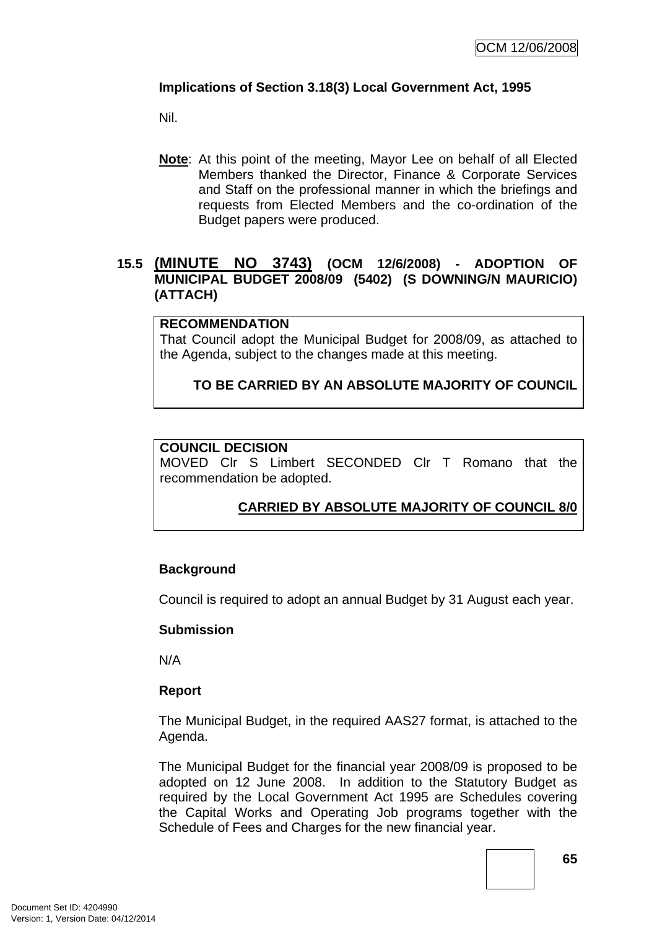# **Implications of Section 3.18(3) Local Government Act, 1995**

Nil.

**Note**: At this point of the meeting, Mayor Lee on behalf of all Elected Members thanked the Director, Finance & Corporate Services and Staff on the professional manner in which the briefings and requests from Elected Members and the co-ordination of the Budget papers were produced.

# **15.5 (MINUTE NO 3743) (OCM 12/6/2008) - ADOPTION OF MUNICIPAL BUDGET 2008/09 (5402) (S DOWNING/N MAURICIO) (ATTACH)**

### **RECOMMENDATION**

That Council adopt the Municipal Budget for 2008/09, as attached to the Agenda, subject to the changes made at this meeting.

# **TO BE CARRIED BY AN ABSOLUTE MAJORITY OF COUNCIL**

### **COUNCIL DECISION**

MOVED Clr S Limbert SECONDED Clr T Romano that the recommendation be adopted.

# **CARRIED BY ABSOLUTE MAJORITY OF COUNCIL 8/0**

# **Background**

Council is required to adopt an annual Budget by 31 August each year.

# **Submission**

N/A

### **Report**

The Municipal Budget, in the required AAS27 format, is attached to the Agenda.

The Municipal Budget for the financial year 2008/09 is proposed to be adopted on 12 June 2008. In addition to the Statutory Budget as required by the Local Government Act 1995 are Schedules covering the Capital Works and Operating Job programs together with the Schedule of Fees and Charges for the new financial year.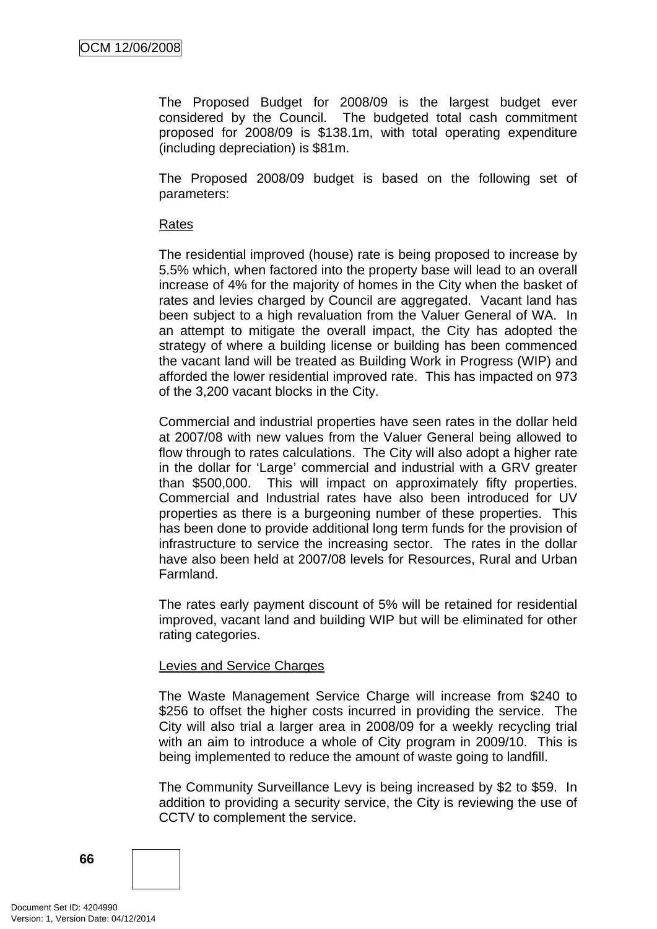The Proposed Budget for 2008/09 is the largest budget ever considered by the Council. The budgeted total cash commitment proposed for 2008/09 is \$138.1m, with total operating expenditure (including depreciation) is \$81m.

The Proposed 2008/09 budget is based on the following set of parameters:

### Rates

The residential improved (house) rate is being proposed to increase by 5.5% which, when factored into the property base will lead to an overall increase of 4% for the majority of homes in the City when the basket of rates and levies charged by Council are aggregated. Vacant land has been subject to a high revaluation from the Valuer General of WA. In an attempt to mitigate the overall impact, the City has adopted the strategy of where a building license or building has been commenced the vacant land will be treated as Building Work in Progress (WIP) and afforded the lower residential improved rate. This has impacted on 973 of the 3,200 vacant blocks in the City.

Commercial and industrial properties have seen rates in the dollar held at 2007/08 with new values from the Valuer General being allowed to flow through to rates calculations. The City will also adopt a higher rate in the dollar for 'Large' commercial and industrial with a GRV greater than \$500,000. This will impact on approximately fifty properties. Commercial and Industrial rates have also been introduced for UV properties as there is a burgeoning number of these properties. This has been done to provide additional long term funds for the provision of infrastructure to service the increasing sector. The rates in the dollar have also been held at 2007/08 levels for Resources, Rural and Urban Farmland.

The rates early payment discount of 5% will be retained for residential improved, vacant land and building WIP but will be eliminated for other rating categories.

### Levies and Service Charges

The Waste Management Service Charge will increase from \$240 to \$256 to offset the higher costs incurred in providing the service. The City will also trial a larger area in 2008/09 for a weekly recycling trial with an aim to introduce a whole of City program in 2009/10. This is being implemented to reduce the amount of waste going to landfill.

The Community Surveillance Levy is being increased by \$2 to \$59. In addition to providing a security service, the City is reviewing the use of CCTV to complement the service.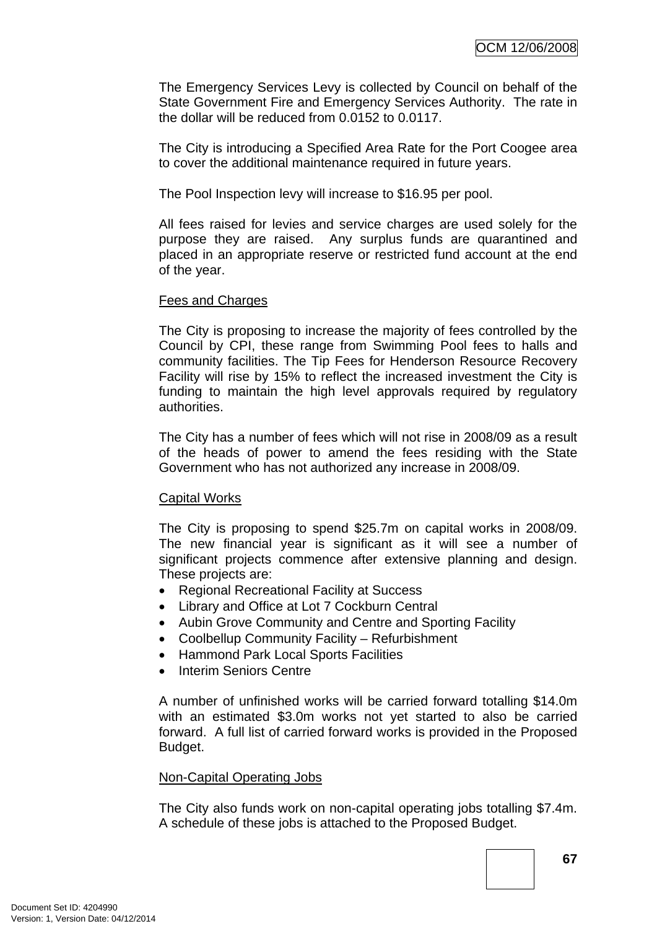The Emergency Services Levy is collected by Council on behalf of the State Government Fire and Emergency Services Authority. The rate in the dollar will be reduced from 0.0152 to 0.0117.

The City is introducing a Specified Area Rate for the Port Coogee area to cover the additional maintenance required in future years.

The Pool Inspection levy will increase to \$16.95 per pool.

All fees raised for levies and service charges are used solely for the purpose they are raised. Any surplus funds are quarantined and placed in an appropriate reserve or restricted fund account at the end of the year.

### Fees and Charges

The City is proposing to increase the majority of fees controlled by the Council by CPI, these range from Swimming Pool fees to halls and community facilities. The Tip Fees for Henderson Resource Recovery Facility will rise by 15% to reflect the increased investment the City is funding to maintain the high level approvals required by regulatory authorities.

The City has a number of fees which will not rise in 2008/09 as a result of the heads of power to amend the fees residing with the State Government who has not authorized any increase in 2008/09.

### Capital Works

The City is proposing to spend \$25.7m on capital works in 2008/09. The new financial year is significant as it will see a number of significant projects commence after extensive planning and design. These projects are:

- Regional Recreational Facility at Success
- Library and Office at Lot 7 Cockburn Central
- Aubin Grove Community and Centre and Sporting Facility
- Coolbellup Community Facility Refurbishment
- Hammond Park Local Sports Facilities
- Interim Seniors Centre

A number of unfinished works will be carried forward totalling \$14.0m with an estimated \$3.0m works not yet started to also be carried forward. A full list of carried forward works is provided in the Proposed Budget.

### Non-Capital Operating Jobs

The City also funds work on non-capital operating jobs totalling \$7.4m. A schedule of these jobs is attached to the Proposed Budget.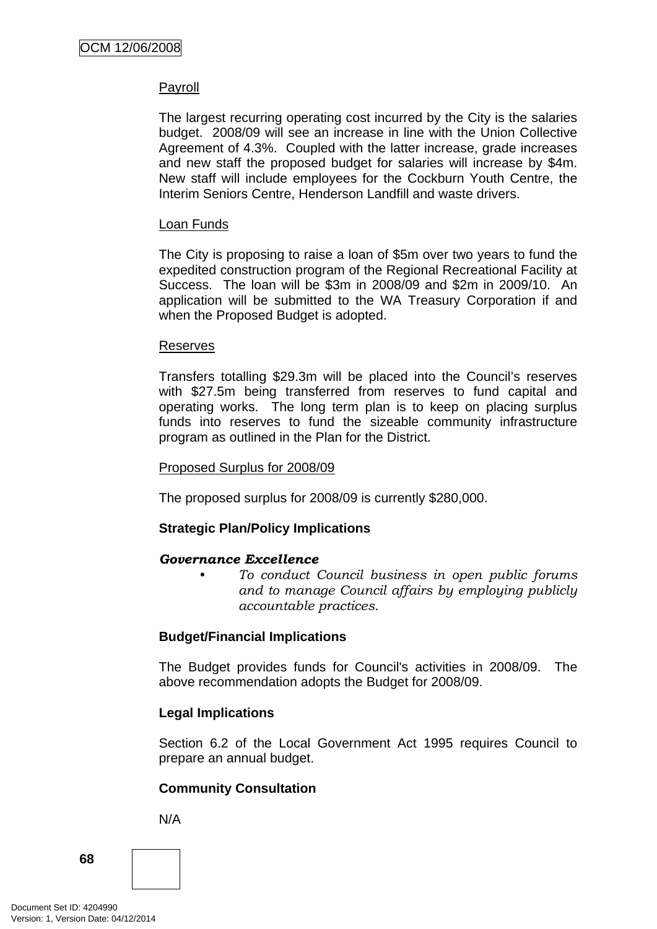### Payroll

The largest recurring operating cost incurred by the City is the salaries budget. 2008/09 will see an increase in line with the Union Collective Agreement of 4.3%. Coupled with the latter increase, grade increases and new staff the proposed budget for salaries will increase by \$4m. New staff will include employees for the Cockburn Youth Centre, the Interim Seniors Centre, Henderson Landfill and waste drivers.

### Loan Funds

The City is proposing to raise a loan of \$5m over two years to fund the expedited construction program of the Regional Recreational Facility at Success. The loan will be \$3m in 2008/09 and \$2m in 2009/10. An application will be submitted to the WA Treasury Corporation if and when the Proposed Budget is adopted.

#### Reserves

Transfers totalling \$29.3m will be placed into the Council's reserves with \$27.5m being transferred from reserves to fund capital and operating works. The long term plan is to keep on placing surplus funds into reserves to fund the sizeable community infrastructure program as outlined in the Plan for the District.

#### Proposed Surplus for 2008/09

The proposed surplus for 2008/09 is currently \$280,000.

### **Strategic Plan/Policy Implications**

### *Governance Excellence*

*• To conduct Council business in open public forums and to manage Council affairs by employing publicly accountable practices.* 

### **Budget/Financial Implications**

The Budget provides funds for Council's activities in 2008/09. The above recommendation adopts the Budget for 2008/09.

### **Legal Implications**

Section 6.2 of the Local Government Act 1995 requires Council to prepare an annual budget.

### **Community Consultation**

N/A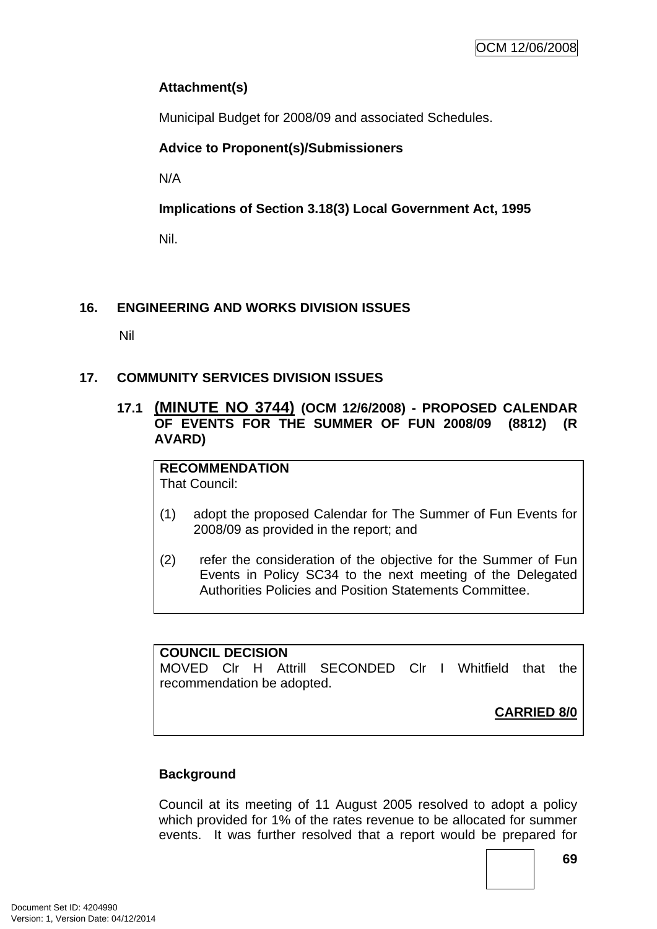# **Attachment(s)**

Municipal Budget for 2008/09 and associated Schedules.

# **Advice to Proponent(s)/Submissioners**

N/A

**Implications of Section 3.18(3) Local Government Act, 1995**

Nil.

# **16. ENGINEERING AND WORKS DIVISION ISSUES**

Nil

### **17. COMMUNITY SERVICES DIVISION ISSUES**

**17.1 (MINUTE NO 3744) (OCM 12/6/2008) - PROPOSED CALENDAR OF EVENTS FOR THE SUMMER OF FUN 2008/09 (8812) (R AVARD)** 

**RECOMMENDATION** That Council:

- (1) adopt the proposed Calendar for The Summer of Fun Events for 2008/09 as provided in the report; and
- (2) refer the consideration of the objective for the Summer of Fun Events in Policy SC34 to the next meeting of the Delegated Authorities Policies and Position Statements Committee.

#### **COUNCIL DECISION**

MOVED Clr H Attrill SECONDED Clr I Whitfield that the recommendation be adopted.

**CARRIED 8/0**

# **Background**

Council at its meeting of 11 August 2005 resolved to adopt a policy which provided for 1% of the rates revenue to be allocated for summer events. It was further resolved that a report would be prepared for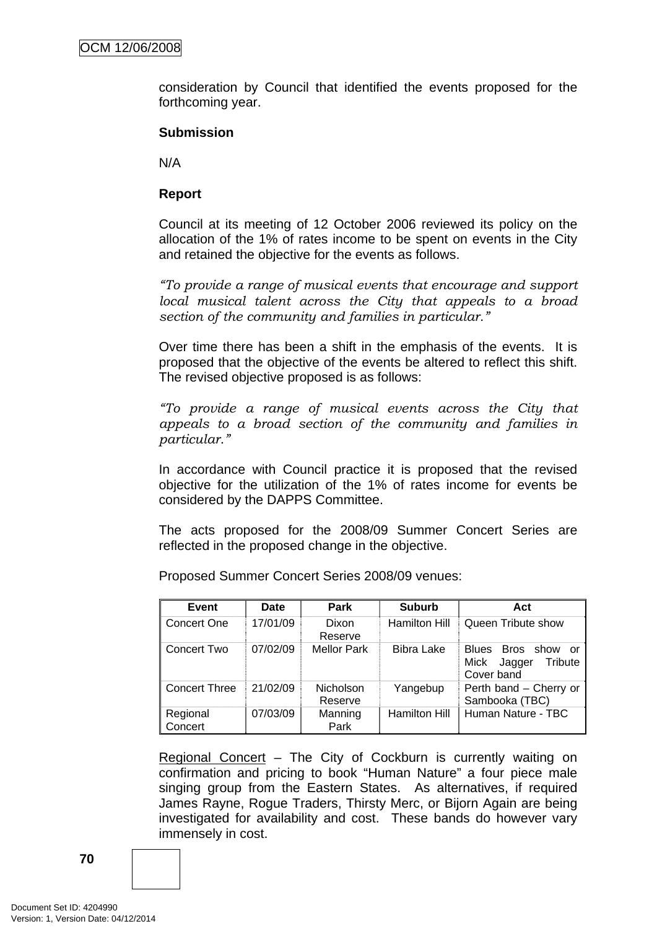consideration by Council that identified the events proposed for the forthcoming year.

#### **Submission**

N/A

### **Report**

Council at its meeting of 12 October 2006 reviewed its policy on the allocation of the 1% of rates income to be spent on events in the City and retained the objective for the events as follows.

*"To provide a range of musical events that encourage and support local musical talent across the City that appeals to a broad section of the community and families in particular."* 

Over time there has been a shift in the emphasis of the events. It is proposed that the objective of the events be altered to reflect this shift. The revised objective proposed is as follows:

*"To provide a range of musical events across the City that appeals to a broad section of the community and families in particular."* 

In accordance with Council practice it is proposed that the revised objective for the utilization of the 1% of rates income for events be considered by the DAPPS Committee.

The acts proposed for the 2008/09 Summer Concert Series are reflected in the proposed change in the objective.

| Event               | Date     | <b>Park</b>          | <b>Suburb</b>        | Act                                                            |
|---------------------|----------|----------------------|----------------------|----------------------------------------------------------------|
| Concert One         | 17/01/09 | Dixon<br>Reserve     | <b>Hamilton Hill</b> | Queen Tribute show                                             |
| I Concert Two       | 07/02/09 | <b>Mellor Park</b>   | <b>Bibra Lake</b>    | Blues Bros show<br>orl<br>Tribute<br>Mick Jagger<br>Cover band |
| Concert Three       | 21/02/09 | Nicholson<br>Reserve | Yangebup             | Perth band - Cherry or<br>Sambooka (TBC)                       |
| Regional<br>Concert | 07/03/09 | Manning<br>Park      | <b>Hamilton Hill</b> | Human Nature - TBC                                             |

Proposed Summer Concert Series 2008/09 venues:

Regional Concert – The City of Cockburn is currently waiting on confirmation and pricing to book "Human Nature" a four piece male singing group from the Eastern States. As alternatives, if required James Rayne, Rogue Traders, Thirsty Merc, or Bijorn Again are being investigated for availability and cost. These bands do however vary immensely in cost.

**70**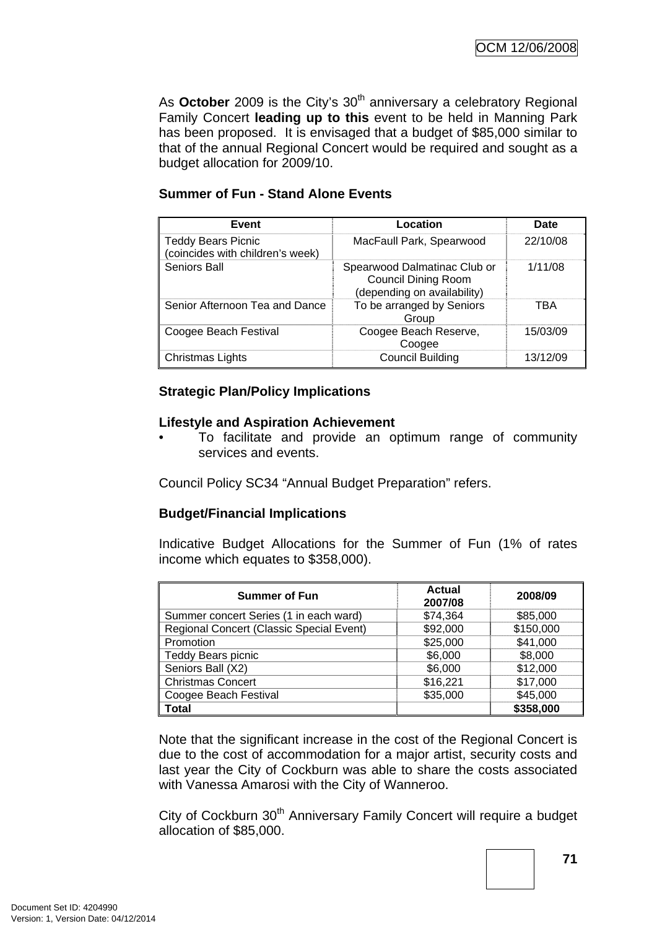As **October** 2009 is the City's 30<sup>th</sup> anniversary a celebratory Regional Family Concert **leading up to this** event to be held in Manning Park has been proposed. It is envisaged that a budget of \$85,000 similar to that of the annual Regional Concert would be required and sought as a budget allocation for 2009/10.

#### **Summer of Fun - Stand Alone Events**

| Event                                                         | Location                                                                                  | Date     |
|---------------------------------------------------------------|-------------------------------------------------------------------------------------------|----------|
| <b>Teddy Bears Picnic</b><br>(coincides with children's week) | MacFaull Park, Spearwood                                                                  | 22/10/08 |
| <b>Seniors Ball</b>                                           | Spearwood Dalmatinac Club or<br><b>Council Dining Room</b><br>(depending on availability) | 1/11/08  |
| Senior Afternoon Tea and Dance                                | To be arranged by Seniors<br>Group                                                        | TBA      |
| Coogee Beach Festival                                         | Coogee Beach Reserve,<br>Coogee                                                           | 15/03/09 |
| Christmas Lights                                              | <b>Council Building</b>                                                                   | 13/12/09 |

# **Strategic Plan/Policy Implications**

### **Lifestyle and Aspiration Achievement**

• To facilitate and provide an optimum range of community services and events.

Council Policy SC34 "Annual Budget Preparation" refers.

### **Budget/Financial Implications**

Indicative Budget Allocations for the Summer of Fun (1% of rates income which equates to \$358,000).

| <b>Summer of Fun</b>                     | <b>Actual</b><br>2007/08 | 2008/09   |
|------------------------------------------|--------------------------|-----------|
| Summer concert Series (1 in each ward)   | \$74,364                 | \$85,000  |
| Regional Concert (Classic Special Event) | \$92,000                 | \$150,000 |
| Promotion                                | \$25,000                 | \$41,000  |
| <b>Teddy Bears picnic</b>                | \$6,000                  | \$8,000   |
| Seniors Ball (X2)                        | \$6,000                  | \$12,000  |
| <b>Christmas Concert</b>                 | \$16,221                 | \$17,000  |
| Coogee Beach Festival                    | \$35,000                 | \$45,000  |
| Total                                    |                          | \$358,000 |

Note that the significant increase in the cost of the Regional Concert is due to the cost of accommodation for a major artist, security costs and last year the City of Cockburn was able to share the costs associated with Vanessa Amarosi with the City of Wanneroo.

City of Cockburn 30<sup>th</sup> Anniversary Family Concert will require a budget allocation of \$85,000.

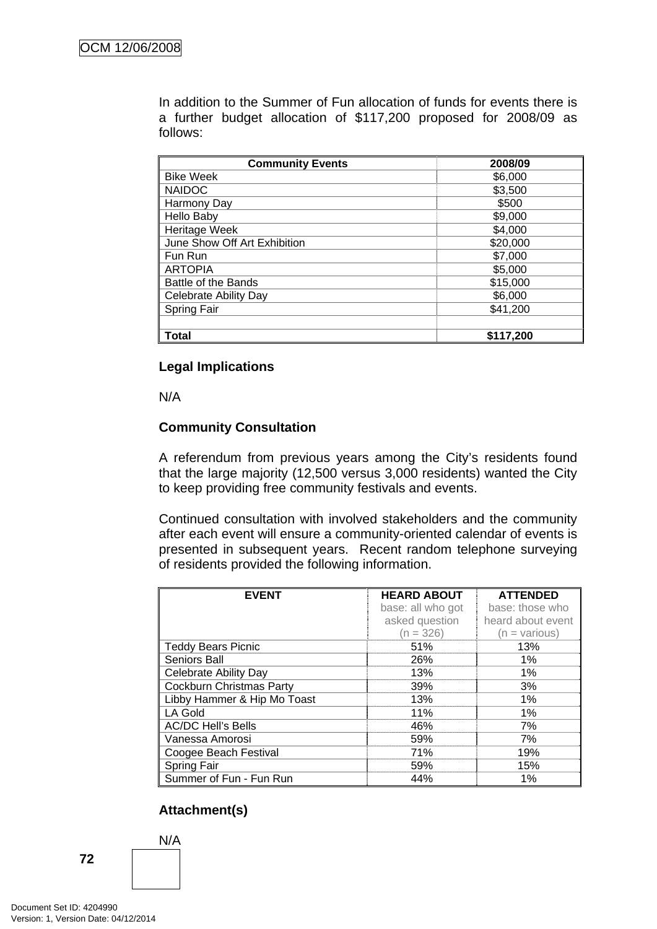In addition to the Summer of Fun allocation of funds for events there is a further budget allocation of \$117,200 proposed for 2008/09 as follows:

| <b>Community Events</b>      | 2008/09   |  |
|------------------------------|-----------|--|
| <b>Bike Week</b>             | \$6,000   |  |
| <b>NAIDOC</b>                | \$3,500   |  |
| Harmony Day                  | \$500     |  |
| <b>Hello Baby</b>            | \$9,000   |  |
| Heritage Week                | \$4,000   |  |
| June Show Off Art Exhibition | \$20,000  |  |
| Fun Run                      | \$7,000   |  |
| <b>ARTOPIA</b>               | \$5,000   |  |
| Battle of the Bands          | \$15,000  |  |
| Celebrate Ability Day        | \$6,000   |  |
| Spring Fair                  | \$41,200  |  |
|                              |           |  |
| Total                        | \$117,200 |  |

### **Legal Implications**

N/A

### **Community Consultation**

A referendum from previous years among the City's residents found that the large majority (12,500 versus 3,000 residents) wanted the City to keep providing free community festivals and events.

Continued consultation with involved stakeholders and the community after each event will ensure a community-oriented calendar of events is presented in subsequent years. Recent random telephone surveying of residents provided the following information.

| <b>EVENT</b>                    | <b>HEARD ABOUT</b> | <b>ATTENDED</b>   |
|---------------------------------|--------------------|-------------------|
|                                 | base: all who got  | base: those who   |
|                                 | asked question     | heard about event |
|                                 | $(n = 326)$        | (n = various)     |
| <b>Teddy Bears Picnic</b>       | 51%                | 13%               |
| Seniors Ball                    | 26%                | $1\%$             |
| <b>Celebrate Ability Day</b>    | 13%                | 1%                |
| <b>Cockburn Christmas Party</b> | 39%                | 3%                |
| Libby Hammer & Hip Mo Toast     | 13%                | 1%                |
| <b>LA Gold</b>                  | 11%                | 1%                |
| <b>AC/DC Hell's Bells</b>       | 46%                | 7%                |
| Vanessa Amorosi                 | 59%                | 7%                |
| Coogee Beach Festival           | 71%                | 19%               |
| Spring Fair                     | 59%                | 15%               |
| Summer of Fun - Fun Run         | 44%                | 1%                |

# **Attachment(s)**

N/A

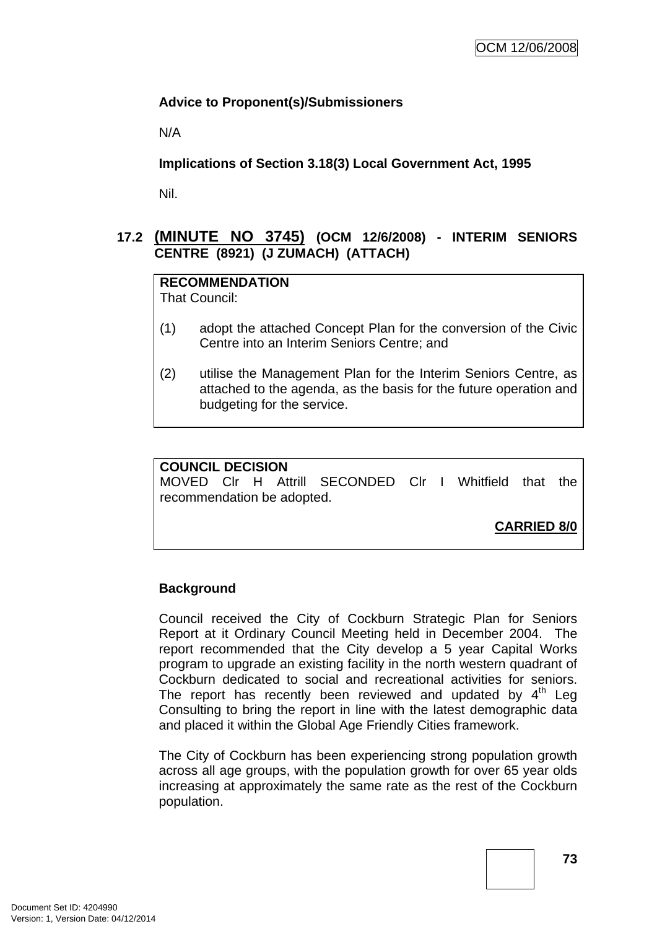# **Advice to Proponent(s)/Submissioners**

N/A

**Implications of Section 3.18(3) Local Government Act, 1995**

Nil.

# **17.2 (MINUTE NO 3745) (OCM 12/6/2008) - INTERIM SENIORS CENTRE (8921) (J ZUMACH) (ATTACH)**

# **RECOMMENDATION**

That Council:

- (1) adopt the attached Concept Plan for the conversion of the Civic Centre into an Interim Seniors Centre; and
- (2) utilise the Management Plan for the Interim Seniors Centre, as attached to the agenda, as the basis for the future operation and budgeting for the service.

# **COUNCIL DECISION**

MOVED Clr H Attrill SECONDED Clr I Whitfield that the recommendation be adopted.

**CARRIED 8/0**

# **Background**

Council received the City of Cockburn Strategic Plan for Seniors Report at it Ordinary Council Meeting held in December 2004. The report recommended that the City develop a 5 year Capital Works program to upgrade an existing facility in the north western quadrant of Cockburn dedicated to social and recreational activities for seniors. The report has recently been reviewed and updated by  $4<sup>th</sup>$  Leg Consulting to bring the report in line with the latest demographic data and placed it within the Global Age Friendly Cities framework.

The City of Cockburn has been experiencing strong population growth across all age groups, with the population growth for over 65 year olds increasing at approximately the same rate as the rest of the Cockburn population.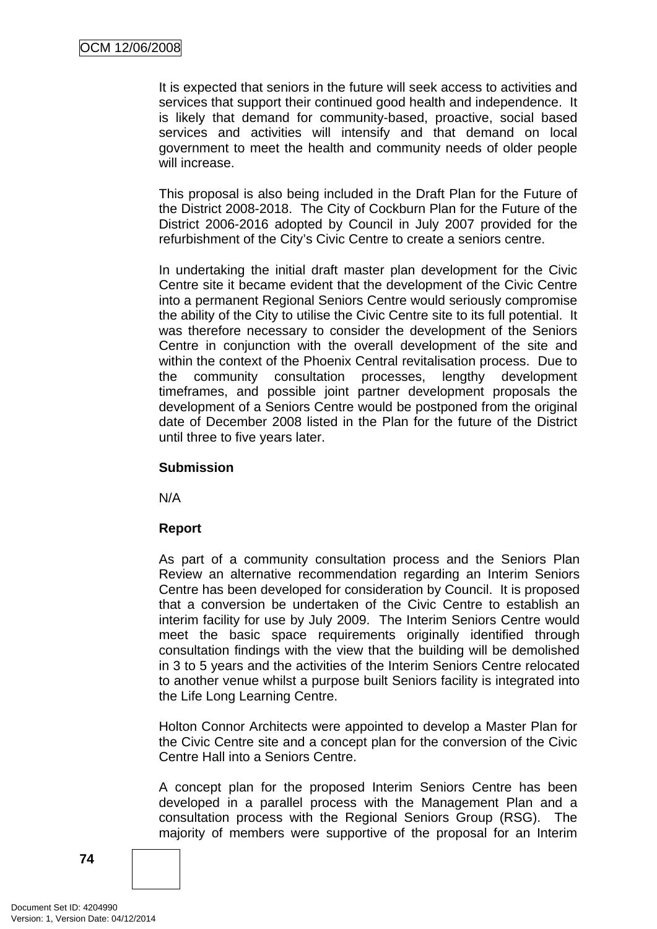It is expected that seniors in the future will seek access to activities and services that support their continued good health and independence. It is likely that demand for community-based, proactive, social based services and activities will intensify and that demand on local government to meet the health and community needs of older people will increase.

This proposal is also being included in the Draft Plan for the Future of the District 2008-2018. The City of Cockburn Plan for the Future of the District 2006-2016 adopted by Council in July 2007 provided for the refurbishment of the City's Civic Centre to create a seniors centre.

In undertaking the initial draft master plan development for the Civic Centre site it became evident that the development of the Civic Centre into a permanent Regional Seniors Centre would seriously compromise the ability of the City to utilise the Civic Centre site to its full potential. It was therefore necessary to consider the development of the Seniors Centre in conjunction with the overall development of the site and within the context of the Phoenix Central revitalisation process. Due to the community consultation processes, lengthy development timeframes, and possible joint partner development proposals the development of a Seniors Centre would be postponed from the original date of December 2008 listed in the Plan for the future of the District until three to five years later.

### **Submission**

N/A

### **Report**

As part of a community consultation process and the Seniors Plan Review an alternative recommendation regarding an Interim Seniors Centre has been developed for consideration by Council. It is proposed that a conversion be undertaken of the Civic Centre to establish an interim facility for use by July 2009. The Interim Seniors Centre would meet the basic space requirements originally identified through consultation findings with the view that the building will be demolished in 3 to 5 years and the activities of the Interim Seniors Centre relocated to another venue whilst a purpose built Seniors facility is integrated into the Life Long Learning Centre.

Holton Connor Architects were appointed to develop a Master Plan for the Civic Centre site and a concept plan for the conversion of the Civic Centre Hall into a Seniors Centre.

A concept plan for the proposed Interim Seniors Centre has been developed in a parallel process with the Management Plan and a consultation process with the Regional Seniors Group (RSG). The majority of members were supportive of the proposal for an Interim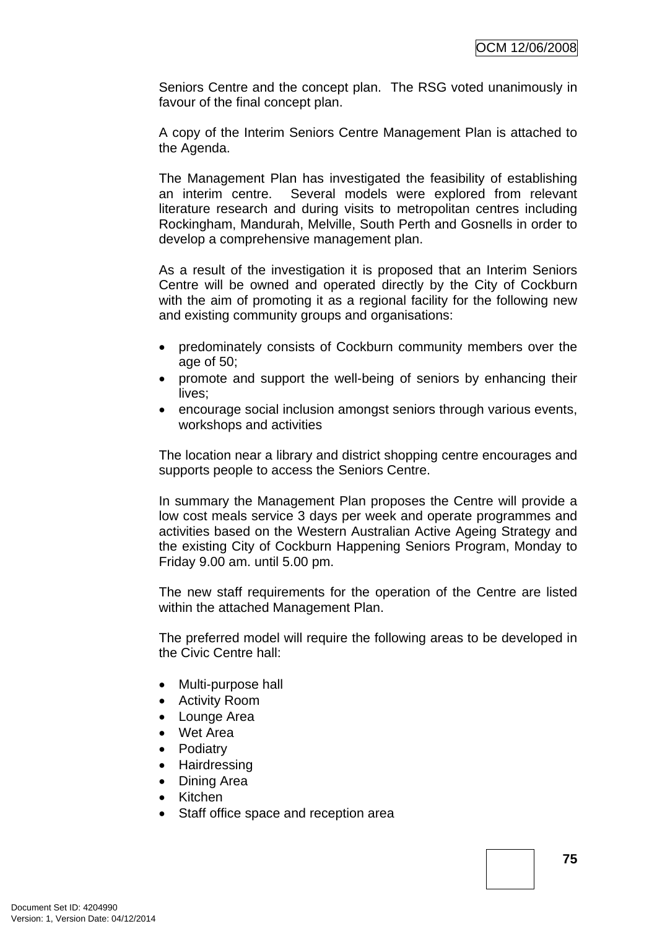Seniors Centre and the concept plan. The RSG voted unanimously in favour of the final concept plan.

A copy of the Interim Seniors Centre Management Plan is attached to the Agenda.

The Management Plan has investigated the feasibility of establishing an interim centre. Several models were explored from relevant literature research and during visits to metropolitan centres including Rockingham, Mandurah, Melville, South Perth and Gosnells in order to develop a comprehensive management plan.

As a result of the investigation it is proposed that an Interim Seniors Centre will be owned and operated directly by the City of Cockburn with the aim of promoting it as a regional facility for the following new and existing community groups and organisations:

- predominately consists of Cockburn community members over the age of 50;
- promote and support the well-being of seniors by enhancing their lives;
- encourage social inclusion amongst seniors through various events, workshops and activities

The location near a library and district shopping centre encourages and supports people to access the Seniors Centre.

In summary the Management Plan proposes the Centre will provide a low cost meals service 3 days per week and operate programmes and activities based on the Western Australian Active Ageing Strategy and the existing City of Cockburn Happening Seniors Program, Monday to Friday 9.00 am. until 5.00 pm.

The new staff requirements for the operation of the Centre are listed within the attached Management Plan.

The preferred model will require the following areas to be developed in the Civic Centre hall:

- Multi-purpose hall
- Activity Room
- Lounge Area
- Wet Area
- Podiatry
- Hairdressing
- Dining Area
- Kitchen
- Staff office space and reception area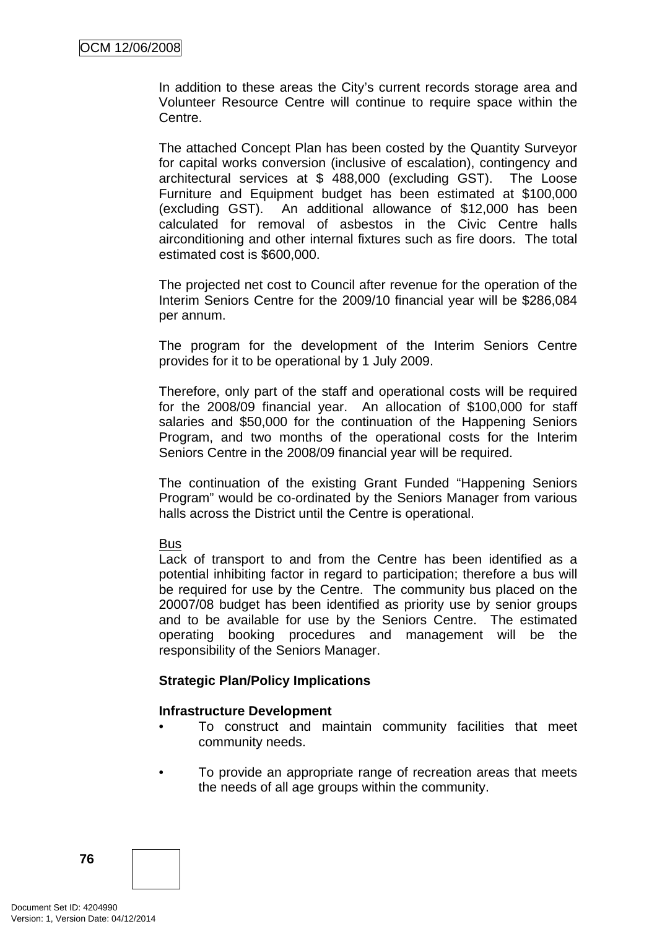In addition to these areas the City's current records storage area and Volunteer Resource Centre will continue to require space within the Centre.

The attached Concept Plan has been costed by the Quantity Surveyor for capital works conversion (inclusive of escalation), contingency and architectural services at \$ 488,000 (excluding GST). The Loose Furniture and Equipment budget has been estimated at \$100,000 (excluding GST). An additional allowance of \$12,000 has been calculated for removal of asbestos in the Civic Centre halls airconditioning and other internal fixtures such as fire doors. The total estimated cost is \$600,000.

The projected net cost to Council after revenue for the operation of the Interim Seniors Centre for the 2009/10 financial year will be \$286,084 per annum.

The program for the development of the Interim Seniors Centre provides for it to be operational by 1 July 2009.

Therefore, only part of the staff and operational costs will be required for the 2008/09 financial year. An allocation of \$100,000 for staff salaries and \$50,000 for the continuation of the Happening Seniors Program, and two months of the operational costs for the Interim Seniors Centre in the 2008/09 financial year will be required.

The continuation of the existing Grant Funded "Happening Seniors Program" would be co-ordinated by the Seniors Manager from various halls across the District until the Centre is operational.

### Bus

Lack of transport to and from the Centre has been identified as a potential inhibiting factor in regard to participation; therefore a bus will be required for use by the Centre. The community bus placed on the 20007/08 budget has been identified as priority use by senior groups and to be available for use by the Seniors Centre. The estimated operating booking procedures and management will be the responsibility of the Seniors Manager.

### **Strategic Plan/Policy Implications**

### **Infrastructure Development**

- To construct and maintain community facilities that meet community needs.
- To provide an appropriate range of recreation areas that meets the needs of all age groups within the community.

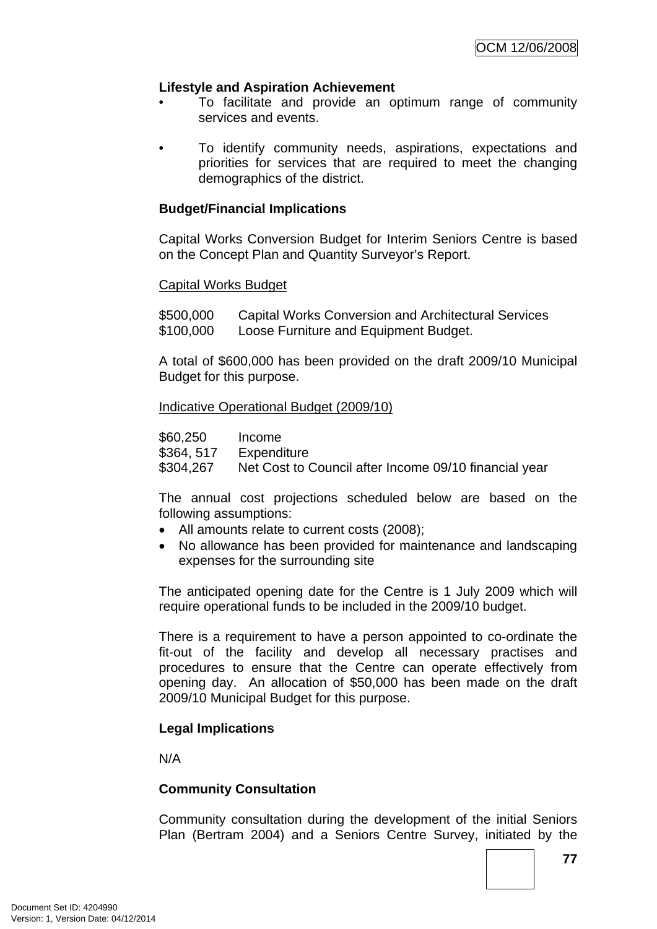### **Lifestyle and Aspiration Achievement**

- To facilitate and provide an optimum range of community services and events.
- To identify community needs, aspirations, expectations and priorities for services that are required to meet the changing demographics of the district.

### **Budget/Financial Implications**

Capital Works Conversion Budget for Interim Seniors Centre is based on the Concept Plan and Quantity Surveyor's Report.

### Capital Works Budget

\$500,000 Capital Works Conversion and Architectural Services \$100,000 Loose Furniture and Equipment Budget.

A total of \$600,000 has been provided on the draft 2009/10 Municipal Budget for this purpose.

### Indicative Operational Budget (2009/10)

\$60,250 Income \$364, 517 Expenditure \$304,267 Net Cost to Council after Income 09/10 financial year

The annual cost projections scheduled below are based on the following assumptions:

- All amounts relate to current costs (2008);
- No allowance has been provided for maintenance and landscaping expenses for the surrounding site

The anticipated opening date for the Centre is 1 July 2009 which will require operational funds to be included in the 2009/10 budget.

There is a requirement to have a person appointed to co-ordinate the fit-out of the facility and develop all necessary practises and procedures to ensure that the Centre can operate effectively from opening day. An allocation of \$50,000 has been made on the draft 2009/10 Municipal Budget for this purpose.

### **Legal Implications**

N/A

# **Community Consultation**

Community consultation during the development of the initial Seniors Plan (Bertram 2004) and a Seniors Centre Survey, initiated by the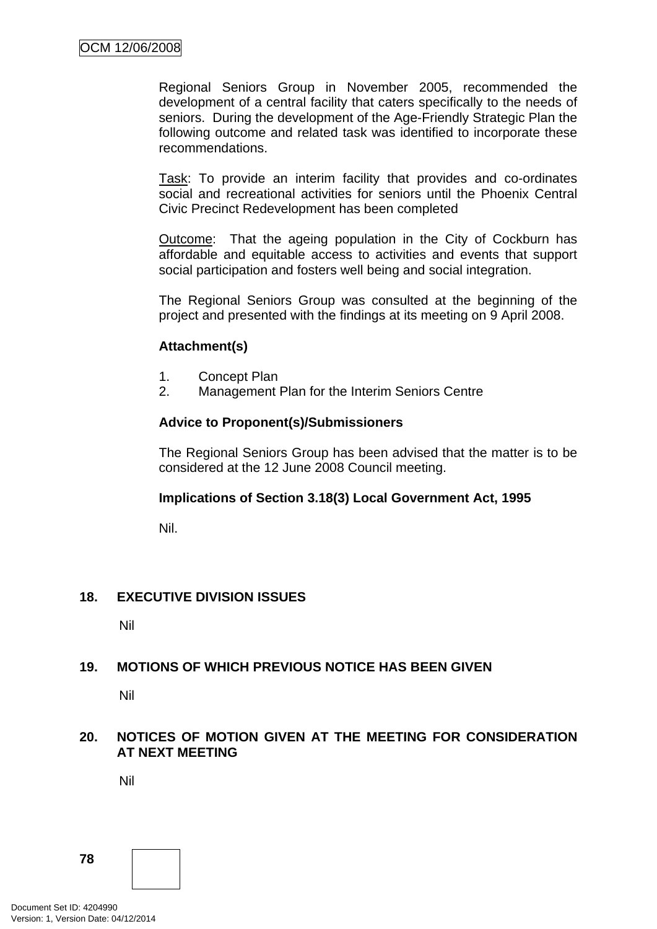Regional Seniors Group in November 2005, recommended the development of a central facility that caters specifically to the needs of seniors. During the development of the Age-Friendly Strategic Plan the following outcome and related task was identified to incorporate these recommendations.

Task: To provide an interim facility that provides and co-ordinates social and recreational activities for seniors until the Phoenix Central Civic Precinct Redevelopment has been completed

Outcome: That the ageing population in the City of Cockburn has affordable and equitable access to activities and events that support social participation and fosters well being and social integration.

The Regional Seniors Group was consulted at the beginning of the project and presented with the findings at its meeting on 9 April 2008.

### **Attachment(s)**

- 1. Concept Plan
- 2. Management Plan for the Interim Seniors Centre

### **Advice to Proponent(s)/Submissioners**

The Regional Seniors Group has been advised that the matter is to be considered at the 12 June 2008 Council meeting.

### **Implications of Section 3.18(3) Local Government Act, 1995**

Nil.

### **18. EXECUTIVE DIVISION ISSUES**

Nil

# **19. MOTIONS OF WHICH PREVIOUS NOTICE HAS BEEN GIVEN**

Nil

### **20. NOTICES OF MOTION GIVEN AT THE MEETING FOR CONSIDERATION AT NEXT MEETING**

Nil

**78**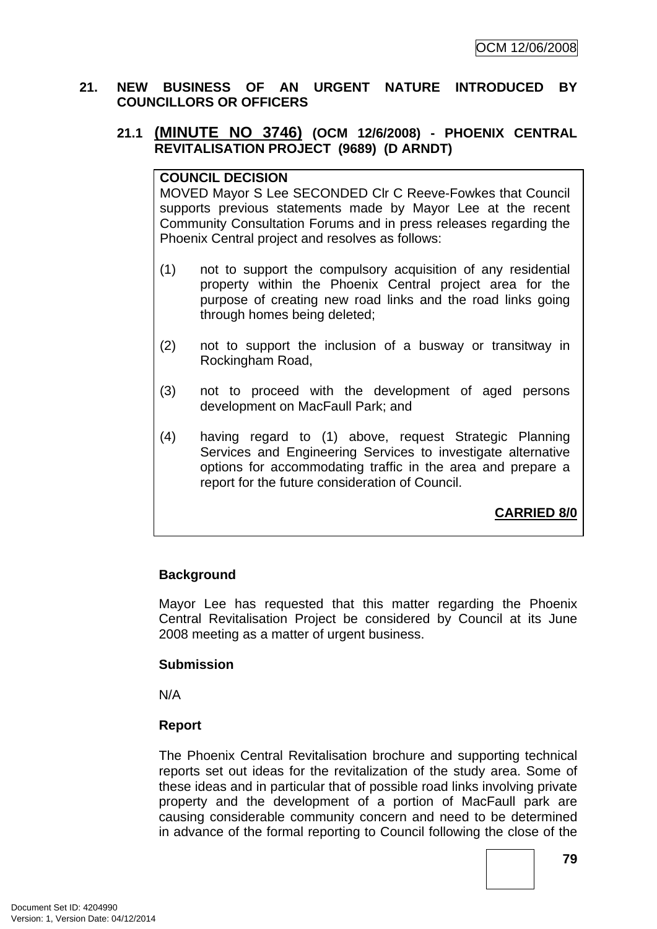### **21. NEW BUSINESS OF AN URGENT NATURE INTRODUCED BY COUNCILLORS OR OFFICERS**

### **21.1 (MINUTE NO 3746) (OCM 12/6/2008) - PHOENIX CENTRAL REVITALISATION PROJECT (9689) (D ARNDT)**

#### **COUNCIL DECISION**

MOVED Mayor S Lee SECONDED Clr C Reeve-Fowkes that Council supports previous statements made by Mayor Lee at the recent Community Consultation Forums and in press releases regarding the Phoenix Central project and resolves as follows:

- (1) not to support the compulsory acquisition of any residential property within the Phoenix Central project area for the purpose of creating new road links and the road links going through homes being deleted;
- (2) not to support the inclusion of a busway or transitway in Rockingham Road,
- (3) not to proceed with the development of aged persons development on MacFaull Park; and
- (4) having regard to (1) above, request Strategic Planning Services and Engineering Services to investigate alternative options for accommodating traffic in the area and prepare a report for the future consideration of Council.

**CARRIED 8/0**

# **Background**

Mayor Lee has requested that this matter regarding the Phoenix Central Revitalisation Project be considered by Council at its June 2008 meeting as a matter of urgent business.

### **Submission**

N/A

### **Report**

The Phoenix Central Revitalisation brochure and supporting technical reports set out ideas for the revitalization of the study area. Some of these ideas and in particular that of possible road links involving private property and the development of a portion of MacFaull park are causing considerable community concern and need to be determined in advance of the formal reporting to Council following the close of the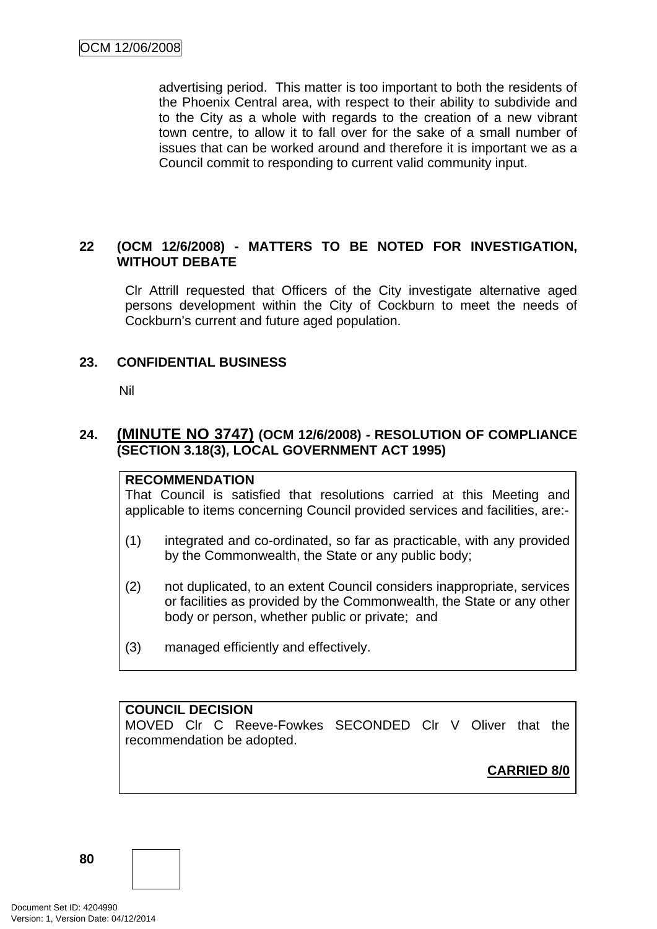advertising period. This matter is too important to both the residents of the Phoenix Central area, with respect to their ability to subdivide and to the City as a whole with regards to the creation of a new vibrant town centre, to allow it to fall over for the sake of a small number of issues that can be worked around and therefore it is important we as a Council commit to responding to current valid community input.

### **22 (OCM 12/6/2008) - MATTERS TO BE NOTED FOR INVESTIGATION, WITHOUT DEBATE**

Clr Attrill requested that Officers of the City investigate alternative aged persons development within the City of Cockburn to meet the needs of Cockburn's current and future aged population.

### **23. CONFIDENTIAL BUSINESS**

Nil

### **24. (MINUTE NO 3747) (OCM 12/6/2008) - RESOLUTION OF COMPLIANCE (SECTION 3.18(3), LOCAL GOVERNMENT ACT 1995)**

### **RECOMMENDATION**

That Council is satisfied that resolutions carried at this Meeting and applicable to items concerning Council provided services and facilities, are:-

- (1) integrated and co-ordinated, so far as practicable, with any provided by the Commonwealth, the State or any public body;
- (2) not duplicated, to an extent Council considers inappropriate, services or facilities as provided by the Commonwealth, the State or any other body or person, whether public or private; and
- (3) managed efficiently and effectively.

**COUNCIL DECISION** MOVED Clr C Reeve-Fowkes SECONDED Clr V Oliver that the recommendation be adopted.

**CARRIED 8/0**

**80**